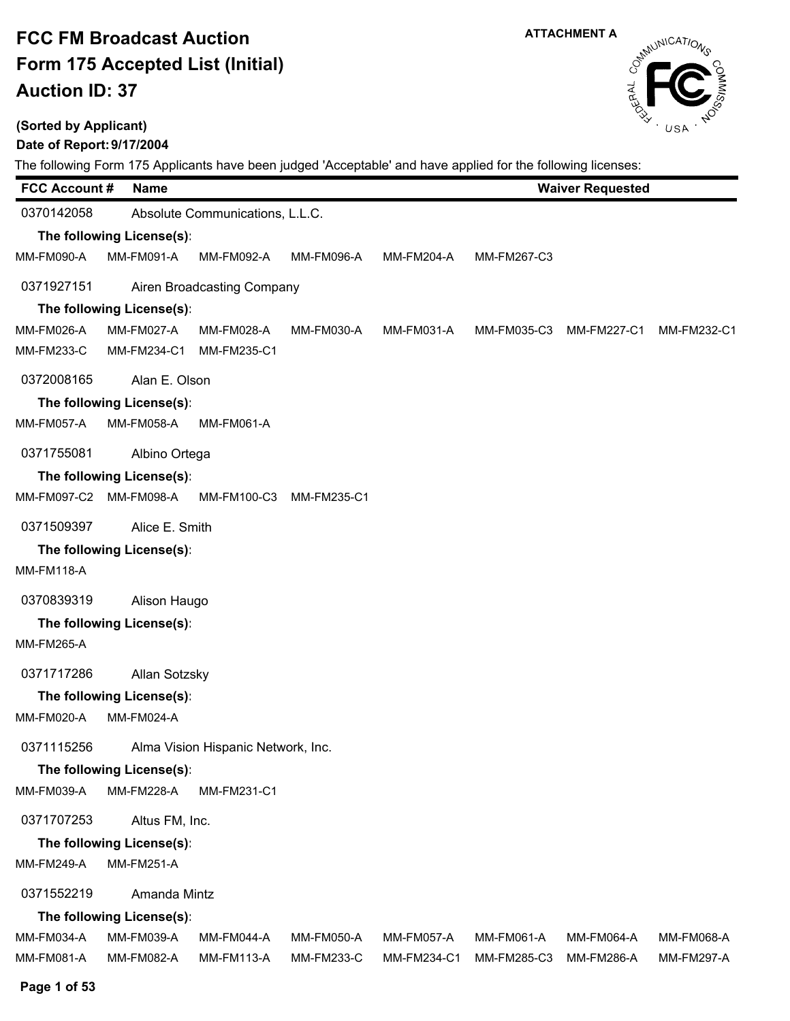

#### **(Sorted by Applicant) Date of Report:9/17/2004**

|                     |                           |                                    |                   |                   | The following Form 175 Applicants have been judged 'Acceptable' and have applied for the following licenses: |                         |                   |
|---------------------|---------------------------|------------------------------------|-------------------|-------------------|--------------------------------------------------------------------------------------------------------------|-------------------------|-------------------|
| <b>FCC Account#</b> | <b>Name</b>               |                                    |                   |                   |                                                                                                              | <b>Waiver Requested</b> |                   |
| 0370142058          |                           | Absolute Communications, L.L.C.    |                   |                   |                                                                                                              |                         |                   |
|                     | The following License(s): |                                    |                   |                   |                                                                                                              |                         |                   |
| <b>MM-FM090-A</b>   | <b>MM-FM091-A</b>         | MM-FM092-A                         | <b>MM-FM096-A</b> | <b>MM-FM204-A</b> | MM-FM267-C3                                                                                                  |                         |                   |
| 0371927151          |                           | Airen Broadcasting Company         |                   |                   |                                                                                                              |                         |                   |
|                     | The following License(s): |                                    |                   |                   |                                                                                                              |                         |                   |
| MM-FM026-A          | <b>MM-FM027-A</b>         | <b>MM-FM028-A</b>                  | <b>MM-FM030-A</b> | <b>MM-FM031-A</b> | MM-FM035-C3                                                                                                  | <b>MM-FM227-C1</b>      | MM-FM232-C1       |
| <b>MM-FM233-C</b>   | MM-FM234-C1               | MM-FM235-C1                        |                   |                   |                                                                                                              |                         |                   |
| 0372008165          | Alan E. Olson             |                                    |                   |                   |                                                                                                              |                         |                   |
|                     | The following License(s): |                                    |                   |                   |                                                                                                              |                         |                   |
| <b>MM-FM057-A</b>   | <b>MM-FM058-A</b>         | <b>MM-FM061-A</b>                  |                   |                   |                                                                                                              |                         |                   |
| 0371755081          | Albino Ortega             |                                    |                   |                   |                                                                                                              |                         |                   |
|                     | The following License(s): |                                    |                   |                   |                                                                                                              |                         |                   |
| MM-FM097-C2         | <b>MM-FM098-A</b>         | MM-FM100-C3                        | MM-FM235-C1       |                   |                                                                                                              |                         |                   |
| 0371509397          | Alice E. Smith            |                                    |                   |                   |                                                                                                              |                         |                   |
|                     | The following License(s): |                                    |                   |                   |                                                                                                              |                         |                   |
| <b>MM-FM118-A</b>   |                           |                                    |                   |                   |                                                                                                              |                         |                   |
| 0370839319          | Alison Haugo              |                                    |                   |                   |                                                                                                              |                         |                   |
|                     | The following License(s): |                                    |                   |                   |                                                                                                              |                         |                   |
| <b>MM-FM265-A</b>   |                           |                                    |                   |                   |                                                                                                              |                         |                   |
| 0371717286          | Allan Sotzsky             |                                    |                   |                   |                                                                                                              |                         |                   |
|                     | The following License(s): |                                    |                   |                   |                                                                                                              |                         |                   |
| <b>MM-FM020-A</b>   | <b>MM-FM024-A</b>         |                                    |                   |                   |                                                                                                              |                         |                   |
| 0371115256          |                           | Alma Vision Hispanic Network, Inc. |                   |                   |                                                                                                              |                         |                   |
|                     | The following License(s): |                                    |                   |                   |                                                                                                              |                         |                   |
| MM-FM039-A          | MM-FM228-A                | MM-FM231-C1                        |                   |                   |                                                                                                              |                         |                   |
| 0371707253          | Altus FM, Inc.            |                                    |                   |                   |                                                                                                              |                         |                   |
|                     | The following License(s): |                                    |                   |                   |                                                                                                              |                         |                   |
| <b>MM-FM249-A</b>   | <b>MM-FM251-A</b>         |                                    |                   |                   |                                                                                                              |                         |                   |
| 0371552219          | Amanda Mintz              |                                    |                   |                   |                                                                                                              |                         |                   |
|                     | The following License(s): |                                    |                   |                   |                                                                                                              |                         |                   |
| MM-FM034-A          | MM-FM039-A                | MM-FM044-A                         | <b>MM-FM050-A</b> | <b>MM-FM057-A</b> | MM-FM061-A                                                                                                   | <b>MM-FM064-A</b>       | MM-FM068-A        |
| MM-FM081-A          | MM-FM082-A                | <b>MM-FM113-A</b>                  | MM-FM233-C        | MM-FM234-C1       | MM-FM285-C3                                                                                                  | <b>MM-FM286-A</b>       | <b>MM-FM297-A</b> |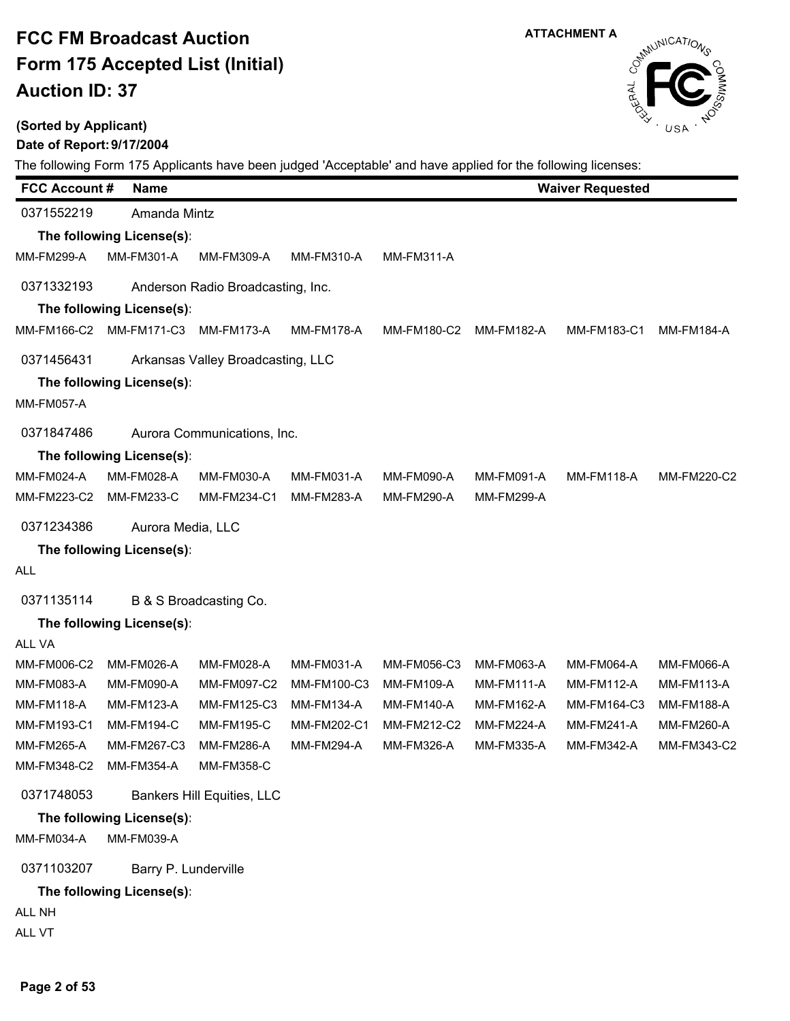

#### **(Sorted by Applicant) Date of Report:9/17/2004**

|                     | The following Form 175 Applicants have been judged 'Acceptable' and have applied for the following licenses: |                                   |                   |                        |                   |                   |                   |  |  |  |  |
|---------------------|--------------------------------------------------------------------------------------------------------------|-----------------------------------|-------------------|------------------------|-------------------|-------------------|-------------------|--|--|--|--|
| <b>FCC Account#</b> | <b>Name</b>                                                                                                  | <b>Waiver Requested</b>           |                   |                        |                   |                   |                   |  |  |  |  |
| 0371552219          | Amanda Mintz                                                                                                 |                                   |                   |                        |                   |                   |                   |  |  |  |  |
|                     | The following License(s):                                                                                    |                                   |                   |                        |                   |                   |                   |  |  |  |  |
| <b>MM-FM299-A</b>   | MM-FM301-A                                                                                                   | MM-FM309-A                        | <b>MM-FM310-A</b> | <b>MM-FM311-A</b>      |                   |                   |                   |  |  |  |  |
| 0371332193          |                                                                                                              | Anderson Radio Broadcasting, Inc. |                   |                        |                   |                   |                   |  |  |  |  |
|                     | The following License(s):                                                                                    |                                   |                   |                        |                   |                   |                   |  |  |  |  |
|                     | MM-FM166-C2 MM-FM171-C3 MM-FM173-A                                                                           |                                   | <b>MM-FM178-A</b> | MM-FM180-C2 MM-FM182-A |                   | MM-FM183-C1       | <b>MM-FM184-A</b> |  |  |  |  |
| 0371456431          |                                                                                                              | Arkansas Valley Broadcasting, LLC |                   |                        |                   |                   |                   |  |  |  |  |
|                     | The following License(s):                                                                                    |                                   |                   |                        |                   |                   |                   |  |  |  |  |
| <b>MM-FM057-A</b>   |                                                                                                              |                                   |                   |                        |                   |                   |                   |  |  |  |  |
| 0371847486          |                                                                                                              | Aurora Communications, Inc.       |                   |                        |                   |                   |                   |  |  |  |  |
|                     | The following License(s):                                                                                    |                                   |                   |                        |                   |                   |                   |  |  |  |  |
| <b>MM-FM024-A</b>   | MM-FM028-A                                                                                                   | MM-FM030-A                        | MM-FM031-A        | MM-FM090-A             | MM-FM091-A        | <b>MM-FM118-A</b> | MM-FM220-C2       |  |  |  |  |
| MM-FM223-C2         | <b>MM-FM233-C</b>                                                                                            | MM-FM234-C1                       | MM-FM283-A        | <b>MM-FM290-A</b>      | <b>MM-FM299-A</b> |                   |                   |  |  |  |  |
| 0371234386          | Aurora Media, LLC                                                                                            |                                   |                   |                        |                   |                   |                   |  |  |  |  |
|                     | The following License(s):                                                                                    |                                   |                   |                        |                   |                   |                   |  |  |  |  |
| ALL                 |                                                                                                              |                                   |                   |                        |                   |                   |                   |  |  |  |  |
| 0371135114          |                                                                                                              | B & S Broadcasting Co.            |                   |                        |                   |                   |                   |  |  |  |  |
|                     | The following License(s):                                                                                    |                                   |                   |                        |                   |                   |                   |  |  |  |  |
| ALL VA              |                                                                                                              |                                   |                   |                        |                   |                   |                   |  |  |  |  |
| MM-FM006-C2         | <b>MM-FM026-A</b>                                                                                            | MM-FM028-A                        | MM-FM031-A        | MM-FM056-C3            | MM-FM063-A        | MM-FM064-A        | <b>MM-FM066-A</b> |  |  |  |  |
| MM-FM083-A          | MM-FM090-A                                                                                                   | MM-FM097-C2                       | MM-FM100-C3       | MM-FM109-A             | <b>MM-FM111-A</b> | <b>MM-FM112-A</b> | MM-FM113-A        |  |  |  |  |
| <b>MM-FM118-A</b>   | <b>MM-FM123-A</b>                                                                                            | MM-FM125-C3                       | <b>MM-FM134-A</b> | <b>MM-FM140-A</b>      | <b>MM-FM162-A</b> | MM-FM164-C3       | <b>MM-FM188-A</b> |  |  |  |  |
| MM-FM193-C1         | <b>MM-FM194-C</b>                                                                                            | <b>MM-FM195-C</b>                 | MM-FM202-C1       | MM-FM212-C2            | <b>MM-FM224-A</b> | <b>MM-FM241-A</b> | MM-FM260-A        |  |  |  |  |
| <b>MM-FM265-A</b>   | MM-FM267-C3                                                                                                  | <b>MM-FM286-A</b>                 | <b>MM-FM294-A</b> | <b>MM-FM326-A</b>      | <b>MM-FM335-A</b> | MM-FM342-A        | MM-FM343-C2       |  |  |  |  |
| MM-FM348-C2         | <b>MM-FM354-A</b>                                                                                            | <b>MM-FM358-C</b>                 |                   |                        |                   |                   |                   |  |  |  |  |
| 0371748053          |                                                                                                              | Bankers Hill Equities, LLC        |                   |                        |                   |                   |                   |  |  |  |  |
|                     | The following License(s):                                                                                    |                                   |                   |                        |                   |                   |                   |  |  |  |  |
| <b>MM-FM034-A</b>   | <b>MM-FM039-A</b>                                                                                            |                                   |                   |                        |                   |                   |                   |  |  |  |  |
| 0371103207          | Barry P. Lunderville                                                                                         |                                   |                   |                        |                   |                   |                   |  |  |  |  |
|                     | The following License(s):                                                                                    |                                   |                   |                        |                   |                   |                   |  |  |  |  |
| ALL NH              |                                                                                                              |                                   |                   |                        |                   |                   |                   |  |  |  |  |
| ALL VT              |                                                                                                              |                                   |                   |                        |                   |                   |                   |  |  |  |  |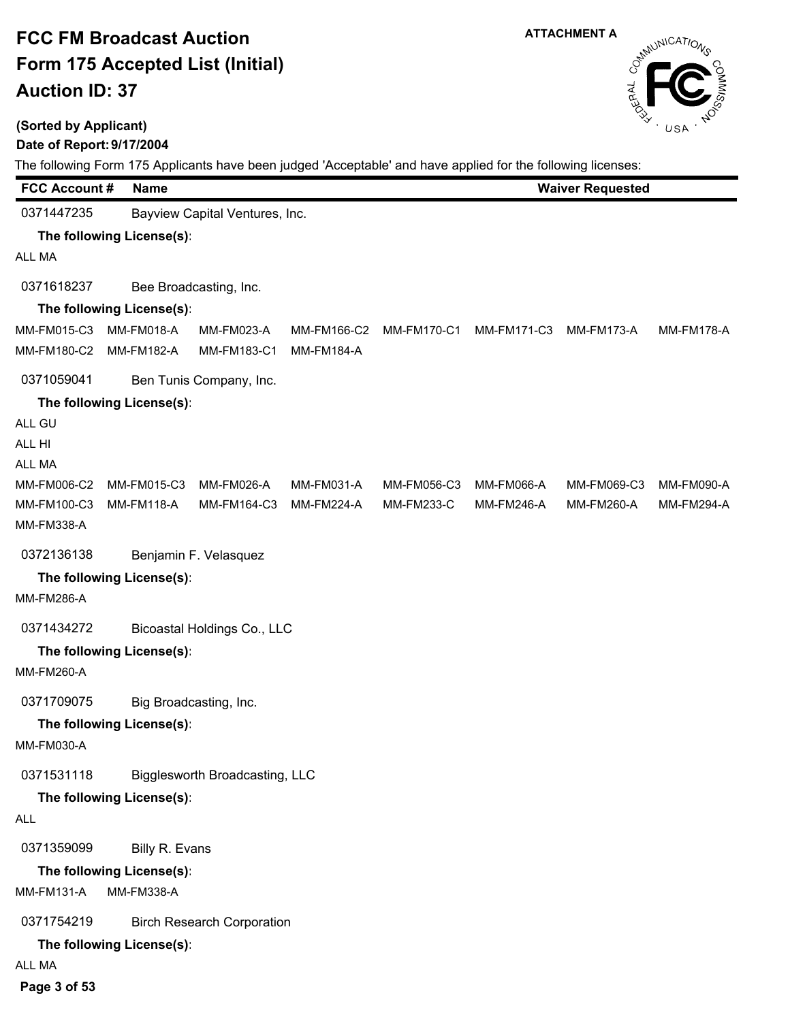

#### **(Sorted by Applicant)**

**Date of Report:9/17/2004**

#### **FCC Account # Name Waiver Requested** The following Form 175 Applicants have been judged 'Acceptable' and have applied for the following licenses: Bayview Capital Ventures, Inc. **The following License(s):** 0371447235 ALL MA Bee Broadcasting, Inc. **The following License(s):** 0371618237 MM-FM015-C3 MM-FM018-A MM-FM023-A MM-FM166-C2 MM-FM170-C1 MM-FM171-C3 MM-FM173-A MM-FM178-A MM-FM180-C2 MM-FM182-A MM-FM183-C1 MM-FM184-A Ben Tunis Company, Inc. **The following License(s):** 0371059041 ALL GU ALL HI ALL MA MM-FM006-C2 MM-FM015-C3 MM-FM026-A MM-FM031-A MM-FM056-C3 MM-FM066-A MM-FM069-C3 MM-FM090-A MM-FM100-C3 MM-FM118-A MM-FM164-C3 MM-FM224-A MM-FM233-C MM-FM246-A MM-FM260-A MM-FM294-A MM-FM338-A Benjamin F. Velasquez **The following License(s):** 0372136138 MM-FM286-A Bicoastal Holdings Co., LLC **The following License(s):** 0371434272 MM-FM260-A Big Broadcasting, Inc. **The following License(s):** 0371709075 MM-FM030-A Bigglesworth Broadcasting, LLC **The following License(s):** 0371531118 ALL Billy R. Evans **The following License(s):** 0371359099 MM-FM131-A MM-FM338-A Birch Research Corporation **The following License(s):** 0371754219 ALL MA **Page 3 of 53**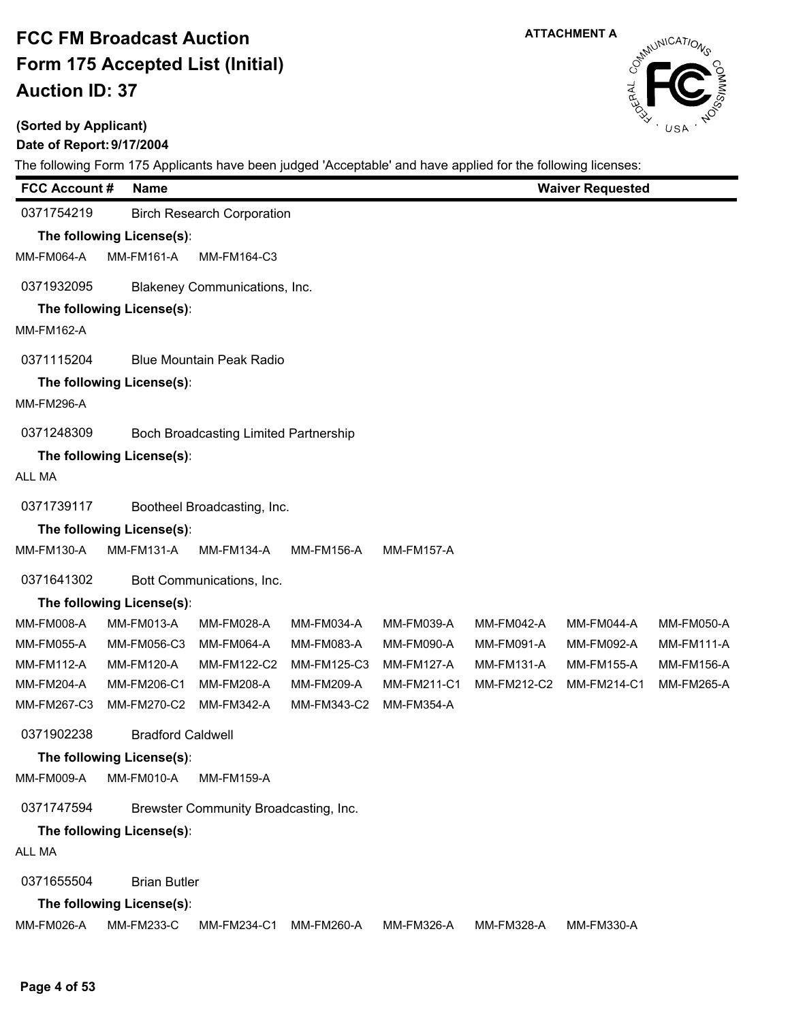#### **Date of Report:9/17/2004**

| <b>FCC Account#</b> | <b>Name</b>               | <b>Waiver Requested</b>                      |                   |                   |                   |                   |                   |
|---------------------|---------------------------|----------------------------------------------|-------------------|-------------------|-------------------|-------------------|-------------------|
| 0371754219          |                           | <b>Birch Research Corporation</b>            |                   |                   |                   |                   |                   |
|                     | The following License(s): |                                              |                   |                   |                   |                   |                   |
| <b>MM-FM064-A</b>   | <b>MM-FM161-A</b>         | MM-FM164-C3                                  |                   |                   |                   |                   |                   |
| 0371932095          |                           | Blakeney Communications, Inc.                |                   |                   |                   |                   |                   |
|                     | The following License(s): |                                              |                   |                   |                   |                   |                   |
| <b>MM-FM162-A</b>   |                           |                                              |                   |                   |                   |                   |                   |
| 0371115204          |                           | <b>Blue Mountain Peak Radio</b>              |                   |                   |                   |                   |                   |
|                     | The following License(s): |                                              |                   |                   |                   |                   |                   |
| <b>MM-FM296-A</b>   |                           |                                              |                   |                   |                   |                   |                   |
| 0371248309          |                           | <b>Boch Broadcasting Limited Partnership</b> |                   |                   |                   |                   |                   |
|                     | The following License(s): |                                              |                   |                   |                   |                   |                   |
| <b>ALL MA</b>       |                           |                                              |                   |                   |                   |                   |                   |
| 0371739117          |                           | Bootheel Broadcasting, Inc.                  |                   |                   |                   |                   |                   |
|                     | The following License(s): |                                              |                   |                   |                   |                   |                   |
| <b>MM-FM130-A</b>   | <b>MM-FM131-A</b>         | <b>MM-FM134-A</b>                            | <b>MM-FM156-A</b> | <b>MM-FM157-A</b> |                   |                   |                   |
| 0371641302          |                           | Bott Communications, Inc.                    |                   |                   |                   |                   |                   |
|                     | The following License(s): |                                              |                   |                   |                   |                   |                   |
| <b>MM-FM008-A</b>   | MM-FM013-A                | MM-FM028-A                                   | MM-FM034-A        | MM-FM039-A        | MM-FM042-A        | MM-FM044-A        | <b>MM-FM050-A</b> |
| <b>MM-FM055-A</b>   | MM-FM056-C3               | MM-FM064-A                                   | <b>MM-FM083-A</b> | <b>MM-FM090-A</b> | <b>MM-FM091-A</b> | MM-FM092-A        | <b>MM-FM111-A</b> |
| <b>MM-FM112-A</b>   | <b>MM-FM120-A</b>         | MM-FM122-C2                                  | MM-FM125-C3       | <b>MM-FM127-A</b> | <b>MM-FM131-A</b> | <b>MM-FM155-A</b> | <b>MM-FM156-A</b> |
| <b>MM-FM204-A</b>   | MM-FM206-C1               | MM-FM208-A                                   | MM-FM209-A        | MM-FM211-C1       | MM-FM212-C2       | MM-FM214-C1       | <b>MM-FM265-A</b> |
| MM-FM267-C3         | MM-FM270-C2               | <b>MM-FM342-A</b>                            | MM-FM343-C2       | <b>MM-FM354-A</b> |                   |                   |                   |
| 0371902238          | <b>Bradford Caldwell</b>  |                                              |                   |                   |                   |                   |                   |
|                     | The following License(s): |                                              |                   |                   |                   |                   |                   |
| <b>MM-FM009-A</b>   | MM-FM010-A                | <b>MM-FM159-A</b>                            |                   |                   |                   |                   |                   |
| 0371747594          |                           | Brewster Community Broadcasting, Inc.        |                   |                   |                   |                   |                   |
|                     | The following License(s): |                                              |                   |                   |                   |                   |                   |
| ALL MA              |                           |                                              |                   |                   |                   |                   |                   |
| 0371655504          | <b>Brian Butler</b>       |                                              |                   |                   |                   |                   |                   |
|                     | The following License(s): |                                              |                   |                   |                   |                   |                   |
| <b>MM-FM026-A</b>   | <b>MM-FM233-C</b>         | MM-FM234-C1                                  | <b>MM-FM260-A</b> | <b>MM-FM326-A</b> | <b>MM-FM328-A</b> | <b>MM-FM330-A</b> |                   |



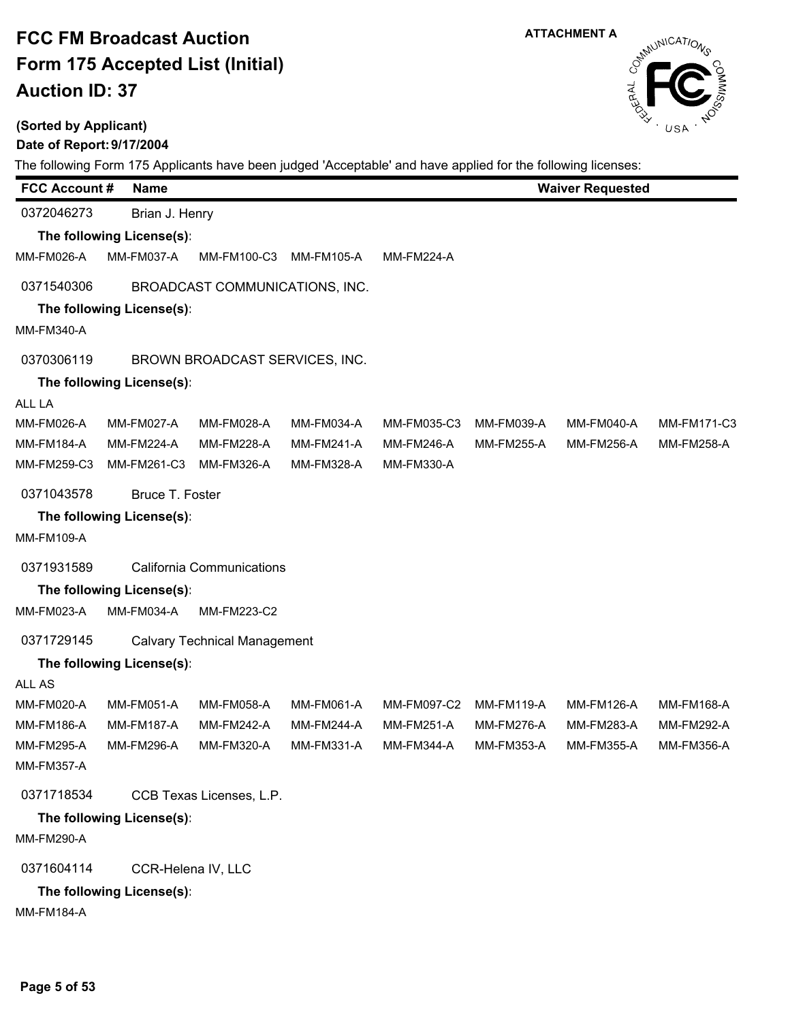

#### **(Sorted by Applicant)**

|  |  | Date of Report: 9/17/2004 |  |
|--|--|---------------------------|--|
|--|--|---------------------------|--|

| <b>FCC Account#</b><br><b>Name</b> |  |                   |                                     |                   | <b>Waiver Requested</b> |                   |                   |                   |  |
|------------------------------------|--|-------------------|-------------------------------------|-------------------|-------------------------|-------------------|-------------------|-------------------|--|
| 0372046273                         |  | Brian J. Henry    |                                     |                   |                         |                   |                   |                   |  |
| The following License(s):          |  |                   |                                     |                   |                         |                   |                   |                   |  |
| <b>MM-FM026-A</b>                  |  | <b>MM-FM037-A</b> | MM-FM100-C3                         | MM-FM105-A        | <b>MM-FM224-A</b>       |                   |                   |                   |  |
| 0371540306                         |  |                   | BROADCAST COMMUNICATIONS, INC.      |                   |                         |                   |                   |                   |  |
| The following License(s):          |  |                   |                                     |                   |                         |                   |                   |                   |  |
| MM-FM340-A                         |  |                   |                                     |                   |                         |                   |                   |                   |  |
| 0370306119                         |  |                   | BROWN BROADCAST SERVICES, INC.      |                   |                         |                   |                   |                   |  |
| The following License(s):          |  |                   |                                     |                   |                         |                   |                   |                   |  |
| ALL LA                             |  |                   |                                     |                   |                         |                   |                   |                   |  |
| MM-FM026-A                         |  | <b>MM-FM027-A</b> | MM-FM028-A                          | <b>MM-FM034-A</b> | MM-FM035-C3             | MM-FM039-A        | MM-FM040-A        | MM-FM171-C3       |  |
| <b>MM-FM184-A</b>                  |  | <b>MM-FM224-A</b> | <b>MM-FM228-A</b>                   | <b>MM-FM241-A</b> | MM-FM246-A              | <b>MM-FM255-A</b> | <b>MM-FM256-A</b> | <b>MM-FM258-A</b> |  |
| MM-FM259-C3                        |  | MM-FM261-C3       | MM-FM326-A                          | MM-FM328-A        | <b>MM-FM330-A</b>       |                   |                   |                   |  |
| 0371043578                         |  | Bruce T. Foster   |                                     |                   |                         |                   |                   |                   |  |
| The following License(s):          |  |                   |                                     |                   |                         |                   |                   |                   |  |
| MM-FM109-A                         |  |                   |                                     |                   |                         |                   |                   |                   |  |
| 0371931589                         |  |                   | California Communications           |                   |                         |                   |                   |                   |  |
| The following License(s):          |  |                   |                                     |                   |                         |                   |                   |                   |  |
| MM-FM023-A                         |  | MM-FM034-A        | MM-FM223-C2                         |                   |                         |                   |                   |                   |  |
| 0371729145                         |  |                   | <b>Calvary Technical Management</b> |                   |                         |                   |                   |                   |  |
| The following License(s):          |  |                   |                                     |                   |                         |                   |                   |                   |  |
| ALL AS                             |  |                   |                                     |                   |                         |                   |                   |                   |  |
| <b>MM-FM020-A</b>                  |  | <b>MM-FM051-A</b> | MM-FM058-A                          | <b>MM-FM061-A</b> | MM-FM097-C2             | <b>MM-FM119-A</b> | MM-FM126-A        | <b>MM-FM168-A</b> |  |
| <b>MM-FM186-A</b>                  |  | <b>MM-FM187-A</b> | <b>MM-FM242-A</b>                   | <b>MM-FM244-A</b> | <b>MM-FM251-A</b>       | <b>MM-FM276-A</b> | <b>MM-FM283-A</b> | MM-FM292-A        |  |
| <b>MM-FM295-A</b>                  |  | <b>MM-FM296-A</b> | MM-FM320-A                          | MM-FM331-A        | MM-FM344-A              | <b>MM-FM353-A</b> | <b>MM-FM355-A</b> | <b>MM-FM356-A</b> |  |
| <b>MM-FM357-A</b>                  |  |                   |                                     |                   |                         |                   |                   |                   |  |
| 0371718534                         |  |                   | CCB Texas Licenses, L.P.            |                   |                         |                   |                   |                   |  |
| The following License(s):          |  |                   |                                     |                   |                         |                   |                   |                   |  |
| <b>MM-FM290-A</b>                  |  |                   |                                     |                   |                         |                   |                   |                   |  |
| 0371604114                         |  |                   | CCR-Helena IV, LLC                  |                   |                         |                   |                   |                   |  |
| The following License(s):          |  |                   |                                     |                   |                         |                   |                   |                   |  |
| <b>MM-FM184-A</b>                  |  |                   |                                     |                   |                         |                   |                   |                   |  |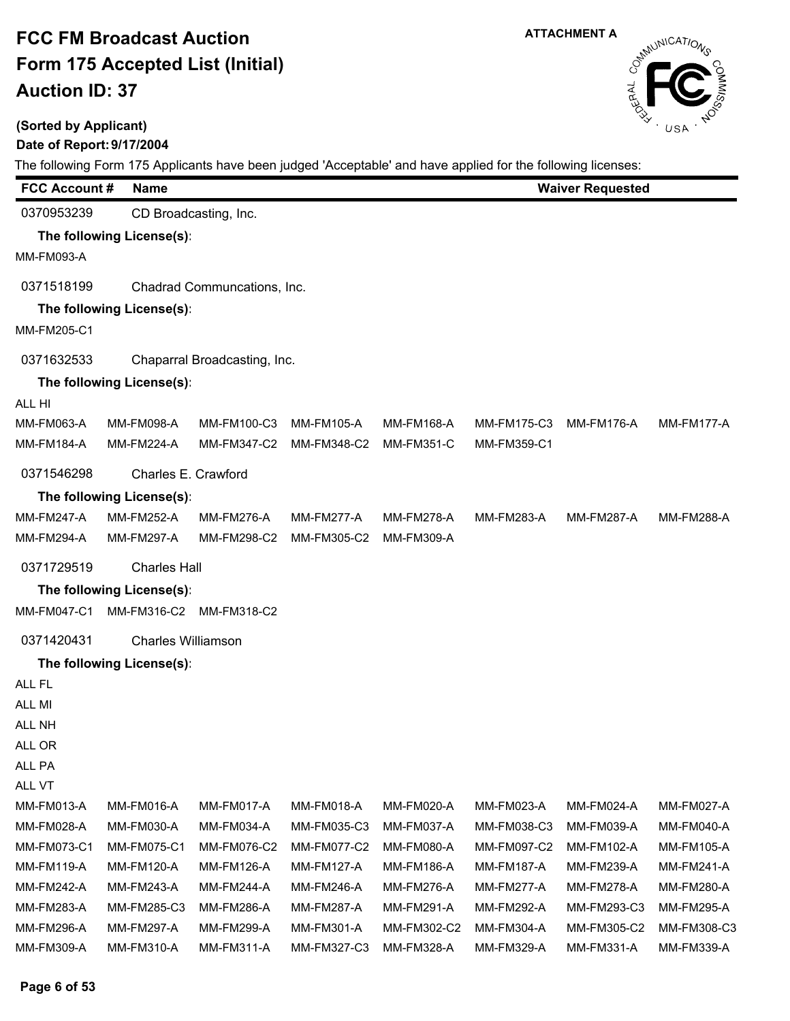

#### **(Sorted by Applicant)**

**Date of Report:9/17/2004**

|                   | <b>FCC Account#</b><br><b>Name</b> |                              |                   |                   |                   | <b>Waiver Requested</b> |                   |  |  |
|-------------------|------------------------------------|------------------------------|-------------------|-------------------|-------------------|-------------------------|-------------------|--|--|
| 0370953239        |                                    | CD Broadcasting, Inc.        |                   |                   |                   |                         |                   |  |  |
|                   | The following License(s):          |                              |                   |                   |                   |                         |                   |  |  |
| MM-FM093-A        |                                    |                              |                   |                   |                   |                         |                   |  |  |
| 0371518199        |                                    | Chadrad Communcations, Inc.  |                   |                   |                   |                         |                   |  |  |
|                   | The following License(s):          |                              |                   |                   |                   |                         |                   |  |  |
| MM-FM205-C1       |                                    |                              |                   |                   |                   |                         |                   |  |  |
| 0371632533        |                                    | Chaparral Broadcasting, Inc. |                   |                   |                   |                         |                   |  |  |
|                   | The following License(s):          |                              |                   |                   |                   |                         |                   |  |  |
| ALL HI            |                                    |                              |                   |                   |                   |                         |                   |  |  |
| MM-FM063-A        | <b>MM-FM098-A</b>                  | MM-FM100-C3                  | MM-FM105-A        | MM-FM168-A        | MM-FM175-C3       | <b>MM-FM176-A</b>       | MM-FM177-A        |  |  |
| <b>MM-FM184-A</b> | <b>MM-FM224-A</b>                  | MM-FM347-C2                  | MM-FM348-C2       | <b>MM-FM351-C</b> | MM-FM359-C1       |                         |                   |  |  |
| 0371546298        | Charles E. Crawford                |                              |                   |                   |                   |                         |                   |  |  |
|                   | The following License(s):          |                              |                   |                   |                   |                         |                   |  |  |
| <b>MM-FM247-A</b> | <b>MM-FM252-A</b>                  | <b>MM-FM276-A</b>            | <b>MM-FM277-A</b> | <b>MM-FM278-A</b> | <b>MM-FM283-A</b> | <b>MM-FM287-A</b>       | <b>MM-FM288-A</b> |  |  |
| <b>MM-FM294-A</b> | <b>MM-FM297-A</b>                  | MM-FM298-C2                  | MM-FM305-C2       | <b>MM-FM309-A</b> |                   |                         |                   |  |  |
| 0371729519        | <b>Charles Hall</b>                |                              |                   |                   |                   |                         |                   |  |  |
|                   | The following License(s):          |                              |                   |                   |                   |                         |                   |  |  |
| MM-FM047-C1       |                                    | MM-FM316-C2 MM-FM318-C2      |                   |                   |                   |                         |                   |  |  |
| 0371420431        | <b>Charles Williamson</b>          |                              |                   |                   |                   |                         |                   |  |  |
|                   | The following License(s):          |                              |                   |                   |                   |                         |                   |  |  |
| ALL FL            |                                    |                              |                   |                   |                   |                         |                   |  |  |
| <b>ALL MI</b>     |                                    |                              |                   |                   |                   |                         |                   |  |  |
| ALL NH            |                                    |                              |                   |                   |                   |                         |                   |  |  |
| ALL OR            |                                    |                              |                   |                   |                   |                         |                   |  |  |
| ALL PA            |                                    |                              |                   |                   |                   |                         |                   |  |  |
| ALL VT            |                                    |                              |                   |                   |                   |                         |                   |  |  |
| MM-FM013-A        | MM-FM016-A                         | MM-FM017-A                   | MM-FM018-A        | MM-FM020-A        | MM-FM023-A        | MM-FM024-A              | <b>MM-FM027-A</b> |  |  |
| MM-FM028-A        | MM-FM030-A                         | MM-FM034-A                   | MM-FM035-C3       | MM-FM037-A        | MM-FM038-C3       | MM-FM039-A              | MM-FM040-A        |  |  |
| MM-FM073-C1       | MM-FM075-C1                        | MM-FM076-C2                  | MM-FM077-C2       | MM-FM080-A        | MM-FM097-C2       | MM-FM102-A              | MM-FM105-A        |  |  |
| <b>MM-FM119-A</b> | MM-FM120-A                         | MM-FM126-A                   | <b>MM-FM127-A</b> | MM-FM186-A        | <b>MM-FM187-A</b> | MM-FM239-A              | <b>MM-FM241-A</b> |  |  |
| MM-FM242-A        | MM-FM243-A                         | MM-FM244-A                   | MM-FM246-A        | MM-FM276-A        | <b>MM-FM277-A</b> | <b>MM-FM278-A</b>       | MM-FM280-A        |  |  |
| MM-FM283-A        | MM-FM285-C3                        | <b>MM-FM286-A</b>            | MM-FM287-A        | MM-FM291-A        | <b>MM-FM292-A</b> | MM-FM293-C3             | MM-FM295-A        |  |  |
| MM-FM296-A        | MM-FM297-A                         | MM-FM299-A                   | MM-FM301-A        | MM-FM302-C2       | MM-FM304-A        | MM-FM305-C2             | MM-FM308-C3       |  |  |
| MM-FM309-A        | MM-FM310-A                         | MM-FM311-A                   | MM-FM327-C3       | MM-FM328-A        | MM-FM329-A        | MM-FM331-A              | MM-FM339-A        |  |  |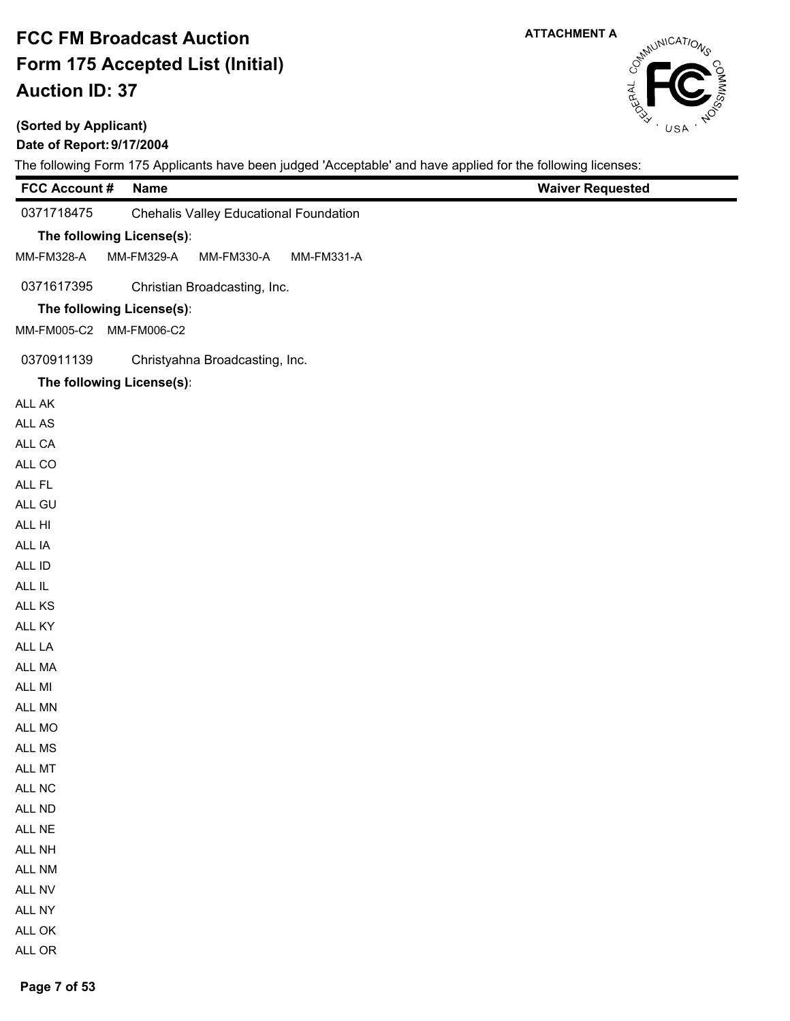#### **(Sorted by Applicant)**

**Date of Report:9/17/2004**

| <b>FCC Account#</b><br><b>Name</b>                          | <b>Waiver Requested</b> |
|-------------------------------------------------------------|-------------------------|
| 0371718475<br><b>Chehalis Valley Educational Foundation</b> |                         |
| The following License(s):                                   |                         |
| MM-FM328-A<br>MM-FM329-A<br>MM-FM330-A<br>MM-FM331-A        |                         |
| 0371617395<br>Christian Broadcasting, Inc.                  |                         |
| The following License(s):                                   |                         |
| MM-FM005-C2<br>MM-FM006-C2                                  |                         |
| 0370911139<br>Christyahna Broadcasting, Inc.                |                         |
| The following License(s):                                   |                         |
| ALL AK                                                      |                         |
| ALL AS                                                      |                         |
| ALL CA                                                      |                         |
| ALL CO                                                      |                         |
| ALL FL                                                      |                         |
| ALL GU                                                      |                         |
| ALL HI                                                      |                         |
| ALL IA                                                      |                         |
| ALL ID                                                      |                         |
| ALL IL                                                      |                         |
| ALL KS                                                      |                         |
| ALL KY                                                      |                         |
| ALL LA                                                      |                         |
| ALL MA                                                      |                         |
| ALL MI                                                      |                         |
| ALL MN                                                      |                         |
| ALL MO                                                      |                         |
| ALL MS                                                      |                         |
| ALL MT                                                      |                         |
| ALL NC                                                      |                         |
| ALL ND                                                      |                         |
| ALL NE                                                      |                         |
| ALL NH                                                      |                         |
| ALL NM                                                      |                         |
| ALL NV                                                      |                         |
| ALL NY                                                      |                         |
| ALL OK                                                      |                         |
| ALL OR                                                      |                         |

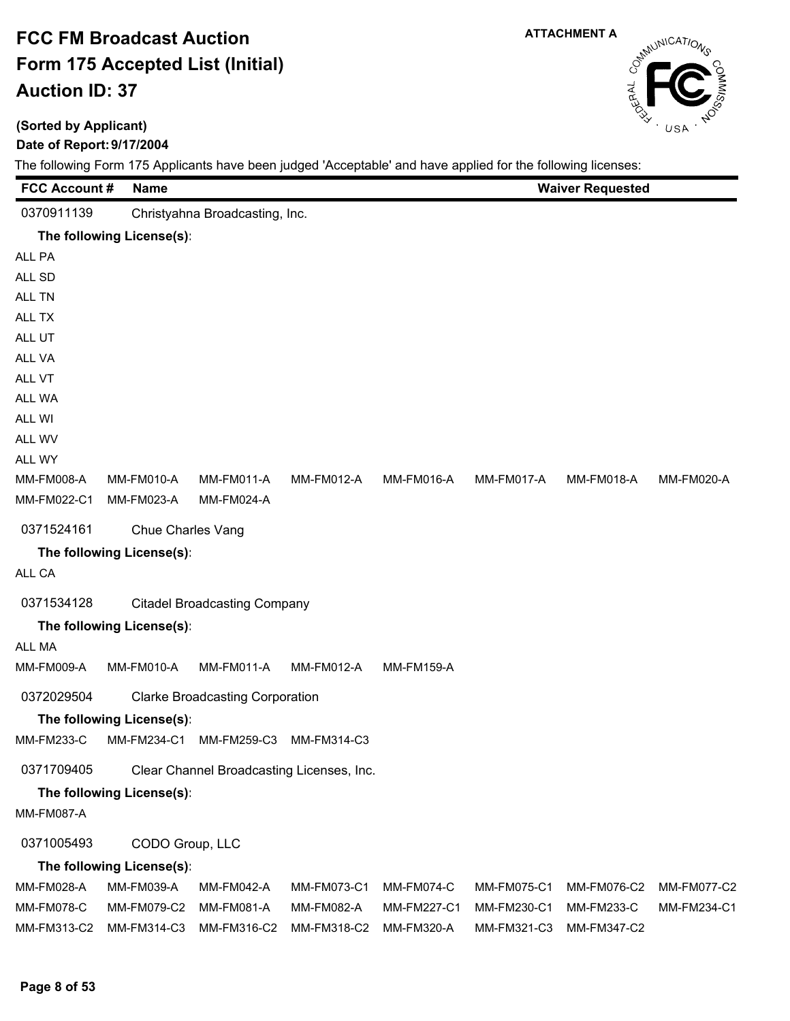**Date of Report:9/17/2004**

The following Form 175 Applicants have been judged 'Acceptable' and have applied for the following licenses:

| <b>FCC Account#</b> | <b>Name</b>               |                                           |             |                   |             | <b>Waiver Requested</b> |                   |  |  |
|---------------------|---------------------------|-------------------------------------------|-------------|-------------------|-------------|-------------------------|-------------------|--|--|
| 0370911139          |                           | Christyahna Broadcasting, Inc.            |             |                   |             |                         |                   |  |  |
|                     | The following License(s): |                                           |             |                   |             |                         |                   |  |  |
| <b>ALL PA</b>       |                           |                                           |             |                   |             |                         |                   |  |  |
| ALL SD              |                           |                                           |             |                   |             |                         |                   |  |  |
| ALL TN              |                           |                                           |             |                   |             |                         |                   |  |  |
| ALL TX              |                           |                                           |             |                   |             |                         |                   |  |  |
| ALL UT              |                           |                                           |             |                   |             |                         |                   |  |  |
| ALL VA              |                           |                                           |             |                   |             |                         |                   |  |  |
| ALL VT              |                           |                                           |             |                   |             |                         |                   |  |  |
| ALL WA              |                           |                                           |             |                   |             |                         |                   |  |  |
| ALL WI              |                           |                                           |             |                   |             |                         |                   |  |  |
| ALL WV              |                           |                                           |             |                   |             |                         |                   |  |  |
| ALL WY              |                           |                                           |             |                   |             |                         |                   |  |  |
| <b>MM-FM008-A</b>   | MM-FM010-A                | <b>MM-FM011-A</b>                         | MM-FM012-A  | MM-FM016-A        | MM-FM017-A  | MM-FM018-A              | <b>MM-FM020-A</b> |  |  |
| MM-FM022-C1         | MM-FM023-A                | MM-FM024-A                                |             |                   |             |                         |                   |  |  |
| 0371524161          | Chue Charles Vang         |                                           |             |                   |             |                         |                   |  |  |
|                     | The following License(s): |                                           |             |                   |             |                         |                   |  |  |
| ALL CA              |                           |                                           |             |                   |             |                         |                   |  |  |
| 0371534128          |                           | <b>Citadel Broadcasting Company</b>       |             |                   |             |                         |                   |  |  |
|                     | The following License(s): |                                           |             |                   |             |                         |                   |  |  |
| ALL MA              |                           |                                           |             |                   |             |                         |                   |  |  |
| MM-FM009-A          | MM-FM010-A                | MM-FM011-A                                | MM-FM012-A  | <b>MM-FM159-A</b> |             |                         |                   |  |  |
| 0372029504          |                           | <b>Clarke Broadcasting Corporation</b>    |             |                   |             |                         |                   |  |  |
|                     | The following License(s): |                                           |             |                   |             |                         |                   |  |  |
| <b>MM-FM233-C</b>   | MM-FM234-C1               | MM-FM259-C3                               | MM-FM314-C3 |                   |             |                         |                   |  |  |
| 0371709405          |                           | Clear Channel Broadcasting Licenses, Inc. |             |                   |             |                         |                   |  |  |
|                     | The following License(s): |                                           |             |                   |             |                         |                   |  |  |
| MM-FM087-A          |                           |                                           |             |                   |             |                         |                   |  |  |
| 0371005493          | CODO Group, LLC           |                                           |             |                   |             |                         |                   |  |  |
|                     | The following License(s): |                                           |             |                   |             |                         |                   |  |  |
| MM-FM028-A          | <b>MM-FM039-A</b>         | <b>MM-FM042-A</b>                         | MM-FM073-C1 | MM-FM074-C        | MM-FM075-C1 | MM-FM076-C2             | MM-FM077-C2       |  |  |
| <b>MM-FM078-C</b>   | MM-FM079-C2               | <b>MM-FM081-A</b>                         | MM-FM082-A  | MM-FM227-C1       | MM-FM230-C1 | MM-FM233-C              | MM-FM234-C1       |  |  |
| MM-FM313-C2         | MM-FM314-C3               | MM-FM316-C2                               | MM-FM318-C2 | MM-FM320-A        | MM-FM321-C3 | MM-FM347-C2             |                   |  |  |



**ATTACHMENT A**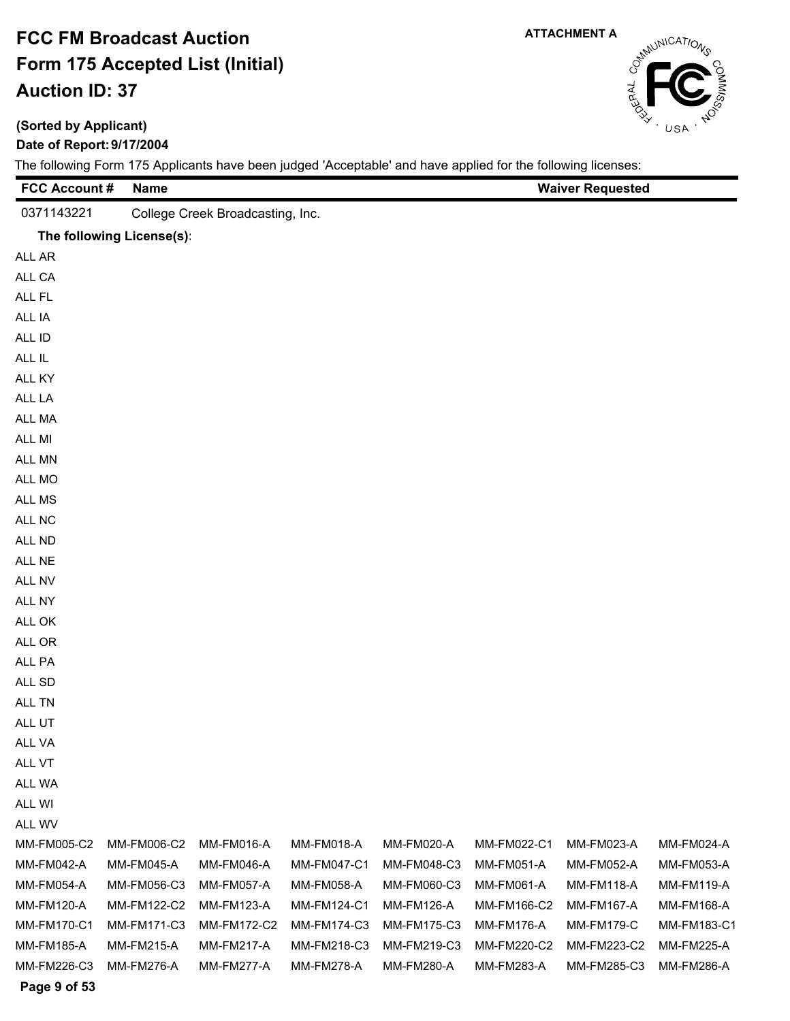**(Sorted by Applicant) Date of Report:9/17/2004**

The following Form 175 Applicants have been judged 'Acceptable' and have applied for the following licenses:

| <b>FCC Account#</b> | <b>Name</b>               |                                  |             |                   |                   | <b>Waiver Requested</b> |                   |
|---------------------|---------------------------|----------------------------------|-------------|-------------------|-------------------|-------------------------|-------------------|
| 0371143221          |                           | College Creek Broadcasting, Inc. |             |                   |                   |                         |                   |
|                     | The following License(s): |                                  |             |                   |                   |                         |                   |
| ALL AR              |                           |                                  |             |                   |                   |                         |                   |
| ALL CA              |                           |                                  |             |                   |                   |                         |                   |
| ALL FL              |                           |                                  |             |                   |                   |                         |                   |
| ALL IA              |                           |                                  |             |                   |                   |                         |                   |
| ALL ID              |                           |                                  |             |                   |                   |                         |                   |
| ALL IL              |                           |                                  |             |                   |                   |                         |                   |
| ALL KY              |                           |                                  |             |                   |                   |                         |                   |
| ALL LA              |                           |                                  |             |                   |                   |                         |                   |
| ALL MA              |                           |                                  |             |                   |                   |                         |                   |
| ALL MI              |                           |                                  |             |                   |                   |                         |                   |
| ALL MN              |                           |                                  |             |                   |                   |                         |                   |
| ALL MO              |                           |                                  |             |                   |                   |                         |                   |
| ALL MS              |                           |                                  |             |                   |                   |                         |                   |
| ALL NC              |                           |                                  |             |                   |                   |                         |                   |
| ALL ND              |                           |                                  |             |                   |                   |                         |                   |
| ALL NE              |                           |                                  |             |                   |                   |                         |                   |
| ALL NV              |                           |                                  |             |                   |                   |                         |                   |
| ALL NY              |                           |                                  |             |                   |                   |                         |                   |
| ALL OK              |                           |                                  |             |                   |                   |                         |                   |
| ALL OR              |                           |                                  |             |                   |                   |                         |                   |
| ALL PA              |                           |                                  |             |                   |                   |                         |                   |
| ALL SD              |                           |                                  |             |                   |                   |                         |                   |
| ALL TN              |                           |                                  |             |                   |                   |                         |                   |
| ALL UT              |                           |                                  |             |                   |                   |                         |                   |
| ALL VA              |                           |                                  |             |                   |                   |                         |                   |
| ALL VT              |                           |                                  |             |                   |                   |                         |                   |
| ALL WA              |                           |                                  |             |                   |                   |                         |                   |
| ALL WI              |                           |                                  |             |                   |                   |                         |                   |
| ALL WV              |                           |                                  |             |                   |                   |                         |                   |
| MM-FM005-C2         | MM-FM006-C2               | MM-FM016-A                       | MM-FM018-A  | MM-FM020-A        | MM-FM022-C1       | MM-FM023-A              | MM-FM024-A        |
| MM-FM042-A          | <b>MM-FM045-A</b>         | <b>MM-FM046-A</b>                | MM-FM047-C1 | MM-FM048-C3       | <b>MM-FM051-A</b> | MM-FM052-A              | MM-FM053-A        |
| <b>MM-FM054-A</b>   | MM-FM056-C3               | <b>MM-FM057-A</b>                | MM-FM058-A  | MM-FM060-C3       | MM-FM061-A        | <b>MM-FM118-A</b>       | <b>MM-FM119-A</b> |
| <b>MM-FM120-A</b>   | MM-FM122-C2               | <b>MM-FM123-A</b>                | MM-FM124-C1 | <b>MM-FM126-A</b> | MM-FM166-C2       | <b>MM-FM167-A</b>       | MM-FM168-A        |
| MM-FM170-C1         | MM-FM171-C3               | MM-FM172-C2                      | MM-FM174-C3 | MM-FM175-C3       | <b>MM-FM176-A</b> | <b>MM-FM179-C</b>       | MM-FM183-C1       |
| <b>MM-FM185-A</b>   | MM-FM215-A                | <b>MM-FM217-A</b>                | MM-FM218-C3 | MM-FM219-C3       | MM-FM220-C2       | MM-FM223-C2             | <b>MM-FM225-A</b> |
| MM-FM226-C3         | MM-FM276-A                | MM-FM277-A                       | MM-FM278-A  | MM-FM280-A        | MM-FM283-A        | MM-FM285-C3             | MM-FM286-A        |

Cathrunications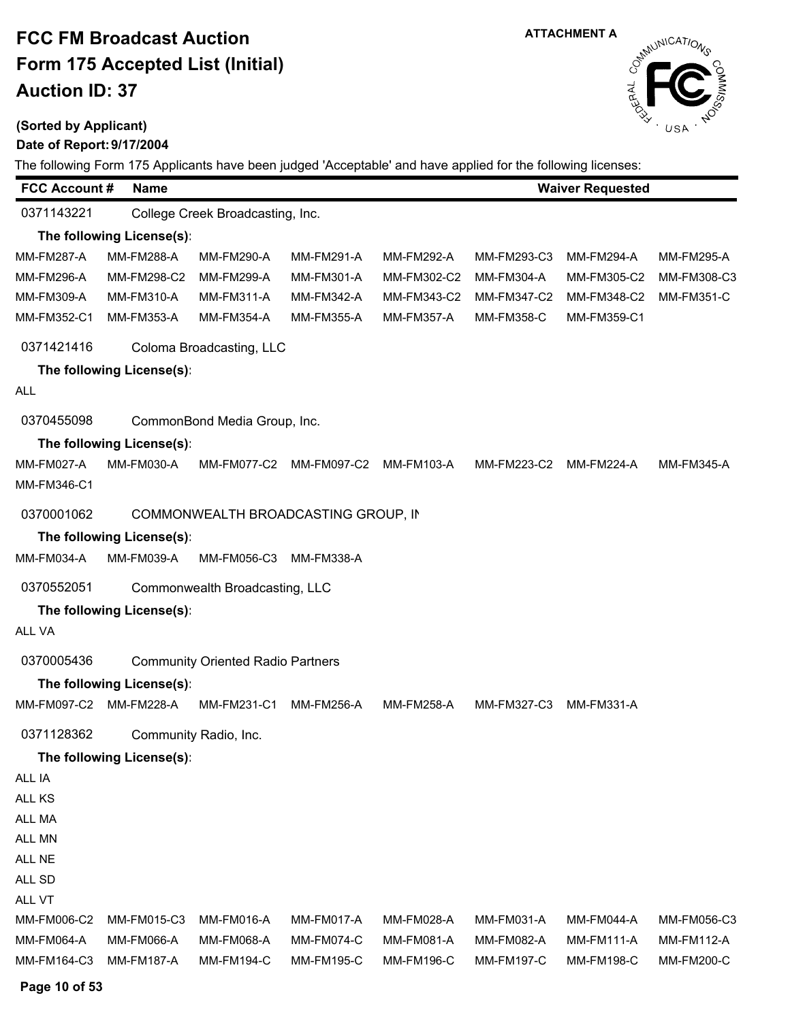

#### **(Sorted by Applicant)**

|  |  | Date of Report: 9/17/2004 |  |
|--|--|---------------------------|--|
|  |  |                           |  |

| <b>FCC Account#</b> | <b>Name</b>               |                                          |                                     |                   |                   | <b>Waiver Requested</b> |                   |
|---------------------|---------------------------|------------------------------------------|-------------------------------------|-------------------|-------------------|-------------------------|-------------------|
| 0371143221          |                           | College Creek Broadcasting, Inc.         |                                     |                   |                   |                         |                   |
|                     | The following License(s): |                                          |                                     |                   |                   |                         |                   |
| <b>MM-FM287-A</b>   | <b>MM-FM288-A</b>         | <b>MM-FM290-A</b>                        | <b>MM-FM291-A</b>                   | <b>MM-FM292-A</b> | MM-FM293-C3       | MM-FM294-A              | MM-FM295-A        |
| <b>MM-FM296-A</b>   | MM-FM298-C2               | <b>MM-FM299-A</b>                        | <b>MM-FM301-A</b>                   | MM-FM302-C2       | MM-FM304-A        | MM-FM305-C2             | MM-FM308-C3       |
| MM-FM309-A          | <b>MM-FM310-A</b>         | <b>MM-FM311-A</b>                        | MM-FM342-A                          | MM-FM343-C2       | MM-FM347-C2       | MM-FM348-C2             | <b>MM-FM351-C</b> |
| MM-FM352-C1         | <b>MM-FM353-A</b>         | MM-FM354-A                               | <b>MM-FM355-A</b>                   | <b>MM-FM357-A</b> | <b>MM-FM358-C</b> | MM-FM359-C1             |                   |
| 0371421416          |                           | Coloma Broadcasting, LLC                 |                                     |                   |                   |                         |                   |
|                     | The following License(s): |                                          |                                     |                   |                   |                         |                   |
| ALL                 |                           |                                          |                                     |                   |                   |                         |                   |
| 0370455098          |                           | CommonBond Media Group, Inc.             |                                     |                   |                   |                         |                   |
|                     | The following License(s): |                                          |                                     |                   |                   |                         |                   |
| <b>MM-FM027-A</b>   | MM-FM030-A                | MM-FM077-C2                              | MM-FM097-C2                         | MM-FM103-A        | MM-FM223-C2       | MM-FM224-A              | <b>MM-FM345-A</b> |
| MM-FM346-C1         |                           |                                          |                                     |                   |                   |                         |                   |
| 0370001062          |                           |                                          | COMMONWEALTH BROADCASTING GROUP, IN |                   |                   |                         |                   |
|                     | The following License(s): |                                          |                                     |                   |                   |                         |                   |
| <b>MM-FM034-A</b>   | MM-FM039-A                | MM-FM056-C3                              | MM-FM338-A                          |                   |                   |                         |                   |
| 0370552051          |                           | Commonwealth Broadcasting, LLC           |                                     |                   |                   |                         |                   |
|                     | The following License(s): |                                          |                                     |                   |                   |                         |                   |
| <b>ALL VA</b>       |                           |                                          |                                     |                   |                   |                         |                   |
| 0370005436          |                           | <b>Community Oriented Radio Partners</b> |                                     |                   |                   |                         |                   |
|                     | The following License(s): |                                          |                                     |                   |                   |                         |                   |
| MM-FM097-C2         | <b>MM-FM228-A</b>         | MM-FM231-C1                              | MM-FM256-A                          | <b>MM-FM258-A</b> | MM-FM327-C3       | <b>MM-FM331-A</b>       |                   |
| 0371128362          |                           | Community Radio, Inc.                    |                                     |                   |                   |                         |                   |
|                     | The following License(s): |                                          |                                     |                   |                   |                         |                   |
| ALL IA              |                           |                                          |                                     |                   |                   |                         |                   |
| ALL KS              |                           |                                          |                                     |                   |                   |                         |                   |
| ALL MA              |                           |                                          |                                     |                   |                   |                         |                   |
| ALL MN              |                           |                                          |                                     |                   |                   |                         |                   |
| ALL NE              |                           |                                          |                                     |                   |                   |                         |                   |
| ALL SD              |                           |                                          |                                     |                   |                   |                         |                   |
| ALL VT              |                           |                                          |                                     |                   |                   |                         |                   |
| MM-FM006-C2         | MM-FM015-C3               | MM-FM016-A                               | MM-FM017-A                          | MM-FM028-A        | MM-FM031-A        | MM-FM044-A              | MM-FM056-C3       |
| <b>MM-FM064-A</b>   | <b>MM-FM066-A</b>         | MM-FM068-A                               | MM-FM074-C                          | MM-FM081-A        | MM-FM082-A        | MM-FM111-A              | <b>MM-FM112-A</b> |
| MM-FM164-C3         | <b>MM-FM187-A</b>         | <b>MM-FM194-C</b>                        | <b>MM-FM195-C</b>                   | <b>MM-FM196-C</b> | <b>MM-FM197-C</b> | <b>MM-FM198-C</b>       | <b>MM-FM200-C</b> |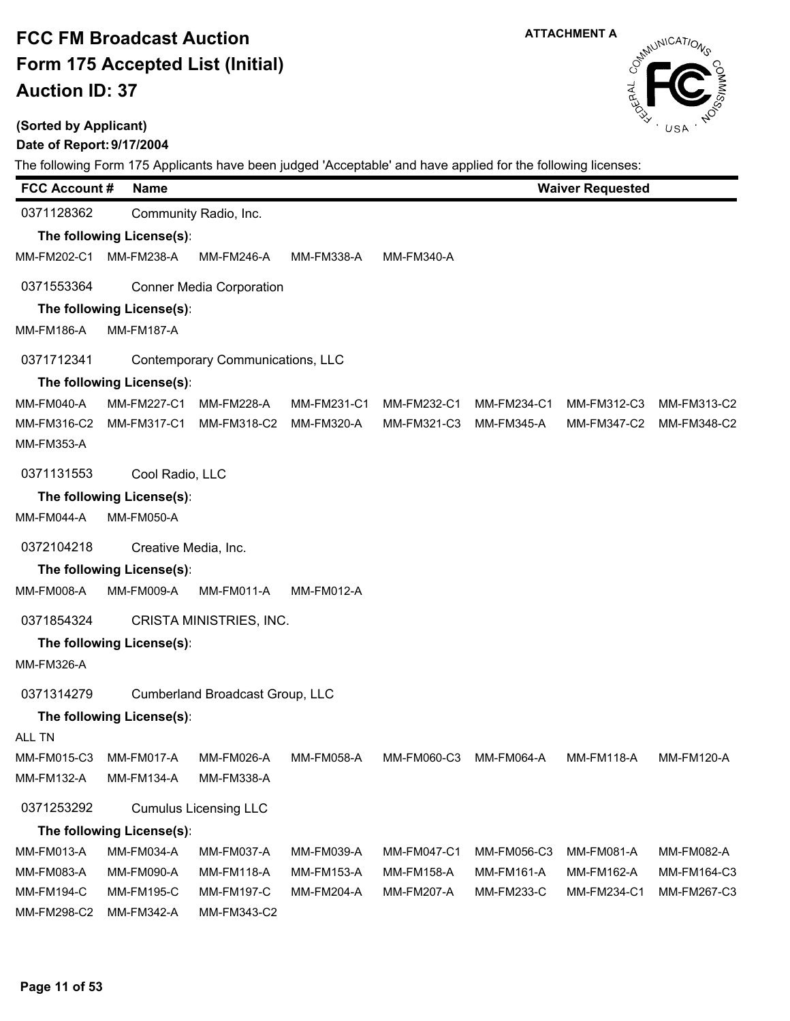

#### **(Sorted by Applicant)**

**Date of Report:9/17/2004**

| <b>FCC Account#</b> | <b>Name</b>               |                                  |                   | <b>Waiver Requested</b> |                   |                   |                   |
|---------------------|---------------------------|----------------------------------|-------------------|-------------------------|-------------------|-------------------|-------------------|
| 0371128362          |                           | Community Radio, Inc.            |                   |                         |                   |                   |                   |
|                     | The following License(s): |                                  |                   |                         |                   |                   |                   |
| MM-FM202-C1         | <b>MM-FM238-A</b>         | MM-FM246-A                       | <b>MM-FM338-A</b> | <b>MM-FM340-A</b>       |                   |                   |                   |
| 0371553364          |                           | <b>Conner Media Corporation</b>  |                   |                         |                   |                   |                   |
|                     | The following License(s): |                                  |                   |                         |                   |                   |                   |
| <b>MM-FM186-A</b>   | <b>MM-FM187-A</b>         |                                  |                   |                         |                   |                   |                   |
| 0371712341          |                           | Contemporary Communications, LLC |                   |                         |                   |                   |                   |
|                     | The following License(s): |                                  |                   |                         |                   |                   |                   |
| <b>MM-FM040-A</b>   | <b>MM-FM227-C1</b>        | MM-FM228-A                       | MM-FM231-C1       | MM-FM232-C1             | MM-FM234-C1       | MM-FM312-C3       | MM-FM313-C2       |
| MM-FM316-C2         | MM-FM317-C1               | MM-FM318-C2                      | MM-FM320-A        | MM-FM321-C3             | MM-FM345-A        | MM-FM347-C2       | MM-FM348-C2       |
| <b>MM-FM353-A</b>   |                           |                                  |                   |                         |                   |                   |                   |
| 0371131553          | Cool Radio, LLC           |                                  |                   |                         |                   |                   |                   |
|                     | The following License(s): |                                  |                   |                         |                   |                   |                   |
| MM-FM044-A          | <b>MM-FM050-A</b>         |                                  |                   |                         |                   |                   |                   |
| 0372104218          |                           | Creative Media, Inc.             |                   |                         |                   |                   |                   |
|                     | The following License(s): |                                  |                   |                         |                   |                   |                   |
| MM-FM008-A          | MM-FM009-A                | MM-FM011-A                       | MM-FM012-A        |                         |                   |                   |                   |
| 0371854324          |                           | CRISTA MINISTRIES, INC.          |                   |                         |                   |                   |                   |
|                     | The following License(s): |                                  |                   |                         |                   |                   |                   |
| MM-FM326-A          |                           |                                  |                   |                         |                   |                   |                   |
| 0371314279          |                           | Cumberland Broadcast Group, LLC  |                   |                         |                   |                   |                   |
|                     | The following License(s): |                                  |                   |                         |                   |                   |                   |
| ALL TN              |                           |                                  |                   |                         |                   |                   |                   |
| MM-FM015-C3         | MM-FM017-A                | MM-FM026-A                       | MM-FM058-A        | MM-FM060-C3             | <b>MM-FM064-A</b> | <b>MM-FM118-A</b> | <b>MM-FM120-A</b> |
| MM-FM132-A          | <b>MM-FM134-A</b>         | MM-FM338-A                       |                   |                         |                   |                   |                   |
| 0371253292          |                           | <b>Cumulus Licensing LLC</b>     |                   |                         |                   |                   |                   |
|                     | The following License(s): |                                  |                   |                         |                   |                   |                   |
| MM-FM013-A          | MM-FM034-A                | MM-FM037-A                       | MM-FM039-A        | <b>MM-FM047-C1</b>      | MM-FM056-C3       | MM-FM081-A        | MM-FM082-A        |
| MM-FM083-A          | <b>MM-FM090-A</b>         | <b>MM-FM118-A</b>                | <b>MM-FM153-A</b> | <b>MM-FM158-A</b>       | <b>MM-FM161-A</b> | MM-FM162-A        | MM-FM164-C3       |
| <b>MM-FM194-C</b>   | <b>MM-FM195-C</b>         | <b>MM-FM197-C</b>                | MM-FM204-A        | <b>MM-FM207-A</b>       | <b>MM-FM233-C</b> | MM-FM234-C1       | MM-FM267-C3       |
| MM-FM298-C2         | MM-FM342-A                | MM-FM343-C2                      |                   |                         |                   |                   |                   |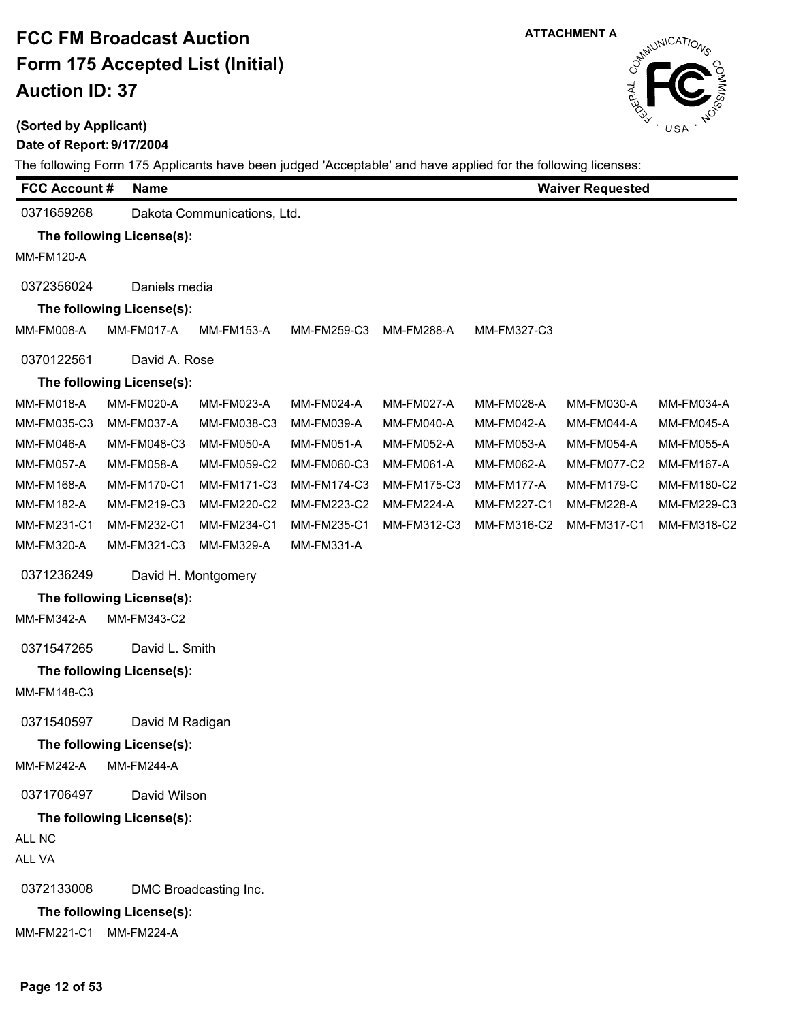**(Sorted by Applicant)**



#### **FCC Account # Name Waiver Requested Date of Report:9/17/2004** The following Form 175 Applicants have been judged 'Acceptable' and have applied for the following licenses: Dakota Communications, Ltd. **The following License(s):** 0371659268 MM-FM120-A Daniels media **The following License(s):** 0372356024 MM-FM008-A MM-FM017-A MM-FM153-A MM-FM259-C3 MM-FM288-A MM-FM327-C3 David A. Rose **The following License(s):** 0370122561 MM-FM018-A MM-FM020-A MM-FM023-A MM-FM024-A MM-FM027-A MM-FM028-A MM-FM030-A MM-FM034-A MM-FM035-C3 MM-FM037-A MM-FM038-C3 MM-FM039-A MM-FM040-A MM-FM042-A MM-FM044-A MM-FM045-A MM-FM046-A MM-FM048-C3 MM-FM050-A MM-FM051-A MM-FM052-A MM-FM053-A MM-FM054-A MM-FM055-A MM-FM057-A MM-FM058-A MM-FM059-C2 MM-FM060-C3 MM-FM061-A MM-FM062-A MM-FM077-C2 MM-FM167-A MM-FM168-A MM-FM170-C1 MM-FM171-C3 MM-FM174-C3 MM-FM175-C3 MM-FM177-A MM-FM179-C MM-FM180-C2 MM-FM182-A MM-FM219-C3 MM-FM220-C2 MM-FM223-C2 MM-FM224-A MM-FM227-C1 MM-FM228-A MM-FM229-C3 MM-FM231-C1 MM-FM232-C1 MM-FM234-C1 MM-FM235-C1 MM-FM312-C3 MM-FM316-C2 MM-FM317-C1 MM-FM318-C2 MM-FM320-A MM-FM321-C3 MM-FM329-A MM-FM331-A David H. Montgomery **The following License(s):** 0371236249 MM-FM342-A MM-FM343-C2 David L. Smith **The following License(s):** 0371547265 MM-FM148-C3 David M Radigan **The following License(s):** 0371540597 MM-FM242-A MM-FM244-A David Wilson **The following License(s):** 0371706497 ALL NC ALL VA DMC Broadcasting Inc. **The following License(s):** 0372133008 MM-FM221-C1 MM-FM224-A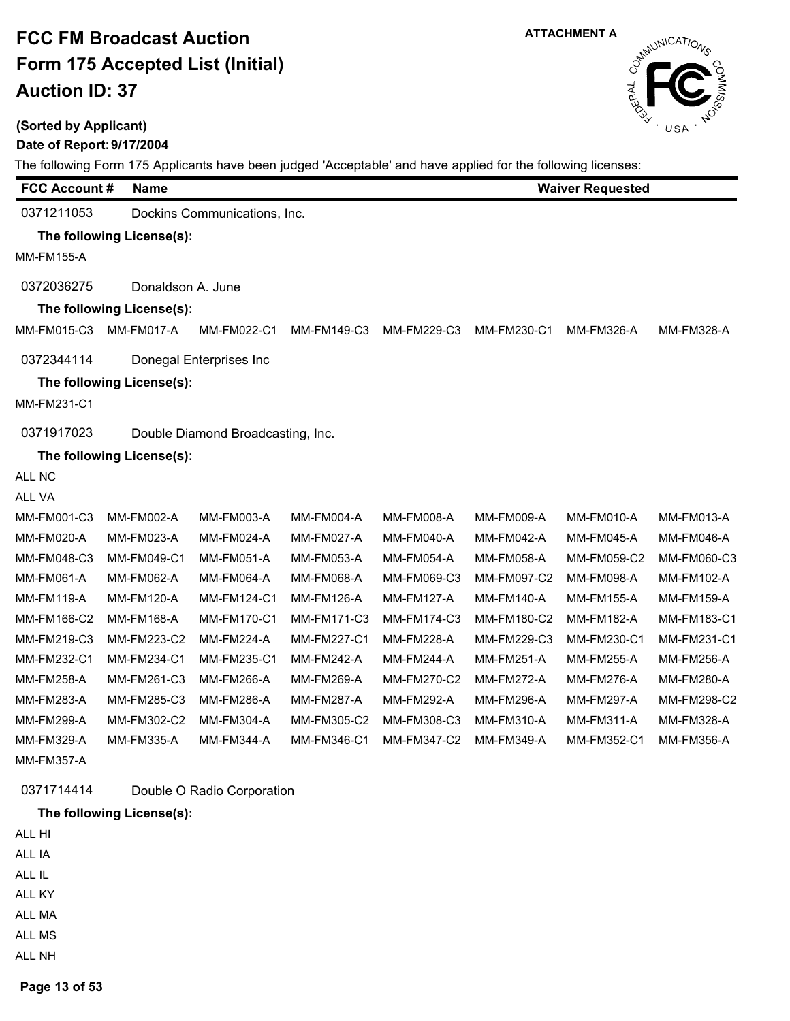#### **Date of Report:9/17/2004**

The following Form 175 Applicants have been judged 'Acceptable' and have applied for the following licenses:

| <b>FCC Account#</b> | <b>Waiver Requested</b><br><b>Name</b> |                                   |                   |                   |                   |                   |                   |
|---------------------|----------------------------------------|-----------------------------------|-------------------|-------------------|-------------------|-------------------|-------------------|
| 0371211053          |                                        | Dockins Communications, Inc.      |                   |                   |                   |                   |                   |
|                     | The following License(s):              |                                   |                   |                   |                   |                   |                   |
| <b>MM-FM155-A</b>   |                                        |                                   |                   |                   |                   |                   |                   |
| 0372036275          | Donaldson A. June                      |                                   |                   |                   |                   |                   |                   |
|                     | The following License(s):              |                                   |                   |                   |                   |                   |                   |
| MM-FM015-C3         | MM-FM017-A                             | MM-FM022-C1                       | MM-FM149-C3       | MM-FM229-C3       | MM-FM230-C1       | MM-FM326-A        | <b>MM-FM328-A</b> |
| 0372344114          |                                        | Donegal Enterprises Inc           |                   |                   |                   |                   |                   |
|                     | The following License(s):              |                                   |                   |                   |                   |                   |                   |
| MM-FM231-C1         |                                        |                                   |                   |                   |                   |                   |                   |
| 0371917023          |                                        | Double Diamond Broadcasting, Inc. |                   |                   |                   |                   |                   |
|                     | The following License(s):              |                                   |                   |                   |                   |                   |                   |
| ALL NC              |                                        |                                   |                   |                   |                   |                   |                   |
| ALL VA              |                                        |                                   |                   |                   |                   |                   |                   |
| MM-FM001-C3         | MM-FM002-A                             | MM-FM003-A                        | MM-FM004-A        | MM-FM008-A        | MM-FM009-A        | MM-FM010-A        | MM-FM013-A        |
| MM-FM020-A          | MM-FM023-A                             | MM-FM024-A                        | MM-FM027-A        | MM-FM040-A        | <b>MM-FM042-A</b> | MM-FM045-A        | MM-FM046-A        |
| MM-FM048-C3         | MM-FM049-C1                            | <b>MM-FM051-A</b>                 | <b>MM-FM053-A</b> | MM-FM054-A        | <b>MM-FM058-A</b> | MM-FM059-C2       | MM-FM060-C3       |
| <b>MM-FM061-A</b>   | <b>MM-FM062-A</b>                      | <b>MM-FM064-A</b>                 | MM-FM068-A        | MM-FM069-C3       | MM-FM097-C2       | <b>MM-FM098-A</b> | <b>MM-FM102-A</b> |
| <b>MM-FM119-A</b>   | <b>MM-FM120-A</b>                      | MM-FM124-C1                       | <b>MM-FM126-A</b> | <b>MM-FM127-A</b> | <b>MM-FM140-A</b> | <b>MM-FM155-A</b> | <b>MM-FM159-A</b> |
| MM-FM166-C2         | <b>MM-FM168-A</b>                      | MM-FM170-C1                       | MM-FM171-C3       | MM-FM174-C3       | MM-FM180-C2       | <b>MM-FM182-A</b> | MM-FM183-C1       |
| MM-FM219-C3         | MM-FM223-C2                            | <b>MM-FM224-A</b>                 | MM-FM227-C1       | <b>MM-FM228-A</b> | MM-FM229-C3       | MM-FM230-C1       | MM-FM231-C1       |
| MM-FM232-C1         | MM-FM234-C1                            | MM-FM235-C1                       | <b>MM-FM242-A</b> | <b>MM-FM244-A</b> | <b>MM-FM251-A</b> | <b>MM-FM255-A</b> | <b>MM-FM256-A</b> |
| <b>MM-FM258-A</b>   | MM-FM261-C3                            | <b>MM-FM266-A</b>                 | MM-FM269-A        | MM-FM270-C2       | <b>MM-FM272-A</b> | <b>MM-FM276-A</b> | MM-FM280-A        |
| MM-FM283-A          | MM-FM285-C3                            | <b>MM-FM286-A</b>                 | <b>MM-FM287-A</b> | MM-FM292-A        | <b>MM-FM296-A</b> | <b>MM-FM297-A</b> | MM-FM298-C2       |
| MM-FM299-A          | MM-FM302-C2                            | MM-FM304-A                        | MM-FM305-C2       | MM-FM308-C3       | MM-FM310-A        | MM-FM311-A        | MM-FM328-A        |
| <b>MM-FM329-A</b>   | <b>MM-FM335-A</b>                      | <b>MM-FM344-A</b>                 | MM-FM346-C1       | MM-FM347-C2       | <b>MM-FM349-A</b> | MM-FM352-C1       | <b>MM-FM356-A</b> |
| <b>MM-FM357-A</b>   |                                        |                                   |                   |                   |                   |                   |                   |

Double O Radio Corporation 0371714414

#### **The following License(s):**

- ALL HI
- ALL IA
- ALL IL
- ALL KY
- ALL MA
- ALL MS
- ALL NH

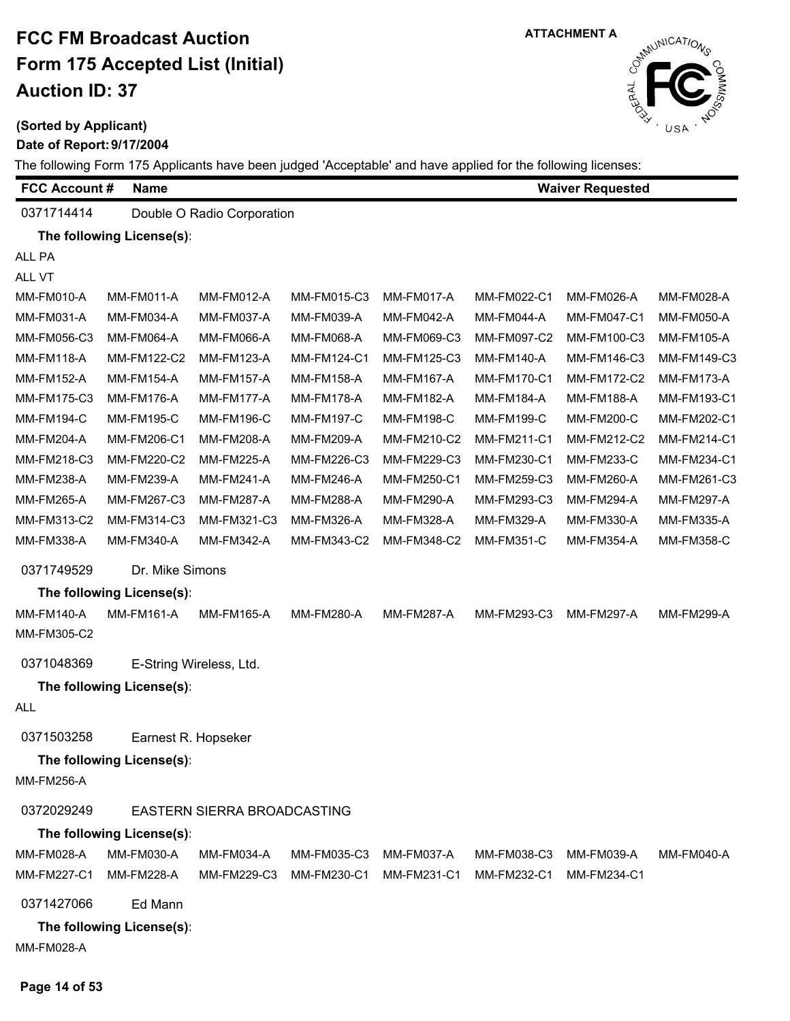

#### **(Sorted by Applicant)**

| Date of Report: 9/17/2004 |  |
|---------------------------|--|
|---------------------------|--|

| <b>FCC Account#</b><br><b>Waiver Requested</b><br><b>Name</b> |                           |                             |                   |                   |                    |                   |                   |
|---------------------------------------------------------------|---------------------------|-----------------------------|-------------------|-------------------|--------------------|-------------------|-------------------|
| 0371714414                                                    |                           | Double O Radio Corporation  |                   |                   |                    |                   |                   |
|                                                               | The following License(s): |                             |                   |                   |                    |                   |                   |
| ALL PA                                                        |                           |                             |                   |                   |                    |                   |                   |
| ALL VT                                                        |                           |                             |                   |                   |                    |                   |                   |
| MM-FM010-A                                                    | MM-FM011-A                | MM-FM012-A                  | MM-FM015-C3       | MM-FM017-A        | MM-FM022-C1        | MM-FM026-A        | MM-FM028-A        |
| MM-FM031-A                                                    | MM-FM034-A                | MM-FM037-A                  | MM-FM039-A        | MM-FM042-A        | MM-FM044-A         | MM-FM047-C1       | MM-FM050-A        |
| MM-FM056-C3                                                   | <b>MM-FM064-A</b>         | <b>MM-FM066-A</b>           | MM-FM068-A        | MM-FM069-C3       | MM-FM097-C2        | MM-FM100-C3       | <b>MM-FM105-A</b> |
| <b>MM-FM118-A</b>                                             | MM-FM122-C2               | <b>MM-FM123-A</b>           | MM-FM124-C1       | MM-FM125-C3       | <b>MM-FM140-A</b>  | MM-FM146-C3       | MM-FM149-C3       |
| MM-FM152-A                                                    | <b>MM-FM154-A</b>         | <b>MM-FM157-A</b>           | <b>MM-FM158-A</b> | MM-FM167-A        | <b>MM-FM170-C1</b> | MM-FM172-C2       | MM-FM173-A        |
| MM-FM175-C3                                                   | <b>MM-FM176-A</b>         | MM-FM177-A                  | <b>MM-FM178-A</b> | <b>MM-FM182-A</b> | <b>MM-FM184-A</b>  | MM-FM188-A        | MM-FM193-C1       |
| <b>MM-FM194-C</b>                                             | <b>MM-FM195-C</b>         | <b>MM-FM196-C</b>           | <b>MM-FM197-C</b> | <b>MM-FM198-C</b> | MM-FM199-C         | MM-FM200-C        | MM-FM202-C1       |
| MM-FM204-A                                                    | MM-FM206-C1               | MM-FM208-A                  | MM-FM209-A        | MM-FM210-C2       | MM-FM211-C1        | MM-FM212-C2       | MM-FM214-C1       |
| MM-FM218-C3                                                   | MM-FM220-C2               | <b>MM-FM225-A</b>           | MM-FM226-C3       | MM-FM229-C3       | MM-FM230-C1        | MM-FM233-C        | MM-FM234-C1       |
| MM-FM238-A                                                    | MM-FM239-A                | <b>MM-FM241-A</b>           | <b>MM-FM246-A</b> | MM-FM250-C1       | MM-FM259-C3        | MM-FM260-A        | MM-FM261-C3       |
| MM-FM265-A                                                    | MM-FM267-C3               | <b>MM-FM287-A</b>           | MM-FM288-A        | MM-FM290-A        | MM-FM293-C3        | <b>MM-FM294-A</b> | <b>MM-FM297-A</b> |
| MM-FM313-C2                                                   | MM-FM314-C3               | MM-FM321-C3                 | MM-FM326-A        | MM-FM328-A        | MM-FM329-A         | MM-FM330-A        | MM-FM335-A        |
| MM-FM338-A                                                    | MM-FM340-A                | MM-FM342-A                  | MM-FM343-C2       | MM-FM348-C2       | <b>MM-FM351-C</b>  | MM-FM354-A        | MM-FM358-C        |
| 0371749529                                                    | Dr. Mike Simons           |                             |                   |                   |                    |                   |                   |
|                                                               | The following License(s): |                             |                   |                   |                    |                   |                   |
| <b>MM-FM140-A</b>                                             | <b>MM-FM161-A</b>         | <b>MM-FM165-A</b>           | MM-FM280-A        | <b>MM-FM287-A</b> | MM-FM293-C3        | <b>MM-FM297-A</b> | MM-FM299-A        |
| MM-FM305-C2                                                   |                           |                             |                   |                   |                    |                   |                   |
| 0371048369                                                    |                           | E-String Wireless, Ltd.     |                   |                   |                    |                   |                   |
|                                                               | The following License(s): |                             |                   |                   |                    |                   |                   |
| ALL                                                           |                           |                             |                   |                   |                    |                   |                   |
| 0371503258                                                    |                           | Earnest R. Hopseker         |                   |                   |                    |                   |                   |
|                                                               | The following License(s): |                             |                   |                   |                    |                   |                   |
| <b>MM-FM256-A</b>                                             |                           |                             |                   |                   |                    |                   |                   |
| 0372029249                                                    |                           | EASTERN SIERRA BROADCASTING |                   |                   |                    |                   |                   |
|                                                               | The following License(s): |                             |                   |                   |                    |                   |                   |
| <b>MM-FM028-A</b>                                             | <b>MM-FM030-A</b>         | MM-FM034-A                  | MM-FM035-C3       | MM-FM037-A        | MM-FM038-C3        | MM-FM039-A        | MM-FM040-A        |
| MM-FM227-C1                                                   | <b>MM-FM228-A</b>         | MM-FM229-C3                 | MM-FM230-C1       | MM-FM231-C1       | MM-FM232-C1        | MM-FM234-C1       |                   |
| 0371427066                                                    | Ed Mann                   |                             |                   |                   |                    |                   |                   |
|                                                               | The following License(s): |                             |                   |                   |                    |                   |                   |
| MM-FM028-A                                                    |                           |                             |                   |                   |                    |                   |                   |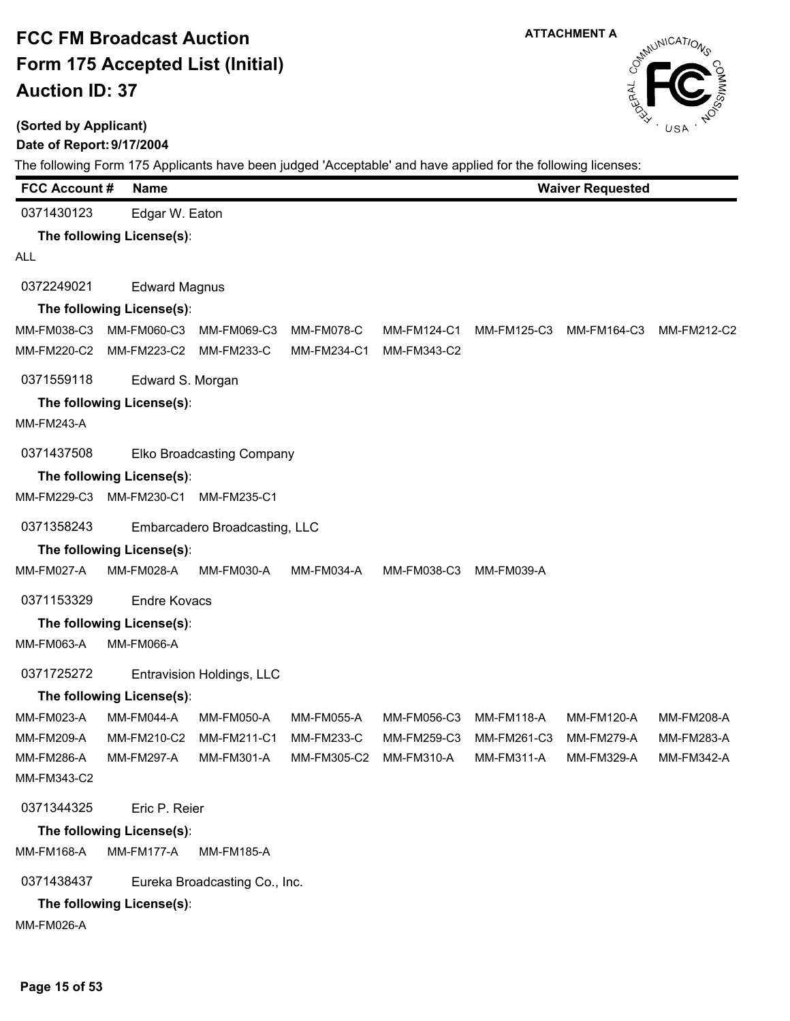

#### **(Sorted by Applicant)**

**Date of Report:9/17/2004**

|                     |                                        | The following Form 175 Applicants have been judged 'Acceptable' and have applied for the following licenses: |                   |                    |                   |                         |                   |  |  |  |
|---------------------|----------------------------------------|--------------------------------------------------------------------------------------------------------------|-------------------|--------------------|-------------------|-------------------------|-------------------|--|--|--|
| <b>FCC Account#</b> | <b>Name</b><br><b>Waiver Requested</b> |                                                                                                              |                   |                    |                   |                         |                   |  |  |  |
| 0371430123          | Edgar W. Eaton                         |                                                                                                              |                   |                    |                   |                         |                   |  |  |  |
|                     | The following License(s):              |                                                                                                              |                   |                    |                   |                         |                   |  |  |  |
| <b>ALL</b>          |                                        |                                                                                                              |                   |                    |                   |                         |                   |  |  |  |
| 0372249021          | <b>Edward Magnus</b>                   |                                                                                                              |                   |                    |                   |                         |                   |  |  |  |
|                     | The following License(s):              |                                                                                                              |                   |                    |                   |                         |                   |  |  |  |
| MM-FM038-C3         | MM-FM060-C3                            | MM-FM069-C3                                                                                                  | <b>MM-FM078-C</b> | <b>MM-FM124-C1</b> |                   | MM-FM125-C3 MM-FM164-C3 | MM-FM212-C2       |  |  |  |
| MM-FM220-C2         | MM-FM223-C2                            | <b>MM-FM233-C</b>                                                                                            | MM-FM234-C1       | MM-FM343-C2        |                   |                         |                   |  |  |  |
| 0371559118          | Edward S. Morgan                       |                                                                                                              |                   |                    |                   |                         |                   |  |  |  |
|                     | The following License(s):              |                                                                                                              |                   |                    |                   |                         |                   |  |  |  |
| <b>MM-FM243-A</b>   |                                        |                                                                                                              |                   |                    |                   |                         |                   |  |  |  |
| 0371437508          |                                        | Elko Broadcasting Company                                                                                    |                   |                    |                   |                         |                   |  |  |  |
|                     | The following License(s):              |                                                                                                              |                   |                    |                   |                         |                   |  |  |  |
| MM-FM229-C3         | MM-FM230-C1                            | MM-FM235-C1                                                                                                  |                   |                    |                   |                         |                   |  |  |  |
| 0371358243          |                                        | Embarcadero Broadcasting, LLC                                                                                |                   |                    |                   |                         |                   |  |  |  |
|                     | The following License(s):              |                                                                                                              |                   |                    |                   |                         |                   |  |  |  |
| <b>MM-FM027-A</b>   | <b>MM-FM028-A</b>                      | <b>MM-FM030-A</b>                                                                                            | MM-FM034-A        | MM-FM038-C3        | MM-FM039-A        |                         |                   |  |  |  |
| 0371153329          | <b>Endre Kovacs</b>                    |                                                                                                              |                   |                    |                   |                         |                   |  |  |  |
|                     | The following License(s):              |                                                                                                              |                   |                    |                   |                         |                   |  |  |  |
| <b>MM-FM063-A</b>   | <b>MM-FM066-A</b>                      |                                                                                                              |                   |                    |                   |                         |                   |  |  |  |
| 0371725272          |                                        | Entravision Holdings, LLC                                                                                    |                   |                    |                   |                         |                   |  |  |  |
|                     | The following License(s):              |                                                                                                              |                   |                    |                   |                         |                   |  |  |  |
| <b>MM-FM023-A</b>   | MM-FM044-A                             | <b>MM-FM050-A</b>                                                                                            | MM-FM055-A        | MM-FM056-C3        | <b>MM-FM118-A</b> | <b>MM-FM120-A</b>       | <b>MM-FM208-A</b> |  |  |  |
| <b>MM-FM209-A</b>   | MM-FM210-C2                            | MM-FM211-C1                                                                                                  | <b>MM-FM233-C</b> | MM-FM259-C3        | MM-FM261-C3       | <b>MM-FM279-A</b>       | <b>MM-FM283-A</b> |  |  |  |
| <b>MM-FM286-A</b>   | <b>MM-FM297-A</b>                      | MM-FM301-A                                                                                                   | MM-FM305-C2       | <b>MM-FM310-A</b>  | <b>MM-FM311-A</b> | <b>MM-FM329-A</b>       | MM-FM342-A        |  |  |  |
| MM-FM343-C2         |                                        |                                                                                                              |                   |                    |                   |                         |                   |  |  |  |
| 0371344325          | Eric P. Reier                          |                                                                                                              |                   |                    |                   |                         |                   |  |  |  |
|                     | The following License(s):              |                                                                                                              |                   |                    |                   |                         |                   |  |  |  |
| MM-FM168-A          | MM-FM177-A                             | <b>MM-FM185-A</b>                                                                                            |                   |                    |                   |                         |                   |  |  |  |
| 0371438437          |                                        | Eureka Broadcasting Co., Inc.                                                                                |                   |                    |                   |                         |                   |  |  |  |
|                     | The following License(s):              |                                                                                                              |                   |                    |                   |                         |                   |  |  |  |
| <b>MM-FM026-A</b>   |                                        |                                                                                                              |                   |                    |                   |                         |                   |  |  |  |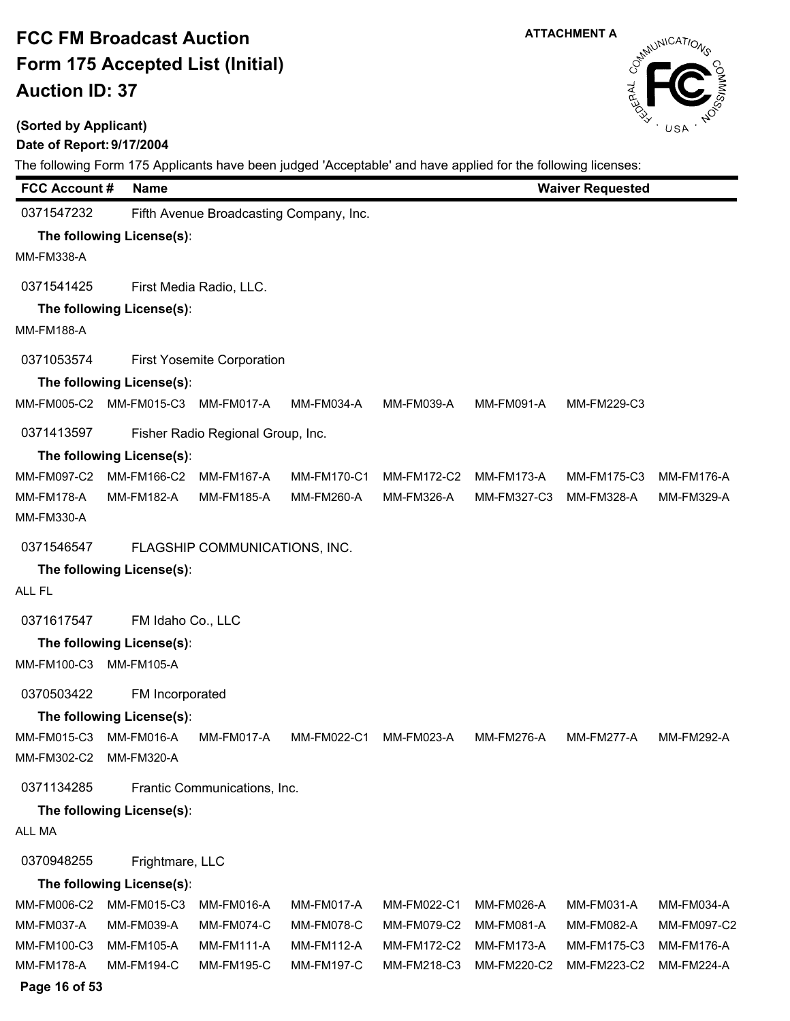

#### **(Sorted by Applicant)**

**Date of Report:9/17/2004**

| <b>FCC Account#</b><br><b>Name</b><br><b>Waiver Requested</b> |                                   |                                         |                   |                   |                   |                   |                   |  |
|---------------------------------------------------------------|-----------------------------------|-----------------------------------------|-------------------|-------------------|-------------------|-------------------|-------------------|--|
| 0371547232                                                    |                                   | Fifth Avenue Broadcasting Company, Inc. |                   |                   |                   |                   |                   |  |
|                                                               | The following License(s):         |                                         |                   |                   |                   |                   |                   |  |
| MM-FM338-A                                                    |                                   |                                         |                   |                   |                   |                   |                   |  |
| 0371541425                                                    |                                   | First Media Radio, LLC.                 |                   |                   |                   |                   |                   |  |
|                                                               | The following License(s):         |                                         |                   |                   |                   |                   |                   |  |
| <b>MM-FM188-A</b>                                             |                                   |                                         |                   |                   |                   |                   |                   |  |
| 0371053574                                                    |                                   | <b>First Yosemite Corporation</b>       |                   |                   |                   |                   |                   |  |
|                                                               | The following License(s):         |                                         |                   |                   |                   |                   |                   |  |
| MM-FM005-C2                                                   | MM-FM015-C3 MM-FM017-A            |                                         | MM-FM034-A        | MM-FM039-A        | MM-FM091-A        | MM-FM229-C3       |                   |  |
| 0371413597                                                    | Fisher Radio Regional Group, Inc. |                                         |                   |                   |                   |                   |                   |  |
|                                                               | The following License(s):         |                                         |                   |                   |                   |                   |                   |  |
| MM-FM097-C2                                                   | MM-FM166-C2                       | <b>MM-FM167-A</b>                       | MM-FM170-C1       | MM-FM172-C2       | <b>MM-FM173-A</b> | MM-FM175-C3       | <b>MM-FM176-A</b> |  |
| <b>MM-FM178-A</b>                                             | <b>MM-FM182-A</b>                 | <b>MM-FM185-A</b>                       | MM-FM260-A        | MM-FM326-A        | MM-FM327-C3       | MM-FM328-A        | <b>MM-FM329-A</b> |  |
| MM-FM330-A                                                    |                                   |                                         |                   |                   |                   |                   |                   |  |
| 0371546547                                                    |                                   | FLAGSHIP COMMUNICATIONS, INC.           |                   |                   |                   |                   |                   |  |
|                                                               | The following License(s):         |                                         |                   |                   |                   |                   |                   |  |
| ALL FL                                                        |                                   |                                         |                   |                   |                   |                   |                   |  |
| 0371617547                                                    | FM Idaho Co., LLC                 |                                         |                   |                   |                   |                   |                   |  |
|                                                               | The following License(s):         |                                         |                   |                   |                   |                   |                   |  |
| MM-FM100-C3                                                   | MM-FM105-A                        |                                         |                   |                   |                   |                   |                   |  |
| 0370503422                                                    | FM Incorporated                   |                                         |                   |                   |                   |                   |                   |  |
|                                                               | The following License(s):         |                                         |                   |                   |                   |                   |                   |  |
| MM-FM015-C3                                                   | MM-FM016-A                        | MM-FM017-A                              | MM-FM022-C1       | <b>MM-FM023-A</b> | <b>MM-FM276-A</b> | <b>MM-FM277-A</b> | <b>MM-FM292-A</b> |  |
| MM-FM302-C2 MM-FM320-A                                        |                                   |                                         |                   |                   |                   |                   |                   |  |
| 0371134285                                                    |                                   | Frantic Communications, Inc.            |                   |                   |                   |                   |                   |  |
|                                                               | The following License(s):         |                                         |                   |                   |                   |                   |                   |  |
| ALL MA                                                        |                                   |                                         |                   |                   |                   |                   |                   |  |
| 0370948255                                                    | Frightmare, LLC                   |                                         |                   |                   |                   |                   |                   |  |
|                                                               | The following License(s):         |                                         |                   |                   |                   |                   |                   |  |
| MM-FM006-C2                                                   | MM-FM015-C3                       | MM-FM016-A                              | MM-FM017-A        | MM-FM022-C1       | MM-FM026-A        | MM-FM031-A        | MM-FM034-A        |  |
| MM-FM037-A                                                    | MM-FM039-A                        | MM-FM074-C                              | MM-FM078-C        | MM-FM079-C2       | MM-FM081-A        | MM-FM082-A        | MM-FM097-C2       |  |
| MM-FM100-C3                                                   | MM-FM105-A                        | <b>MM-FM111-A</b>                       | <b>MM-FM112-A</b> | MM-FM172-C2       | MM-FM173-A        | MM-FM175-C3       | MM-FM176-A        |  |
| <b>MM-FM178-A</b>                                             | <b>MM-FM194-C</b>                 | <b>MM-FM195-C</b>                       | <b>MM-FM197-C</b> | MM-FM218-C3       | MM-FM220-C2       | MM-FM223-C2       | <b>MM-FM224-A</b> |  |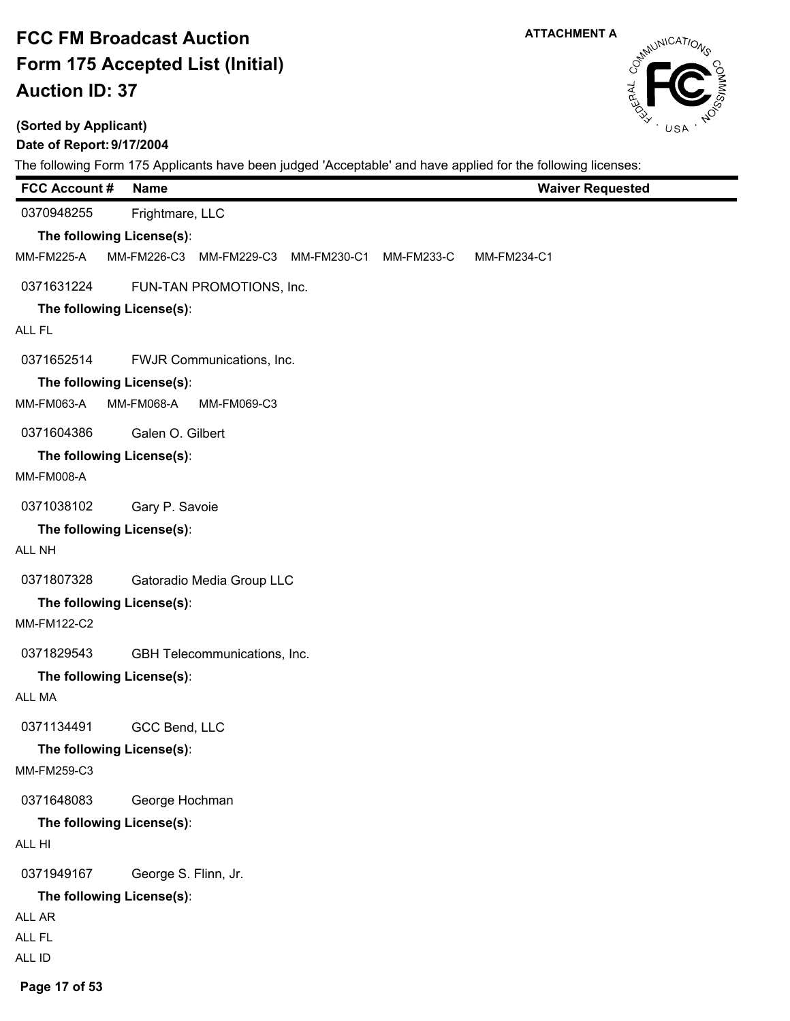

#### **(Sorted by Applicant)**

| Date of Report: 9/17/2004                      |                                                                                                                             |                   |                         |  |
|------------------------------------------------|-----------------------------------------------------------------------------------------------------------------------------|-------------------|-------------------------|--|
| <b>FCC Account#</b>                            | The following Form 175 Applicants have been judged 'Acceptable' and have applied for the following licenses:<br><b>Name</b> |                   | <b>Waiver Requested</b> |  |
| 0370948255                                     | Frightmare, LLC                                                                                                             |                   |                         |  |
| The following License(s):                      |                                                                                                                             |                   |                         |  |
| <b>MM-FM225-A</b>                              | MM-FM226-C3<br>MM-FM229-C3<br>MM-FM230-C1                                                                                   | <b>MM-FM233-C</b> | MM-FM234-C1             |  |
|                                                |                                                                                                                             |                   |                         |  |
| 0371631224<br>The following License(s):        | FUN-TAN PROMOTIONS, Inc.                                                                                                    |                   |                         |  |
| ALL FL                                         |                                                                                                                             |                   |                         |  |
| 0371652514                                     |                                                                                                                             |                   |                         |  |
| The following License(s):                      | FWJR Communications, Inc.                                                                                                   |                   |                         |  |
| MM-FM063-A                                     | MM-FM068-A<br>MM-FM069-C3                                                                                                   |                   |                         |  |
| 0371604386                                     |                                                                                                                             |                   |                         |  |
|                                                | Galen O. Gilbert                                                                                                            |                   |                         |  |
| The following License(s):<br><b>MM-FM008-A</b> |                                                                                                                             |                   |                         |  |
| 0371038102                                     | Gary P. Savoie                                                                                                              |                   |                         |  |
| The following License(s):                      |                                                                                                                             |                   |                         |  |
| ALL NH                                         |                                                                                                                             |                   |                         |  |
| 0371807328                                     | Gatoradio Media Group LLC                                                                                                   |                   |                         |  |
| The following License(s):                      |                                                                                                                             |                   |                         |  |
| MM-FM122-C2                                    |                                                                                                                             |                   |                         |  |
| 0371829543                                     | GBH Telecommunications, Inc.                                                                                                |                   |                         |  |
| The following License(s):                      |                                                                                                                             |                   |                         |  |
| ALL MA                                         |                                                                                                                             |                   |                         |  |
| 0371134491                                     | GCC Bend, LLC                                                                                                               |                   |                         |  |
| The following License(s):                      |                                                                                                                             |                   |                         |  |
| MM-FM259-C3                                    |                                                                                                                             |                   |                         |  |
| 0371648083                                     | George Hochman                                                                                                              |                   |                         |  |
| The following License(s):                      |                                                                                                                             |                   |                         |  |
| ALL HI                                         |                                                                                                                             |                   |                         |  |
| 0371949167                                     | George S. Flinn, Jr.                                                                                                        |                   |                         |  |
| The following License(s):                      |                                                                                                                             |                   |                         |  |
| ALL AR                                         |                                                                                                                             |                   |                         |  |
| ALL FL                                         |                                                                                                                             |                   |                         |  |
| ALL ID                                         |                                                                                                                             |                   |                         |  |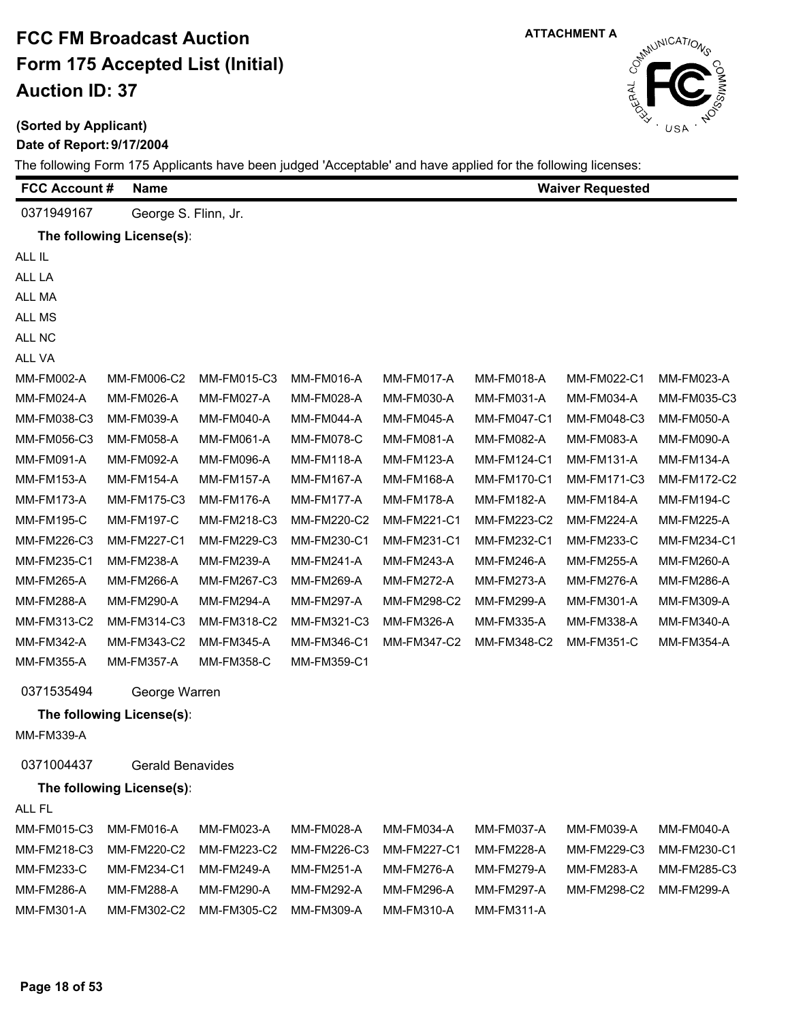

# **Date of Report:9/17/2004** The following Form 175 Applicants have been judged 'Acceptable' and have applied for the following licenses:

| <b>FCC Account#</b> | <b>Name</b>               |                   | <b>Waiver Requested</b> |                   |                   |                   |                   |
|---------------------|---------------------------|-------------------|-------------------------|-------------------|-------------------|-------------------|-------------------|
| 0371949167          | George S. Flinn, Jr.      |                   |                         |                   |                   |                   |                   |
|                     | The following License(s): |                   |                         |                   |                   |                   |                   |
| ALL IL              |                           |                   |                         |                   |                   |                   |                   |
| ALL LA              |                           |                   |                         |                   |                   |                   |                   |
| ALL MA              |                           |                   |                         |                   |                   |                   |                   |
| ALL MS              |                           |                   |                         |                   |                   |                   |                   |
| ALL NC              |                           |                   |                         |                   |                   |                   |                   |
| ALL VA              |                           |                   |                         |                   |                   |                   |                   |
| MM-FM002-A          | MM-FM006-C2               | MM-FM015-C3       | MM-FM016-A              | MM-FM017-A        | MM-FM018-A        | MM-FM022-C1       | MM-FM023-A        |
| <b>MM-FM024-A</b>   | MM-FM026-A                | MM-FM027-A        | MM-FM028-A              | MM-FM030-A        | MM-FM031-A        | MM-FM034-A        | MM-FM035-C3       |
| MM-FM038-C3         | MM-FM039-A                | MM-FM040-A        | MM-FM044-A              | MM-FM045-A        | MM-FM047-C1       | MM-FM048-C3       | MM-FM050-A        |
| MM-FM056-C3         | <b>MM-FM058-A</b>         | MM-FM061-A        | <b>MM-FM078-C</b>       | MM-FM081-A        | MM-FM082-A        | MM-FM083-A        | MM-FM090-A        |
| MM-FM091-A          | MM-FM092-A                | MM-FM096-A        | <b>MM-FM118-A</b>       | MM-FM123-A        | MM-FM124-C1       | <b>MM-FM131-A</b> | <b>MM-FM134-A</b> |
| MM-FM153-A          | <b>MM-FM154-A</b>         | <b>MM-FM157-A</b> | MM-FM167-A              | MM-FM168-A        | MM-FM170-C1       | MM-FM171-C3       | MM-FM172-C2       |
| MM-FM173-A          | MM-FM175-C3               | MM-FM176-A        | MM-FM177-A              | MM-FM178-A        | MM-FM182-A        | MM-FM184-A        | <b>MM-FM194-C</b> |
| <b>MM-FM195-C</b>   | <b>MM-FM197-C</b>         | MM-FM218-C3       | MM-FM220-C2             | MM-FM221-C1       | MM-FM223-C2       | <b>MM-FM224-A</b> | <b>MM-FM225-A</b> |
| MM-FM226-C3         | MM-FM227-C1               | MM-FM229-C3       | MM-FM230-C1             | MM-FM231-C1       | MM-FM232-C1       | <b>MM-FM233-C</b> | MM-FM234-C1       |
| MM-FM235-C1         | MM-FM238-A                | MM-FM239-A        | MM-FM241-A              | MM-FM243-A        | MM-FM246-A        | MM-FM255-A        | MM-FM260-A        |
| MM-FM265-A          | MM-FM266-A                | MM-FM267-C3       | MM-FM269-A              | <b>MM-FM272-A</b> | <b>MM-FM273-A</b> | <b>MM-FM276-A</b> | <b>MM-FM286-A</b> |
| MM-FM288-A          | MM-FM290-A                | <b>MM-FM294-A</b> | MM-FM297-A              | MM-FM298-C2       | <b>MM-FM299-A</b> | MM-FM301-A        | MM-FM309-A        |
| MM-FM313-C2         | MM-FM314-C3               | MM-FM318-C2       | MM-FM321-C3             | MM-FM326-A        | MM-FM335-A        | MM-FM338-A        | MM-FM340-A        |
| MM-FM342-A          | MM-FM343-C2               | MM-FM345-A        | MM-FM346-C1             | MM-FM347-C2       | MM-FM348-C2       | <b>MM-FM351-C</b> | MM-FM354-A        |
| MM-FM355-A          | MM-FM357-A                | <b>MM-FM358-C</b> | MM-FM359-C1             |                   |                   |                   |                   |
| 0371535494          | George Warren             |                   |                         |                   |                   |                   |                   |
|                     | The following License(s): |                   |                         |                   |                   |                   |                   |
| MM-FM339-A          |                           |                   |                         |                   |                   |                   |                   |
| 0371004437          | <b>Gerald Benavides</b>   |                   |                         |                   |                   |                   |                   |
|                     | The following License(s): |                   |                         |                   |                   |                   |                   |
| ALL FL              |                           |                   |                         |                   |                   |                   |                   |
| MM-FM015-C3         | MM-FM016-A                | MM-FM023-A        | MM-FM028-A              | MM-FM034-A        | MM-FM037-A        | MM-FM039-A        | MM-FM040-A        |
| MM-FM218-C3         | MM-FM220-C2               | MM-FM223-C2       | MM-FM226-C3             | MM-FM227-C1       | <b>MM-FM228-A</b> | MM-FM229-C3       | MM-FM230-C1       |
| MM-FM233-C          | MM-FM234-C1               | <b>MM-FM249-A</b> | <b>MM-FM251-A</b>       | MM-FM276-A        | <b>MM-FM279-A</b> | MM-FM283-A        | MM-FM285-C3       |
| MM-FM286-A          | MM-FM288-A                | MM-FM290-A        | MM-FM292-A              | <b>MM-FM296-A</b> | <b>MM-FM297-A</b> | MM-FM298-C2       | MM-FM299-A        |

MM-FM301-A MM-FM302-C2 MM-FM305-C2 MM-FM309-A MM-FM310-A MM-FM311-A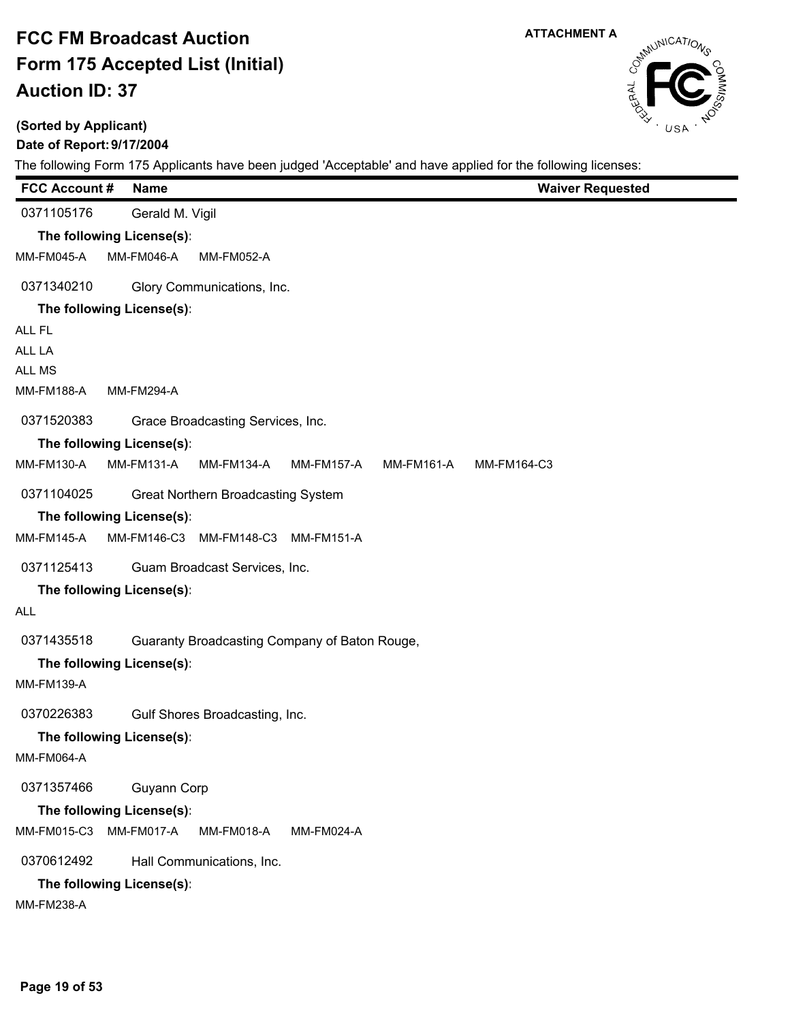#### **Date of Report:9/17/2004**

The following Form 175 Applicants have been judged 'Acceptable' and have applied for the following licenses:

| <b>FCC Account#</b> | <b>Name</b>               |                                               |                   | <b>Waiver Requested</b> |             |  |  |  |
|---------------------|---------------------------|-----------------------------------------------|-------------------|-------------------------|-------------|--|--|--|
| 0371105176          | Gerald M. Vigil           |                                               |                   |                         |             |  |  |  |
|                     | The following License(s): |                                               |                   |                         |             |  |  |  |
| <b>MM-FM045-A</b>   | MM-FM046-A                | <b>MM-FM052-A</b>                             |                   |                         |             |  |  |  |
| 0371340210          |                           | Glory Communications, Inc.                    |                   |                         |             |  |  |  |
|                     | The following License(s): |                                               |                   |                         |             |  |  |  |
| ALL FL              |                           |                                               |                   |                         |             |  |  |  |
| ALL LA              |                           |                                               |                   |                         |             |  |  |  |
| ALL MS              |                           |                                               |                   |                         |             |  |  |  |
| <b>MM-FM188-A</b>   | <b>MM-FM294-A</b>         |                                               |                   |                         |             |  |  |  |
| 0371520383          |                           | Grace Broadcasting Services, Inc.             |                   |                         |             |  |  |  |
|                     | The following License(s): |                                               |                   |                         |             |  |  |  |
| MM-FM130-A          | <b>MM-FM131-A</b>         | <b>MM-FM134-A</b>                             | <b>MM-FM157-A</b> | MM-FM161-A              | MM-FM164-C3 |  |  |  |
| 0371104025          |                           | Great Northern Broadcasting System            |                   |                         |             |  |  |  |
|                     | The following License(s): |                                               |                   |                         |             |  |  |  |
| <b>MM-FM145-A</b>   |                           | MM-FM146-C3 MM-FM148-C3 MM-FM151-A            |                   |                         |             |  |  |  |
| 0371125413          |                           | Guam Broadcast Services, Inc.                 |                   |                         |             |  |  |  |
|                     | The following License(s): |                                               |                   |                         |             |  |  |  |
| <b>ALL</b>          |                           |                                               |                   |                         |             |  |  |  |
| 0371435518          |                           | Guaranty Broadcasting Company of Baton Rouge, |                   |                         |             |  |  |  |
|                     | The following License(s): |                                               |                   |                         |             |  |  |  |
| <b>MM-FM139-A</b>   |                           |                                               |                   |                         |             |  |  |  |
| 0370226383          |                           | Gulf Shores Broadcasting, Inc.                |                   |                         |             |  |  |  |
|                     | The following License(s): |                                               |                   |                         |             |  |  |  |
| <b>MM-FM064-A</b>   |                           |                                               |                   |                         |             |  |  |  |
| 0371357466          | Guyann Corp               |                                               |                   |                         |             |  |  |  |
|                     | The following License(s): |                                               |                   |                         |             |  |  |  |
| MM-FM015-C3         | <b>MM-FM017-A</b>         | <b>MM-FM018-A</b>                             | MM-FM024-A        |                         |             |  |  |  |
| 0370612492          |                           | Hall Communications, Inc.                     |                   |                         |             |  |  |  |
|                     | The following License(s): |                                               |                   |                         |             |  |  |  |
| <b>MM-FM238-A</b>   |                           |                                               |                   |                         |             |  |  |  |





٠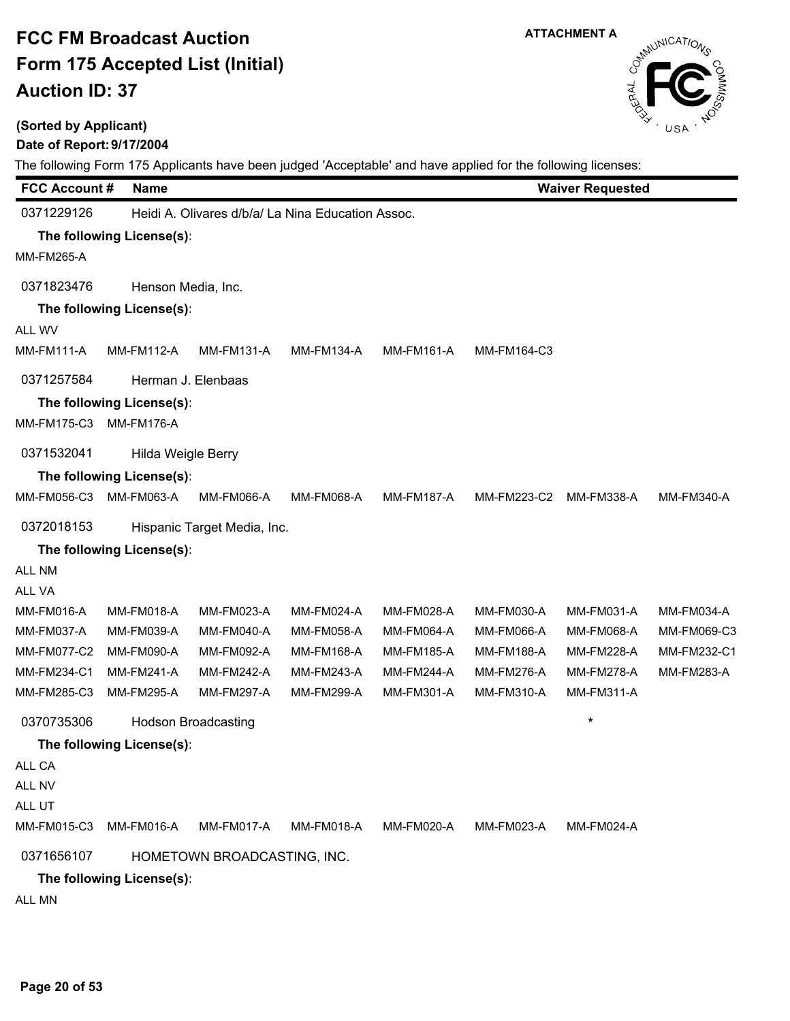

#### **(Sorted by Applicant)**

| Date of Report: 9/17/2004 |  |  |  |
|---------------------------|--|--|--|
|                           |  |  |  |

| <b>FCC Account#</b><br><b>Name</b> |                           |                                                   |                   |                   | <b>Waiver Requested</b> |                   |                   |  |
|------------------------------------|---------------------------|---------------------------------------------------|-------------------|-------------------|-------------------------|-------------------|-------------------|--|
| 0371229126                         |                           | Heidi A. Olivares d/b/a/ La Nina Education Assoc. |                   |                   |                         |                   |                   |  |
|                                    | The following License(s): |                                                   |                   |                   |                         |                   |                   |  |
| <b>MM-FM265-A</b>                  |                           |                                                   |                   |                   |                         |                   |                   |  |
| 0371823476                         |                           | Henson Media, Inc.                                |                   |                   |                         |                   |                   |  |
|                                    | The following License(s): |                                                   |                   |                   |                         |                   |                   |  |
| ALL WV                             |                           |                                                   |                   |                   |                         |                   |                   |  |
| <b>MM-FM111-A</b>                  | <b>MM-FM112-A</b>         | <b>MM-FM131-A</b>                                 | <b>MM-FM134-A</b> | <b>MM-FM161-A</b> | MM-FM164-C3             |                   |                   |  |
| 0371257584                         |                           | Herman J. Elenbaas                                |                   |                   |                         |                   |                   |  |
|                                    | The following License(s): |                                                   |                   |                   |                         |                   |                   |  |
| MM-FM175-C3                        | MM-FM176-A                |                                                   |                   |                   |                         |                   |                   |  |
| 0371532041                         | Hilda Weigle Berry        |                                                   |                   |                   |                         |                   |                   |  |
|                                    | The following License(s): |                                                   |                   |                   |                         |                   |                   |  |
| MM-FM056-C3                        | MM-FM063-A                | <b>MM-FM066-A</b>                                 | <b>MM-FM068-A</b> | <b>MM-FM187-A</b> | MM-FM223-C2             | MM-FM338-A        | <b>MM-FM340-A</b> |  |
| 0372018153                         |                           | Hispanic Target Media, Inc.                       |                   |                   |                         |                   |                   |  |
|                                    | The following License(s): |                                                   |                   |                   |                         |                   |                   |  |
| ALL NM                             |                           |                                                   |                   |                   |                         |                   |                   |  |
| <b>ALL VA</b>                      |                           |                                                   |                   |                   |                         |                   |                   |  |
| MM-FM016-A                         | <b>MM-FM018-A</b>         | MM-FM023-A                                        | MM-FM024-A        | MM-FM028-A        | <b>MM-FM030-A</b>       | MM-FM031-A        | MM-FM034-A        |  |
| MM-FM037-A                         | MM-FM039-A                | MM-FM040-A                                        | <b>MM-FM058-A</b> | MM-FM064-A        | MM-FM066-A              | <b>MM-FM068-A</b> | MM-FM069-C3       |  |
| MM-FM077-C2                        | MM-FM090-A                | MM-FM092-A                                        | MM-FM168-A        | <b>MM-FM185-A</b> | <b>MM-FM188-A</b>       | <b>MM-FM228-A</b> | MM-FM232-C1       |  |
| MM-FM234-C1                        | <b>MM-FM241-A</b>         | <b>MM-FM242-A</b>                                 | <b>MM-FM243-A</b> | <b>MM-FM244-A</b> | <b>MM-FM276-A</b>       | <b>MM-FM278-A</b> | MM-FM283-A        |  |
| MM-FM285-C3                        | <b>MM-FM295-A</b>         | <b>MM-FM297-A</b>                                 | <b>MM-FM299-A</b> | MM-FM301-A        | MM-FM310-A              | MM-FM311-A        |                   |  |
| 0370735306                         |                           | <b>Hodson Broadcasting</b>                        |                   |                   |                         | $^\star$          |                   |  |
|                                    | The following License(s): |                                                   |                   |                   |                         |                   |                   |  |
| ALL CA                             |                           |                                                   |                   |                   |                         |                   |                   |  |
| ALL NV                             |                           |                                                   |                   |                   |                         |                   |                   |  |
| ALL UT                             |                           |                                                   |                   |                   |                         |                   |                   |  |
| MM-FM015-C3                        | MM-FM016-A                | MM-FM017-A                                        | <b>MM-FM018-A</b> | <b>MM-FM020-A</b> | MM-FM023-A              | MM-FM024-A        |                   |  |
| 0371656107                         |                           | HOMETOWN BROADCASTING, INC.                       |                   |                   |                         |                   |                   |  |
|                                    | The following License(s): |                                                   |                   |                   |                         |                   |                   |  |
| ALL MN                             |                           |                                                   |                   |                   |                         |                   |                   |  |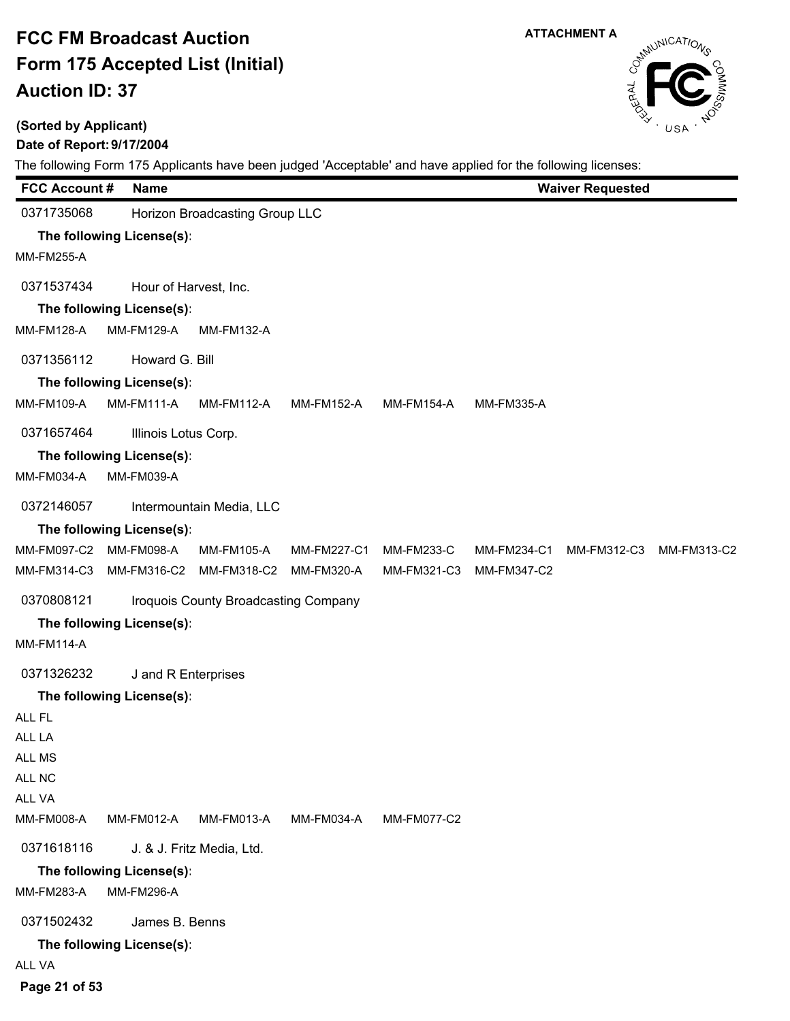

#### **(Sorted by Applicant)**

#### **FCC Account # Name Waiver Requested Date of Report:9/17/2004** The following Form 175 Applicants have been judged 'Acceptable' and have applied for the following licenses: Horizon Broadcasting Group LLC **The following License(s):** 0371735068 MM-FM255-A Hour of Harvest, Inc. **The following License(s):** 0371537434 MM-FM128-A MM-FM129-A MM-FM132-A Howard G. Bill **The following License(s):** 0371356112 MM-FM109-A MM-FM111-A MM-FM112-A MM-FM152-A MM-FM154-A MM-FM335-A Illinois Lotus Corp. **The following License(s):** 0371657464 MM-FM034-A MM-FM039-A Intermountain Media, LLC **The following License(s):** 0372146057 MM-FM097-C2 MM-FM098-A MM-FM105-A MM-FM227-C1 MM-FM233-C MM-FM234-C1 MM-FM312-C3 MM-FM313-C2 MM-FM314-C3 MM-FM316-C2 MM-FM318-C2 MM-FM320-A MM-FM321-C3 MM-FM347-C2 Iroquois County Broadcasting Company **The following License(s):** 0370808121 MM-FM114-A J and R Enterprises **The following License(s):** 0371326232 ALL FL ALL LA ALL MS ALL NC ALL VA MM-FM008-A MM-FM012-A MM-FM013-A MM-FM034-A MM-FM077-C2 J. & J. Fritz Media, Ltd. **The following License(s):** 0371618116 MM-FM283-A MM-FM296-A James B. Benns **The following License(s):** 0371502432 ALL VA **Page 21 of 53**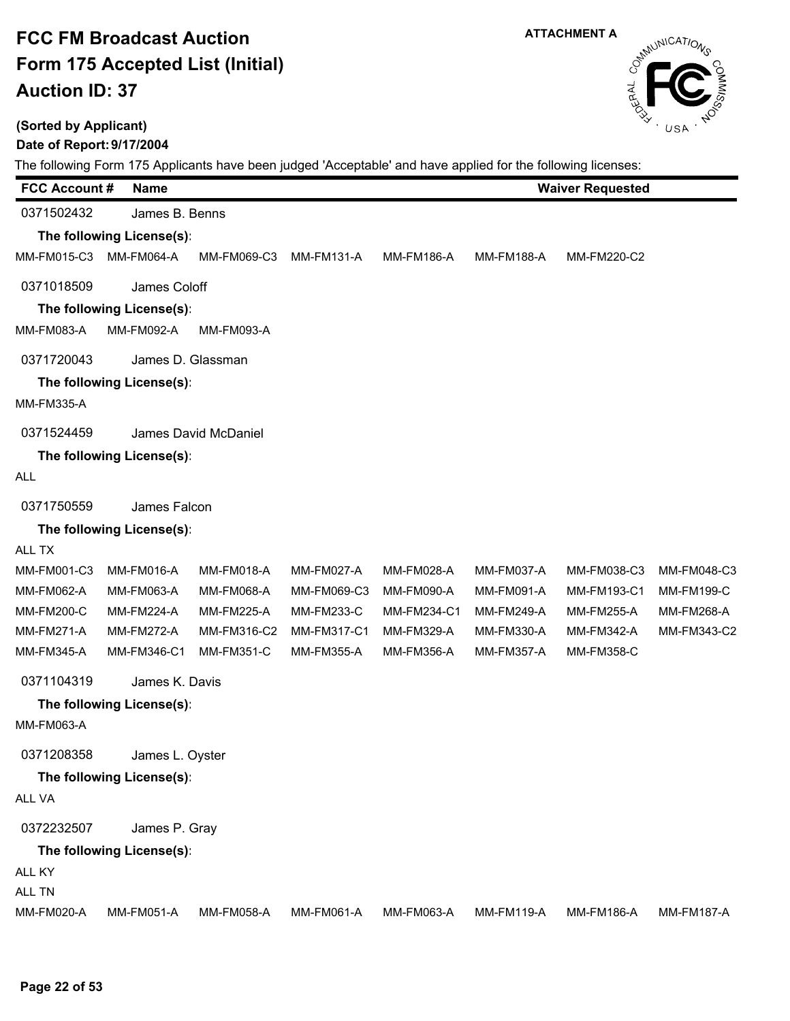

#### **(Sorted by Applicant)**

| Date of Report: 9/17/2004 |  |  |  |
|---------------------------|--|--|--|
|                           |  |  |  |

| <b>FCC Account#</b> | <b>Name</b>               |                      | <b>Waiver Requested</b> |                   |                   |                   |                   |
|---------------------|---------------------------|----------------------|-------------------------|-------------------|-------------------|-------------------|-------------------|
| 0371502432          | James B. Benns            |                      |                         |                   |                   |                   |                   |
|                     | The following License(s): |                      |                         |                   |                   |                   |                   |
| MM-FM015-C3         | <b>MM-FM064-A</b>         | MM-FM069-C3          | <b>MM-FM131-A</b>       | <b>MM-FM186-A</b> | <b>MM-FM188-A</b> | MM-FM220-C2       |                   |
| 0371018509          | James Coloff              |                      |                         |                   |                   |                   |                   |
|                     | The following License(s): |                      |                         |                   |                   |                   |                   |
| MM-FM083-A          | MM-FM092-A                | MM-FM093-A           |                         |                   |                   |                   |                   |
| 0371720043          |                           | James D. Glassman    |                         |                   |                   |                   |                   |
|                     | The following License(s): |                      |                         |                   |                   |                   |                   |
| MM-FM335-A          |                           |                      |                         |                   |                   |                   |                   |
| 0371524459          |                           | James David McDaniel |                         |                   |                   |                   |                   |
|                     | The following License(s): |                      |                         |                   |                   |                   |                   |
| ALL                 |                           |                      |                         |                   |                   |                   |                   |
| 0371750559          | James Falcon              |                      |                         |                   |                   |                   |                   |
|                     | The following License(s): |                      |                         |                   |                   |                   |                   |
| ALL TX              |                           |                      |                         |                   |                   |                   |                   |
| MM-FM001-C3         | <b>MM-FM016-A</b>         | <b>MM-FM018-A</b>    | <b>MM-FM027-A</b>       | <b>MM-FM028-A</b> | <b>MM-FM037-A</b> | MM-FM038-C3       | MM-FM048-C3       |
| MM-FM062-A          | MM-FM063-A                | MM-FM068-A           | MM-FM069-C3             | MM-FM090-A        | MM-FM091-A        | MM-FM193-C1       | <b>MM-FM199-C</b> |
| <b>MM-FM200-C</b>   | <b>MM-FM224-A</b>         | <b>MM-FM225-A</b>    | MM-FM233-C              | MM-FM234-C1       | <b>MM-FM249-A</b> | MM-FM255-A        | MM-FM268-A        |
| <b>MM-FM271-A</b>   | <b>MM-FM272-A</b>         | MM-FM316-C2          | MM-FM317-C1             | MM-FM329-A        | MM-FM330-A        | MM-FM342-A        | MM-FM343-C2       |
| MM-FM345-A          | MM-FM346-C1               | <b>MM-FM351-C</b>    | MM-FM355-A              | MM-FM356-A        | <b>MM-FM357-A</b> | <b>MM-FM358-C</b> |                   |
| 0371104319          | James K. Davis            |                      |                         |                   |                   |                   |                   |
|                     | The following License(s): |                      |                         |                   |                   |                   |                   |
| MM-FM063-A          |                           |                      |                         |                   |                   |                   |                   |
| 0371208358          | James L. Oyster           |                      |                         |                   |                   |                   |                   |
|                     | The following License(s): |                      |                         |                   |                   |                   |                   |
| ALL VA              |                           |                      |                         |                   |                   |                   |                   |
| 0372232507          | James P. Gray             |                      |                         |                   |                   |                   |                   |
|                     | The following License(s): |                      |                         |                   |                   |                   |                   |
| ALL KY              |                           |                      |                         |                   |                   |                   |                   |
| ALL TN              |                           |                      |                         |                   |                   |                   |                   |
| MM-FM020-A          | MM-FM051-A                | <b>MM-FM058-A</b>    | MM-FM061-A              | MM-FM063-A        | <b>MM-FM119-A</b> | MM-FM186-A        | <b>MM-FM187-A</b> |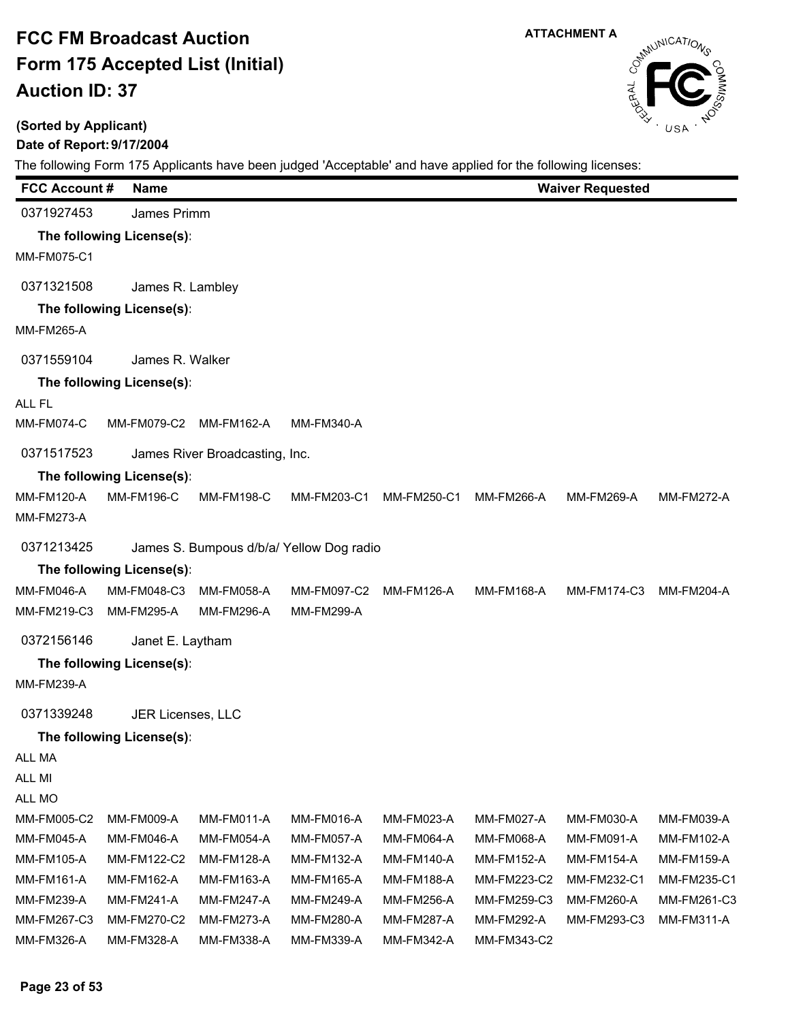| <b>FCC Account #</b><br><b>Waiver Requested</b><br><b>Name</b> |                           |                                |                                          |                   |             |             |                   |
|----------------------------------------------------------------|---------------------------|--------------------------------|------------------------------------------|-------------------|-------------|-------------|-------------------|
| 0371927453                                                     | James Primm               |                                |                                          |                   |             |             |                   |
|                                                                | The following License(s): |                                |                                          |                   |             |             |                   |
| MM-FM075-C1                                                    |                           |                                |                                          |                   |             |             |                   |
| 0371321508                                                     | James R. Lambley          |                                |                                          |                   |             |             |                   |
|                                                                | The following License(s): |                                |                                          |                   |             |             |                   |
| <b>MM-FM265-A</b>                                              |                           |                                |                                          |                   |             |             |                   |
| 0371559104                                                     | James R. Walker           |                                |                                          |                   |             |             |                   |
|                                                                | The following License(s): |                                |                                          |                   |             |             |                   |
| ALL FL                                                         |                           |                                |                                          |                   |             |             |                   |
| MM-FM074-C                                                     | MM-FM079-C2 MM-FM162-A    |                                | MM-FM340-A                               |                   |             |             |                   |
| 0371517523                                                     |                           | James River Broadcasting, Inc. |                                          |                   |             |             |                   |
|                                                                | The following License(s): |                                |                                          |                   |             |             |                   |
| <b>MM-FM120-A</b>                                              | <b>MM-FM196-C</b>         | <b>MM-FM198-C</b>              | MM-FM203-C1                              | MM-FM250-C1       | MM-FM266-A  | MM-FM269-A  | <b>MM-FM272-A</b> |
| <b>MM-FM273-A</b>                                              |                           |                                |                                          |                   |             |             |                   |
| 0371213425                                                     |                           |                                | James S. Bumpous d/b/a/ Yellow Dog radio |                   |             |             |                   |
|                                                                | The following License(s): |                                |                                          |                   |             |             |                   |
| <b>MM-FM046-A</b>                                              | MM-FM048-C3               | MM-FM058-A                     | MM-FM097-C2                              | MM-FM126-A        | MM-FM168-A  | MM-FM174-C3 | MM-FM204-A        |
| MM-FM219-C3                                                    | <b>MM-FM295-A</b>         | <b>MM-FM296-A</b>              | <b>MM-FM299-A</b>                        |                   |             |             |                   |
| 0372156146                                                     | Janet E. Laytham          |                                |                                          |                   |             |             |                   |
|                                                                | The following License(s): |                                |                                          |                   |             |             |                   |
| <b>MM-FM239-A</b>                                              |                           |                                |                                          |                   |             |             |                   |
| 0371339248                                                     | JER Licenses, LLC         |                                |                                          |                   |             |             |                   |
|                                                                | The following License(s): |                                |                                          |                   |             |             |                   |
| ALL MA                                                         |                           |                                |                                          |                   |             |             |                   |
| ALL MI                                                         |                           |                                |                                          |                   |             |             |                   |
| ALL MO                                                         |                           |                                |                                          |                   |             |             |                   |
| MM-FM005-C2                                                    | MM-FM009-A                | MM-FM011-A                     | MM-FM016-A                               | MM-FM023-A        | MM-FM027-A  | MM-FM030-A  | MM-FM039-A        |
| MM-FM045-A                                                     | MM-FM046-A                | <b>MM-FM054-A</b>              | MM-FM057-A                               | MM-FM064-A        | MM-FM068-A  | MM-FM091-A  | MM-FM102-A        |
| MM-FM105-A                                                     | MM-FM122-C2               | MM-FM128-A                     | MM-FM132-A                               | MM-FM140-A        | MM-FM152-A  | MM-FM154-A  | MM-FM159-A        |
| MM-FM161-A                                                     | MM-FM162-A                | MM-FM163-A                     | <b>MM-FM165-A</b>                        | MM-FM188-A        | MM-FM223-C2 | MM-FM232-C1 | MM-FM235-C1       |
| MM-FM239-A                                                     | <b>MM-FM241-A</b>         | <b>MM-FM247-A</b>              | MM-FM249-A                               | <b>MM-FM256-A</b> | MM-FM259-C3 | MM-FM260-A  | MM-FM261-C3       |
| MM-FM267-C3                                                    | MM-FM270-C2               | MM-FM273-A                     | MM-FM280-A                               | MM-FM287-A        | MM-FM292-A  | MM-FM293-C3 | MM-FM311-A        |
| MM-FM326-A                                                     | MM-FM328-A                | MM-FM338-A                     | MM-FM339-A                               | MM-FM342-A        | MM-FM343-C2 |             |                   |

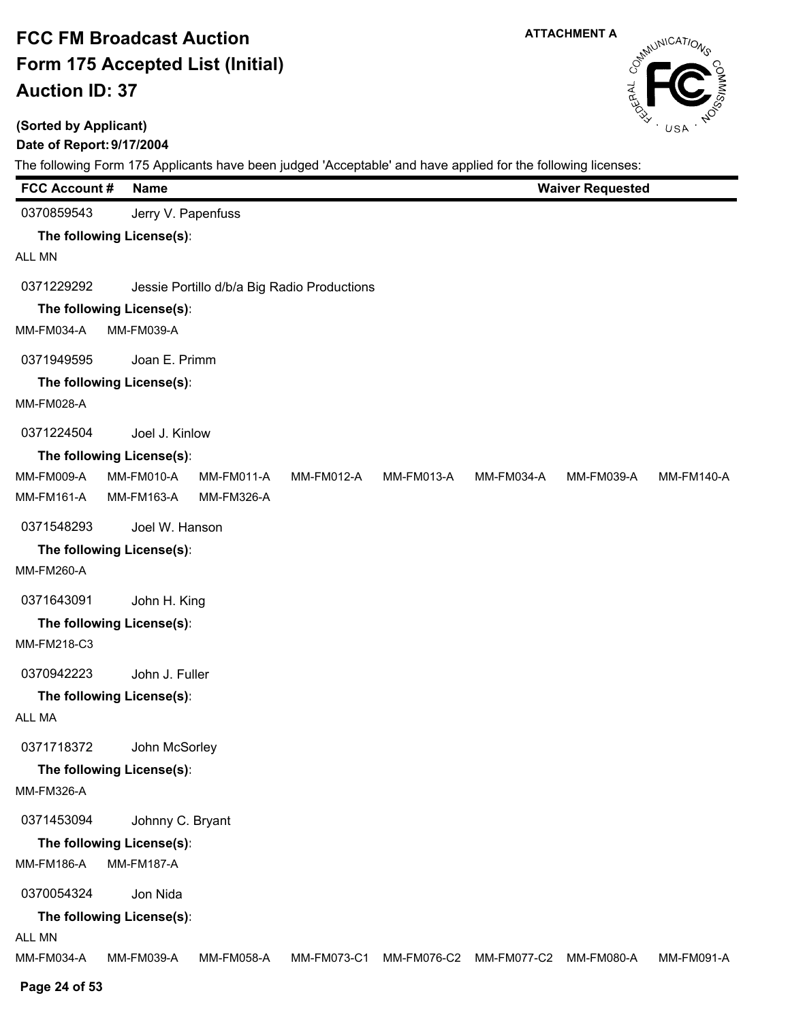**Date of Report:9/17/2004**

| <b>FCC Account#</b> | <b>Name</b>               |                   |                                             | <b>Waiver Requested</b> |                   |                   |                   |  |
|---------------------|---------------------------|-------------------|---------------------------------------------|-------------------------|-------------------|-------------------|-------------------|--|
| 0370859543          | Jerry V. Papenfuss        |                   |                                             |                         |                   |                   |                   |  |
|                     | The following License(s): |                   |                                             |                         |                   |                   |                   |  |
| ALL MN              |                           |                   |                                             |                         |                   |                   |                   |  |
| 0371229292          |                           |                   | Jessie Portillo d/b/a Big Radio Productions |                         |                   |                   |                   |  |
|                     | The following License(s): |                   |                                             |                         |                   |                   |                   |  |
| <b>MM-FM034-A</b>   | <b>MM-FM039-A</b>         |                   |                                             |                         |                   |                   |                   |  |
| 0371949595          | Joan E. Primm             |                   |                                             |                         |                   |                   |                   |  |
|                     | The following License(s): |                   |                                             |                         |                   |                   |                   |  |
| MM-FM028-A          |                           |                   |                                             |                         |                   |                   |                   |  |
| 0371224504          | Joel J. Kinlow            |                   |                                             |                         |                   |                   |                   |  |
|                     | The following License(s): |                   |                                             |                         |                   |                   |                   |  |
| MM-FM009-A          | MM-FM010-A                | <b>MM-FM011-A</b> | MM-FM012-A                                  | MM-FM013-A              | <b>MM-FM034-A</b> | MM-FM039-A        | <b>MM-FM140-A</b> |  |
| MM-FM161-A          | MM-FM163-A                | <b>MM-FM326-A</b> |                                             |                         |                   |                   |                   |  |
| 0371548293          | Joel W. Hanson            |                   |                                             |                         |                   |                   |                   |  |
|                     | The following License(s): |                   |                                             |                         |                   |                   |                   |  |
| MM-FM260-A          |                           |                   |                                             |                         |                   |                   |                   |  |
| 0371643091          | John H. King              |                   |                                             |                         |                   |                   |                   |  |
|                     | The following License(s): |                   |                                             |                         |                   |                   |                   |  |
| MM-FM218-C3         |                           |                   |                                             |                         |                   |                   |                   |  |
| 0370942223          | John J. Fuller            |                   |                                             |                         |                   |                   |                   |  |
|                     | The following License(s): |                   |                                             |                         |                   |                   |                   |  |
| ALL MA              |                           |                   |                                             |                         |                   |                   |                   |  |
| 0371718372          | John McSorley             |                   |                                             |                         |                   |                   |                   |  |
|                     | The following License(s): |                   |                                             |                         |                   |                   |                   |  |
| MM-FM326-A          |                           |                   |                                             |                         |                   |                   |                   |  |
| 0371453094          | Johnny C. Bryant          |                   |                                             |                         |                   |                   |                   |  |
|                     | The following License(s): |                   |                                             |                         |                   |                   |                   |  |
| <b>MM-FM186-A</b>   | <b>MM-FM187-A</b>         |                   |                                             |                         |                   |                   |                   |  |
| 0370054324          | Jon Nida                  |                   |                                             |                         |                   |                   |                   |  |
|                     | The following License(s): |                   |                                             |                         |                   |                   |                   |  |
| ALL MN              |                           |                   |                                             |                         |                   |                   |                   |  |
| MM-FM034-A          | MM-FM039-A                | MM-FM058-A        | MM-FM073-C1                                 | MM-FM076-C2             | MM-FM077-C2       | <b>MM-FM080-A</b> | MM-FM091-A        |  |

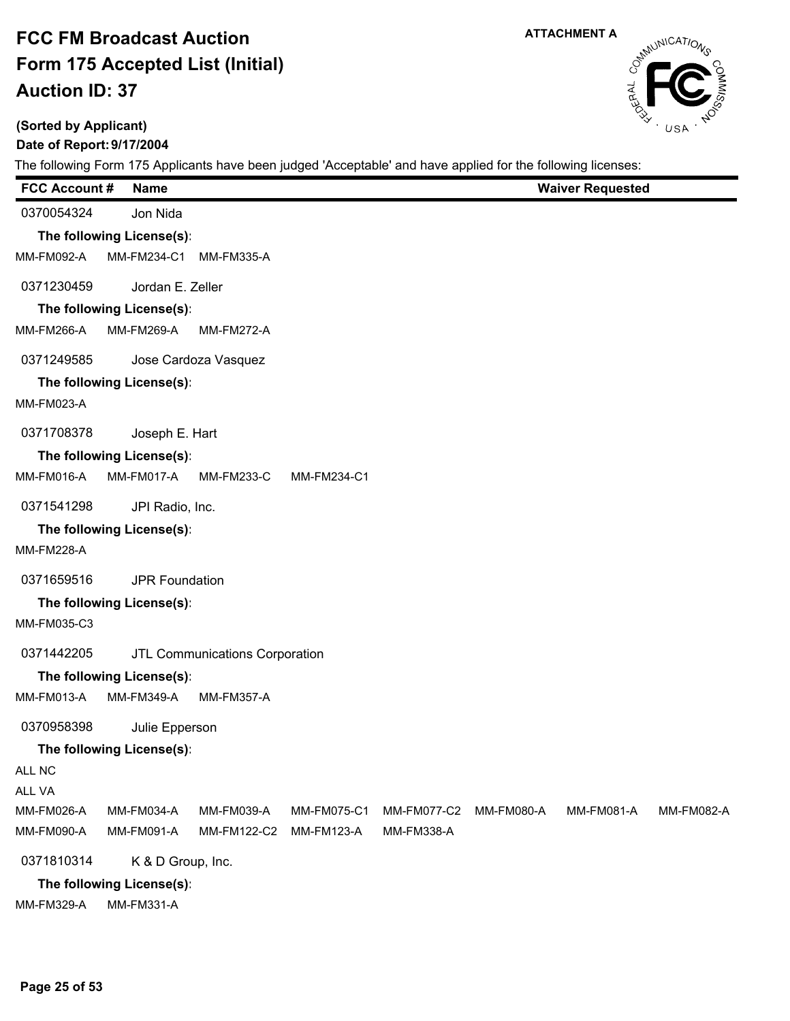**Date of Report:9/17/2004**

| <b>FCC Account#</b> | <b>Name</b>               |                                |                   |             |                   | <b>Waiver Requested</b> |                   |
|---------------------|---------------------------|--------------------------------|-------------------|-------------|-------------------|-------------------------|-------------------|
| 0370054324          | Jon Nida                  |                                |                   |             |                   |                         |                   |
|                     | The following License(s): |                                |                   |             |                   |                         |                   |
| <b>MM-FM092-A</b>   |                           | MM-FM234-C1 MM-FM335-A         |                   |             |                   |                         |                   |
| 0371230459          | Jordan E. Zeller          |                                |                   |             |                   |                         |                   |
|                     | The following License(s): |                                |                   |             |                   |                         |                   |
| <b>MM-FM266-A</b>   | MM-FM269-A                | <b>MM-FM272-A</b>              |                   |             |                   |                         |                   |
| 0371249585          |                           | Jose Cardoza Vasquez           |                   |             |                   |                         |                   |
|                     | The following License(s): |                                |                   |             |                   |                         |                   |
| MM-FM023-A          |                           |                                |                   |             |                   |                         |                   |
| 0371708378          | Joseph E. Hart            |                                |                   |             |                   |                         |                   |
|                     | The following License(s): |                                |                   |             |                   |                         |                   |
| MM-FM016-A          | MM-FM017-A                | <b>MM-FM233-C</b>              | MM-FM234-C1       |             |                   |                         |                   |
| 0371541298          | JPI Radio, Inc.           |                                |                   |             |                   |                         |                   |
|                     | The following License(s): |                                |                   |             |                   |                         |                   |
| <b>MM-FM228-A</b>   |                           |                                |                   |             |                   |                         |                   |
| 0371659516          | <b>JPR Foundation</b>     |                                |                   |             |                   |                         |                   |
|                     | The following License(s): |                                |                   |             |                   |                         |                   |
| MM-FM035-C3         |                           |                                |                   |             |                   |                         |                   |
| 0371442205          |                           | JTL Communications Corporation |                   |             |                   |                         |                   |
|                     | The following License(s): |                                |                   |             |                   |                         |                   |
| <b>MM-FM013-A</b>   | MM-FM349-A                | <b>MM-FM357-A</b>              |                   |             |                   |                         |                   |
| 0370958398          | Julie Epperson            |                                |                   |             |                   |                         |                   |
|                     | The following License(s): |                                |                   |             |                   |                         |                   |
| ALL NC              |                           |                                |                   |             |                   |                         |                   |
| ALL VA              |                           |                                |                   |             |                   |                         |                   |
| <b>MM-FM026-A</b>   | MM-FM034-A                | MM-FM039-A                     | MM-FM075-C1       | MM-FM077-C2 | <b>MM-FM080-A</b> | <b>MM-FM081-A</b>       | <b>MM-FM082-A</b> |
| MM-FM090-A          | MM-FM091-A                | MM-FM122-C2                    | <b>MM-FM123-A</b> | MM-FM338-A  |                   |                         |                   |
| 0371810314          | K & D Group, Inc.         |                                |                   |             |                   |                         |                   |
|                     | The following License(s): |                                |                   |             |                   |                         |                   |
| MM-FM329-A          | <b>MM-FM331-A</b>         |                                |                   |             |                   |                         |                   |

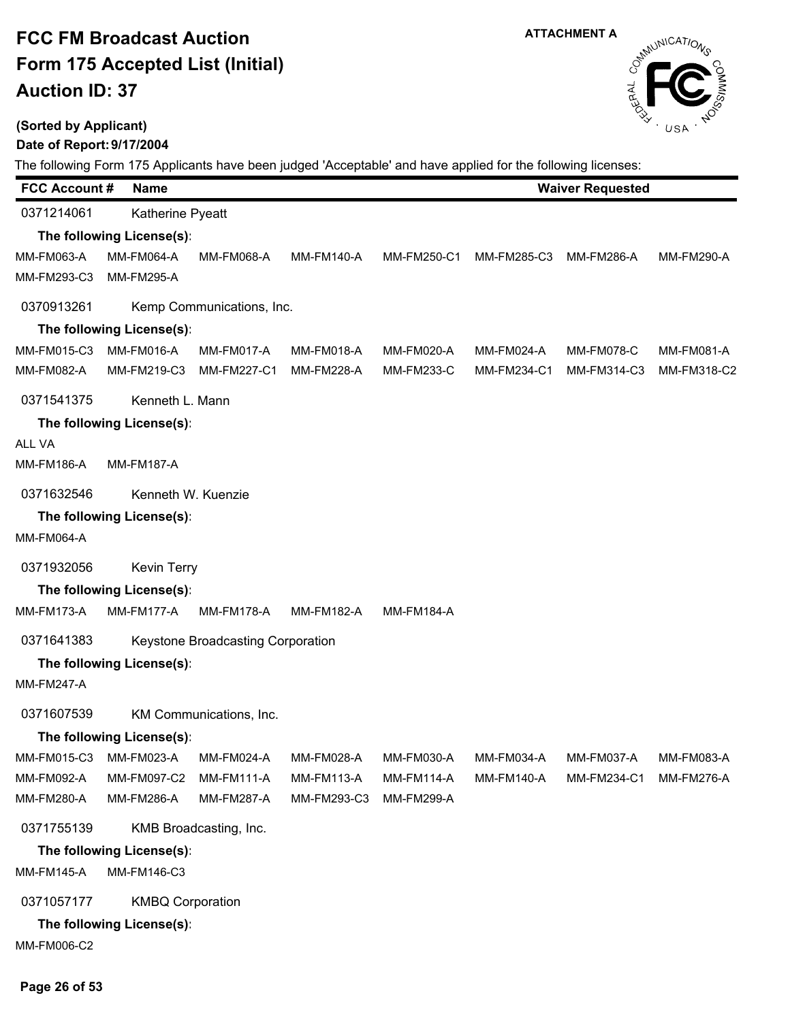

| (Sorted by Applicant)<br>Date of Report: 9/17/2004 |                           |                                                                                                              |                   |                   |                   |                         | $\vee$ USA $\cdot$<br>$4\sigma$ |
|----------------------------------------------------|---------------------------|--------------------------------------------------------------------------------------------------------------|-------------------|-------------------|-------------------|-------------------------|---------------------------------|
|                                                    |                           | The following Form 175 Applicants have been judged 'Acceptable' and have applied for the following licenses: |                   |                   |                   |                         |                                 |
| <b>FCC Account#</b>                                | <b>Name</b>               |                                                                                                              |                   |                   |                   | <b>Waiver Requested</b> |                                 |
| 0371214061                                         | Katherine Pyeatt          |                                                                                                              |                   |                   |                   |                         |                                 |
|                                                    | The following License(s): |                                                                                                              |                   |                   |                   |                         |                                 |
| MM-FM063-A                                         | <b>MM-FM064-A</b>         | MM-FM068-A                                                                                                   | <b>MM-FM140-A</b> | MM-FM250-C1       | MM-FM285-C3       | MM-FM286-A              | <b>MM-FM290-A</b>               |
| MM-FM293-C3                                        | <b>MM-FM295-A</b>         |                                                                                                              |                   |                   |                   |                         |                                 |
| 0370913261                                         |                           | Kemp Communications, Inc.                                                                                    |                   |                   |                   |                         |                                 |
|                                                    | The following License(s): |                                                                                                              |                   |                   |                   |                         |                                 |
| MM-FM015-C3                                        | MM-FM016-A                | <b>MM-FM017-A</b>                                                                                            | MM-FM018-A        | MM-FM020-A        | MM-FM024-A        | <b>MM-FM078-C</b>       | <b>MM-FM081-A</b>               |
| MM-FM082-A                                         | MM-FM219-C3               | <b>MM-FM227-C1</b>                                                                                           | <b>MM-FM228-A</b> | <b>MM-FM233-C</b> | MM-FM234-C1       | MM-FM314-C3             | MM-FM318-C2                     |
| 0371541375                                         | Kenneth L. Mann           |                                                                                                              |                   |                   |                   |                         |                                 |
|                                                    | The following License(s): |                                                                                                              |                   |                   |                   |                         |                                 |
| ALL VA                                             |                           |                                                                                                              |                   |                   |                   |                         |                                 |
| <b>MM-FM186-A</b>                                  | <b>MM-FM187-A</b>         |                                                                                                              |                   |                   |                   |                         |                                 |
| 0371632546                                         | Kenneth W. Kuenzie        |                                                                                                              |                   |                   |                   |                         |                                 |
|                                                    | The following License(s): |                                                                                                              |                   |                   |                   |                         |                                 |
| <b>MM-FM064-A</b>                                  |                           |                                                                                                              |                   |                   |                   |                         |                                 |
| 0371932056                                         | <b>Kevin Terry</b>        |                                                                                                              |                   |                   |                   |                         |                                 |
|                                                    | The following License(s): |                                                                                                              |                   |                   |                   |                         |                                 |
| <b>MM-FM173-A</b>                                  | <b>MM-FM177-A</b>         | <b>MM-FM178-A</b>                                                                                            | <b>MM-FM182-A</b> | <b>MM-FM184-A</b> |                   |                         |                                 |
| 0371641383                                         |                           | Keystone Broadcasting Corporation                                                                            |                   |                   |                   |                         |                                 |
|                                                    | The following License(s): |                                                                                                              |                   |                   |                   |                         |                                 |
| <b>MM-FM247-A</b>                                  |                           |                                                                                                              |                   |                   |                   |                         |                                 |
| 0371607539                                         |                           | KM Communications, Inc.                                                                                      |                   |                   |                   |                         |                                 |
|                                                    | The following License(s): |                                                                                                              |                   |                   |                   |                         |                                 |
| MM-FM015-C3                                        | MM-FM023-A                | MM-FM024-A                                                                                                   | MM-FM028-A        | <b>MM-FM030-A</b> | MM-FM034-A        | MM-FM037-A              | MM-FM083-A                      |
| <b>MM-FM092-A</b>                                  | MM-FM097-C2               | <b>MM-FM111-A</b>                                                                                            | <b>MM-FM113-A</b> | <b>MM-FM114-A</b> | <b>MM-FM140-A</b> | MM-FM234-C1             | <b>MM-FM276-A</b>               |
| <b>MM-FM280-A</b>                                  | <b>MM-FM286-A</b>         | <b>MM-FM287-A</b>                                                                                            | MM-FM293-C3       | <b>MM-FM299-A</b> |                   |                         |                                 |
| 0371755139                                         |                           | KMB Broadcasting, Inc.                                                                                       |                   |                   |                   |                         |                                 |
|                                                    | The following License(s): |                                                                                                              |                   |                   |                   |                         |                                 |
| <b>MM-FM145-A</b>                                  | MM-FM146-C3               |                                                                                                              |                   |                   |                   |                         |                                 |
| 0371057177                                         | <b>KMBQ Corporation</b>   |                                                                                                              |                   |                   |                   |                         |                                 |
|                                                    | The following License(s): |                                                                                                              |                   |                   |                   |                         |                                 |
| MM-FM006-C2                                        |                           |                                                                                                              |                   |                   |                   |                         |                                 |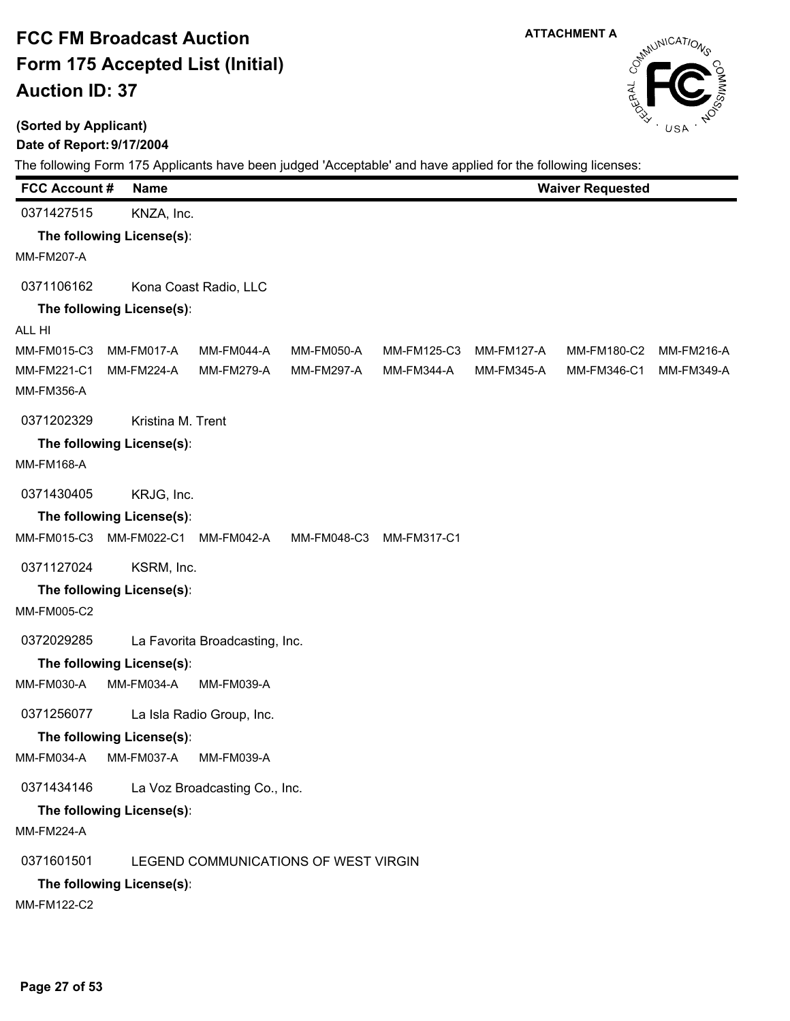

#### **(Sorted by Applicant)**

|  | Date of Report: 9/17/2004 |  |
|--|---------------------------|--|
|  |                           |  |

| <b>FCC Account#</b>       | <b>Name</b>                      |                                |                                      |             |                   | <b>Waiver Requested</b> |                   |
|---------------------------|----------------------------------|--------------------------------|--------------------------------------|-------------|-------------------|-------------------------|-------------------|
| 0371427515                | KNZA, Inc.                       |                                |                                      |             |                   |                         |                   |
|                           | The following License(s):        |                                |                                      |             |                   |                         |                   |
| MM-FM207-A                |                                  |                                |                                      |             |                   |                         |                   |
| 0371106162                |                                  | Kona Coast Radio, LLC          |                                      |             |                   |                         |                   |
|                           | The following License(s):        |                                |                                      |             |                   |                         |                   |
| ALL HI                    |                                  |                                |                                      |             |                   |                         |                   |
| MM-FM015-C3               | MM-FM017-A                       | MM-FM044-A                     | <b>MM-FM050-A</b>                    | MM-FM125-C3 | <b>MM-FM127-A</b> | MM-FM180-C2             | <b>MM-FM216-A</b> |
| MM-FM221-C1<br>MM-FM356-A | <b>MM-FM224-A</b>                | <b>MM-FM279-A</b>              | <b>MM-FM297-A</b>                    | MM-FM344-A  | MM-FM345-A        | MM-FM346-C1             | <b>MM-FM349-A</b> |
| 0371202329                | Kristina M. Trent                |                                |                                      |             |                   |                         |                   |
|                           | The following License(s):        |                                |                                      |             |                   |                         |                   |
| MM-FM168-A                |                                  |                                |                                      |             |                   |                         |                   |
| 0371430405                | KRJG, Inc.                       |                                |                                      |             |                   |                         |                   |
|                           | The following License(s):        |                                |                                      |             |                   |                         |                   |
| MM-FM015-C3               | MM-FM022-C1                      | MM-FM042-A                     | MM-FM048-C3                          | MM-FM317-C1 |                   |                         |                   |
| 0371127024                | KSRM, Inc.                       |                                |                                      |             |                   |                         |                   |
|                           | The following License(s):        |                                |                                      |             |                   |                         |                   |
| MM-FM005-C2               |                                  |                                |                                      |             |                   |                         |                   |
| 0372029285                |                                  | La Favorita Broadcasting, Inc. |                                      |             |                   |                         |                   |
|                           | The following License(s):        |                                |                                      |             |                   |                         |                   |
| MM-FM030-A                | <b>MM-FM034-A</b>                | <b>MM-FM039-A</b>              |                                      |             |                   |                         |                   |
| 0371256077                |                                  | La Isla Radio Group, Inc.      |                                      |             |                   |                         |                   |
|                           | The following License(s):        |                                |                                      |             |                   |                         |                   |
|                           | MM-FM034-A MM-FM037-A MM-FM039-A |                                |                                      |             |                   |                         |                   |
| 0371434146                |                                  | La Voz Broadcasting Co., Inc.  |                                      |             |                   |                         |                   |
|                           | The following License(s):        |                                |                                      |             |                   |                         |                   |
| <b>MM-FM224-A</b>         |                                  |                                |                                      |             |                   |                         |                   |
| 0371601501                |                                  |                                | LEGEND COMMUNICATIONS OF WEST VIRGIN |             |                   |                         |                   |
|                           | The following License(s):        |                                |                                      |             |                   |                         |                   |
| MM-FM122-C2               |                                  |                                |                                      |             |                   |                         |                   |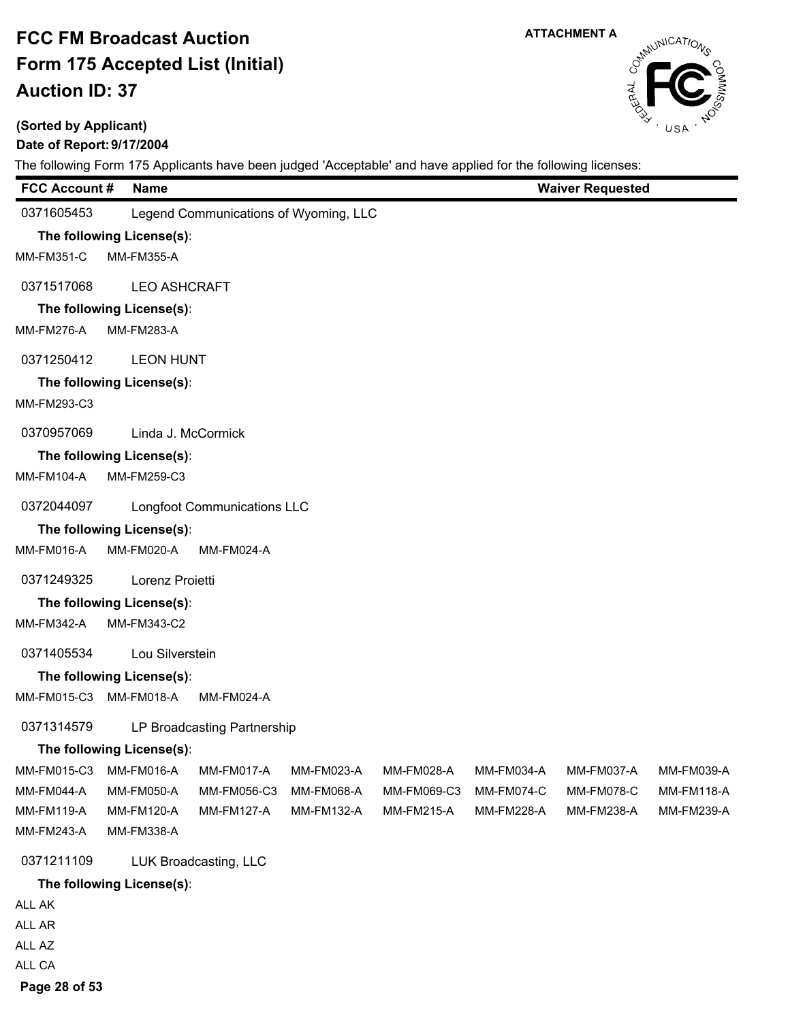#### **(Sorted by Applicant)**

**Date of Report:9/17/2004**

| <b>FCC Account #</b> | <b>Name</b>                 |                                       |            |                   |                   | <b>Waiver Requested</b> |                   |  |
|----------------------|-----------------------------|---------------------------------------|------------|-------------------|-------------------|-------------------------|-------------------|--|
| 0371605453           |                             | Legend Communications of Wyoming, LLC |            |                   |                   |                         |                   |  |
|                      | The following License(s):   |                                       |            |                   |                   |                         |                   |  |
| <b>MM-FM351-C</b>    | <b>MM-FM355-A</b>           |                                       |            |                   |                   |                         |                   |  |
| 0371517068           |                             | <b>LEO ASHCRAFT</b>                   |            |                   |                   |                         |                   |  |
|                      | The following License(s):   |                                       |            |                   |                   |                         |                   |  |
| <b>MM-FM276-A</b>    | <b>MM-FM283-A</b>           |                                       |            |                   |                   |                         |                   |  |
| 0371250412           | <b>LEON HUNT</b>            |                                       |            |                   |                   |                         |                   |  |
|                      | The following License(s):   |                                       |            |                   |                   |                         |                   |  |
| MM-FM293-C3          |                             |                                       |            |                   |                   |                         |                   |  |
| 0370957069           |                             | Linda J. McCormick                    |            |                   |                   |                         |                   |  |
|                      | The following License(s):   |                                       |            |                   |                   |                         |                   |  |
| <b>MM-FM104-A</b>    | MM-FM259-C3                 |                                       |            |                   |                   |                         |                   |  |
| 0372044097           | Longfoot Communications LLC |                                       |            |                   |                   |                         |                   |  |
|                      | The following License(s):   |                                       |            |                   |                   |                         |                   |  |
| MM-FM016-A           | <b>MM-FM020-A</b>           | MM-FM024-A                            |            |                   |                   |                         |                   |  |
| 0371249325           | Lorenz Proietti             |                                       |            |                   |                   |                         |                   |  |
|                      | The following License(s):   |                                       |            |                   |                   |                         |                   |  |
| <b>MM-FM342-A</b>    | MM-FM343-C2                 |                                       |            |                   |                   |                         |                   |  |
| 0371405534           | Lou Silverstein             |                                       |            |                   |                   |                         |                   |  |
|                      | The following License(s):   |                                       |            |                   |                   |                         |                   |  |
| MM-FM015-C3          | MM-FM018-A                  | MM-FM024-A                            |            |                   |                   |                         |                   |  |
| 0371314579           |                             | LP Broadcasting Partnership           |            |                   |                   |                         |                   |  |
|                      | The following License(s):   |                                       |            |                   |                   |                         |                   |  |
| MM-FM015-C3          | <b>MM-FM016-A</b>           | MM-FM017-A                            | MM-FM023-A | MM-FM028-A        | MM-FM034-A        | MM-FM037-A              | MM-FM039-A        |  |
| MM-FM044-A           | <b>MM-FM050-A</b>           | MM-FM056-C3                           | MM-FM068-A | MM-FM069-C3       | MM-FM074-C        | <b>MM-FM078-C</b>       | <b>MM-FM118-A</b> |  |
| <b>MM-FM119-A</b>    | <b>MM-FM120-A</b>           | <b>MM-FM127-A</b>                     | MM-FM132-A | <b>MM-FM215-A</b> | <b>MM-FM228-A</b> | MM-FM238-A              | MM-FM239-A        |  |
| MM-FM243-A           | MM-FM338-A                  |                                       |            |                   |                   |                         |                   |  |
| 0371211109           |                             | LUK Broadcasting, LLC                 |            |                   |                   |                         |                   |  |
|                      | The following License(s):   |                                       |            |                   |                   |                         |                   |  |
| ALL AK               |                             |                                       |            |                   |                   |                         |                   |  |
| ALL AR               |                             |                                       |            |                   |                   |                         |                   |  |
| ALL AZ               |                             |                                       |            |                   |                   |                         |                   |  |
| ALL CA               |                             |                                       |            |                   |                   |                         |                   |  |

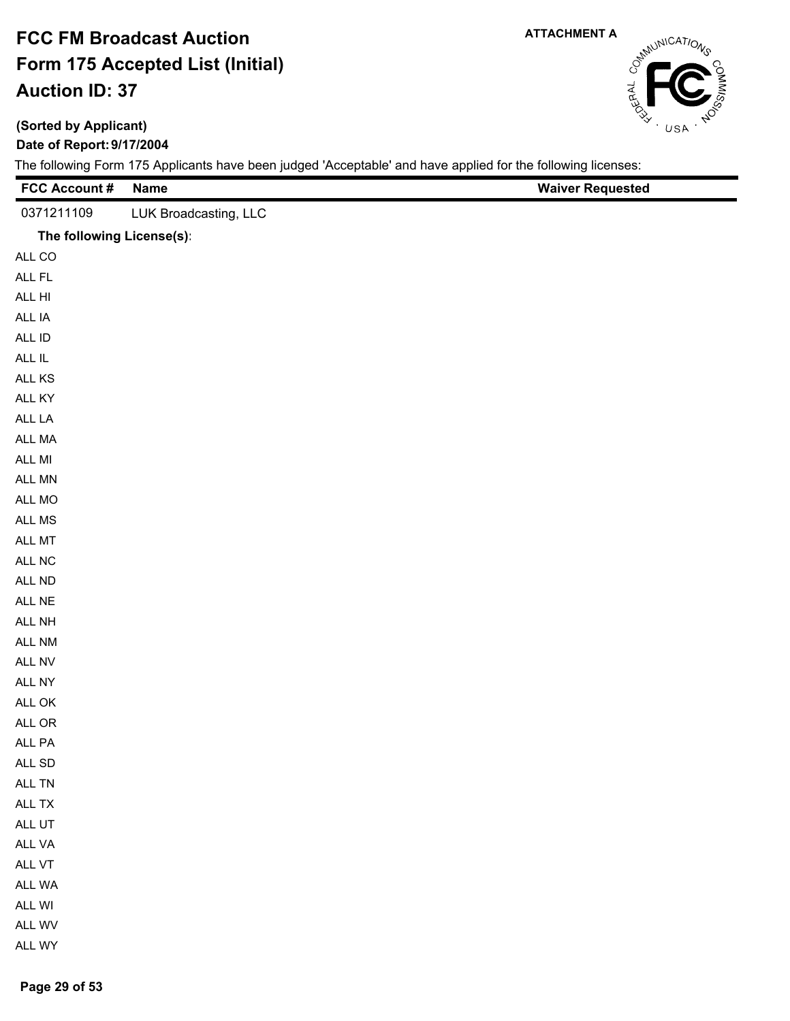#### **(Sorted by Applicant)**

**Date of Report:9/17/2004**

| FCC Account #             | <b>Name</b>           | <b>Waiver Requested</b> |
|---------------------------|-----------------------|-------------------------|
| 0371211109                | LUK Broadcasting, LLC |                         |
| The following License(s): |                       |                         |
| ALL CO                    |                       |                         |
| ALL FL                    |                       |                         |
| ALL HI                    |                       |                         |
| ALL IA                    |                       |                         |
| ALL ID                    |                       |                         |
| $\sf ALL\; IL$            |                       |                         |
| ALL KS                    |                       |                         |
| ALL KY                    |                       |                         |
| ALL LA                    |                       |                         |
| ALL MA                    |                       |                         |
| ALL MI                    |                       |                         |
| ALL MN                    |                       |                         |
| ALL MO                    |                       |                         |
| ALL MS                    |                       |                         |
| ALL MT                    |                       |                         |
| ALL NC                    |                       |                         |
| ALL ND                    |                       |                         |
| ALL NE                    |                       |                         |
| ALL NH                    |                       |                         |
| ALL NM                    |                       |                         |
| ALL NV                    |                       |                         |
| ALL NY                    |                       |                         |
| $\mathsf{ALL}$ OK         |                       |                         |
| ALL OR                    |                       |                         |
| ALL PA                    |                       |                         |
| ALL SD                    |                       |                         |
| ALL TN                    |                       |                         |
| ALL TX                    |                       |                         |
| ALL UT                    |                       |                         |
| ALL VA                    |                       |                         |
| ALL VT                    |                       |                         |
| ALL WA                    |                       |                         |
| ALL WI                    |                       |                         |
| ALL WV                    |                       |                         |
| ALL WY                    |                       |                         |



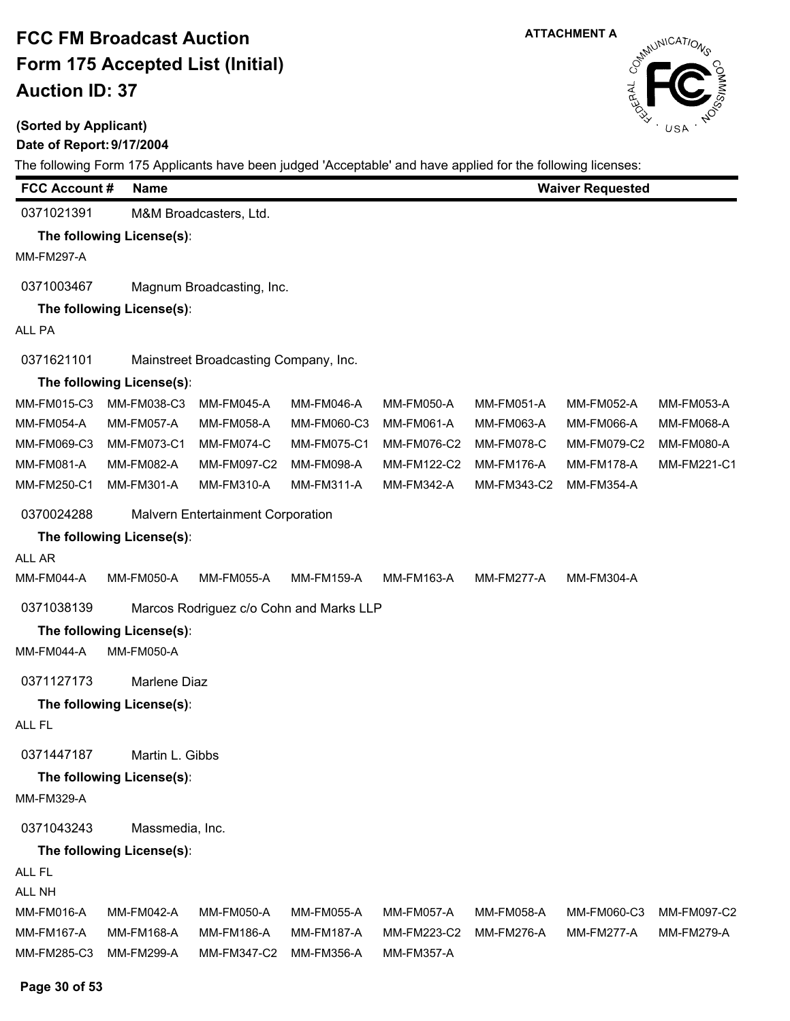

#### **(Sorted by Applicant)**

**Date of Report:9/17/2004**

| <b>FCC Account#</b> | <b>Name</b>               |                                          |                    |                    |                   | <b>Waiver Requested</b> |             |
|---------------------|---------------------------|------------------------------------------|--------------------|--------------------|-------------------|-------------------------|-------------|
| 0371021391          |                           | M&M Broadcasters, Ltd.                   |                    |                    |                   |                         |             |
|                     | The following License(s): |                                          |                    |                    |                   |                         |             |
| <b>MM-FM297-A</b>   |                           |                                          |                    |                    |                   |                         |             |
| 0371003467          |                           | Magnum Broadcasting, Inc.                |                    |                    |                   |                         |             |
|                     | The following License(s): |                                          |                    |                    |                   |                         |             |
| ALL PA              |                           |                                          |                    |                    |                   |                         |             |
| 0371621101          |                           | Mainstreet Broadcasting Company, Inc.    |                    |                    |                   |                         |             |
|                     | The following License(s): |                                          |                    |                    |                   |                         |             |
| MM-FM015-C3         | MM-FM038-C3               | <b>MM-FM045-A</b>                        | MM-FM046-A         | <b>MM-FM050-A</b>  | MM-FM051-A        | MM-FM052-A              | MM-FM053-A  |
| <b>MM-FM054-A</b>   | MM-FM057-A                | MM-FM058-A                               | MM-FM060-C3        | <b>MM-FM061-A</b>  | MM-FM063-A        | MM-FM066-A              | MM-FM068-A  |
| MM-FM069-C3         | MM-FM073-C1               | MM-FM074-C                               | <b>MM-FM075-C1</b> | MM-FM076-C2        | <b>MM-FM078-C</b> | MM-FM079-C2             | MM-FM080-A  |
| MM-FM081-A          | <b>MM-FM082-A</b>         | MM-FM097-C2                              | <b>MM-FM098-A</b>  | <b>MM-FM122-C2</b> | <b>MM-FM176-A</b> | <b>MM-FM178-A</b>       | MM-FM221-C1 |
| MM-FM250-C1         | <b>MM-FM301-A</b>         | MM-FM310-A                               | <b>MM-FM311-A</b>  | <b>MM-FM342-A</b>  | MM-FM343-C2       | <b>MM-FM354-A</b>       |             |
| 0370024288          |                           | <b>Malvern Entertainment Corporation</b> |                    |                    |                   |                         |             |
|                     | The following License(s): |                                          |                    |                    |                   |                         |             |
| ALL AR              |                           |                                          |                    |                    |                   |                         |             |
| MM-FM044-A          | <b>MM-FM050-A</b>         | <b>MM-FM055-A</b>                        | <b>MM-FM159-A</b>  | MM-FM163-A         | <b>MM-FM277-A</b> | MM-FM304-A              |             |
| 0371038139          |                           | Marcos Rodriguez c/o Cohn and Marks LLP  |                    |                    |                   |                         |             |
|                     | The following License(s): |                                          |                    |                    |                   |                         |             |
| MM-FM044-A          | MM-FM050-A                |                                          |                    |                    |                   |                         |             |
| 0371127173          | <b>Marlene Diaz</b>       |                                          |                    |                    |                   |                         |             |
|                     | The following License(s): |                                          |                    |                    |                   |                         |             |
| ALL FL              |                           |                                          |                    |                    |                   |                         |             |
| 0371447187          | Martin L. Gibbs           |                                          |                    |                    |                   |                         |             |
|                     | The following License(s): |                                          |                    |                    |                   |                         |             |
| <b>MM-FM329-A</b>   |                           |                                          |                    |                    |                   |                         |             |
| 0371043243          | Massmedia, Inc.           |                                          |                    |                    |                   |                         |             |
|                     | The following License(s): |                                          |                    |                    |                   |                         |             |
| ALL FL              |                           |                                          |                    |                    |                   |                         |             |
| ALL NH              |                           |                                          |                    |                    |                   |                         |             |
| <b>MM-FM016-A</b>   | <b>MM-FM042-A</b>         | MM-FM050-A                               | <b>MM-FM055-A</b>  | <b>MM-FM057-A</b>  | MM-FM058-A        | MM-FM060-C3             | MM-FM097-C2 |
| <b>MM-FM167-A</b>   | <b>MM-FM168-A</b>         | MM-FM186-A                               | <b>MM-FM187-A</b>  | MM-FM223-C2        | <b>MM-FM276-A</b> | <b>MM-FM277-A</b>       | MM-FM279-A  |
| MM-FM285-C3         | <b>MM-FM299-A</b>         | MM-FM347-C2                              | <b>MM-FM356-A</b>  | <b>MM-FM357-A</b>  |                   |                         |             |
|                     |                           |                                          |                    |                    |                   |                         |             |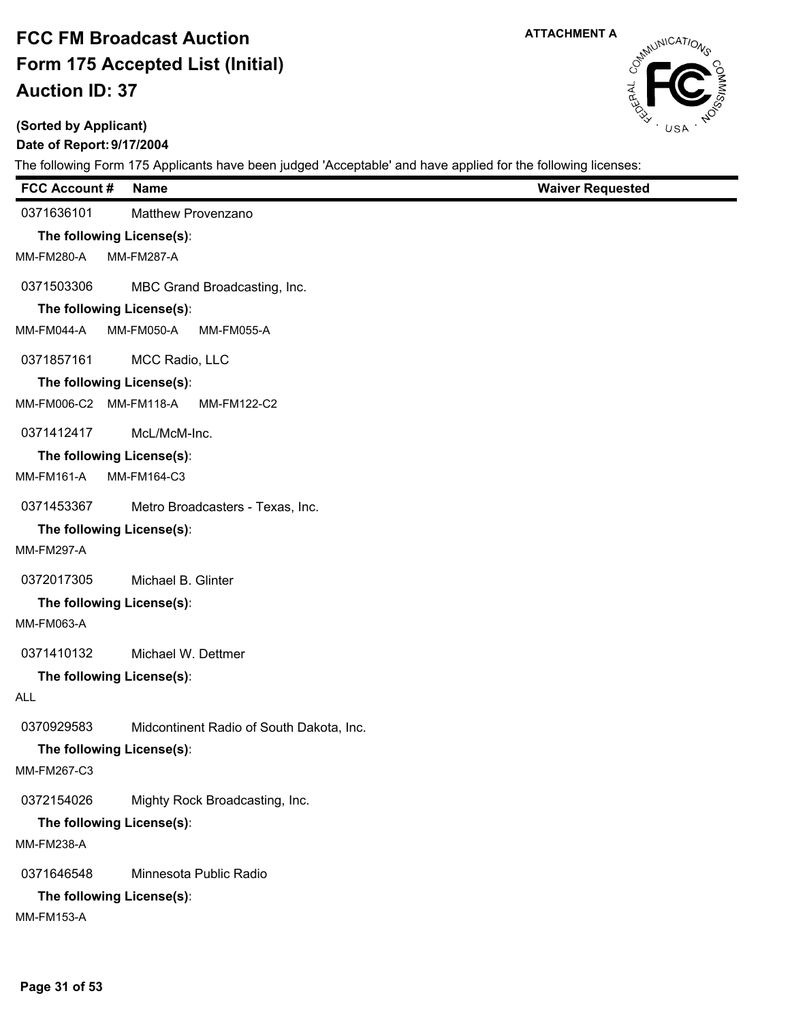**Date of Report:9/17/2004**

| <b>FCC Account#</b>    | <b>Name</b>                              | <b>Waiver Requested</b> |
|------------------------|------------------------------------------|-------------------------|
| 0371636101             | Matthew Provenzano                       |                         |
|                        | The following License(s):                |                         |
| <b>MM-FM280-A</b>      | <b>MM-FM287-A</b>                        |                         |
| 0371503306             | MBC Grand Broadcasting, Inc.             |                         |
|                        | The following License(s):                |                         |
| MM-FM044-A             | <b>MM-FM050-A</b><br><b>MM-FM055-A</b>   |                         |
| 0371857161             | MCC Radio, LLC                           |                         |
|                        | The following License(s):                |                         |
| MM-FM006-C2 MM-FM118-A | MM-FM122-C2                              |                         |
| 0371412417             | McL/McM-Inc.                             |                         |
|                        | The following License(s):                |                         |
| <b>MM-FM161-A</b>      | MM-FM164-C3                              |                         |
| 0371453367             | Metro Broadcasters - Texas, Inc.         |                         |
|                        | The following License(s):                |                         |
| <b>MM-FM297-A</b>      |                                          |                         |
| 0372017305             | Michael B. Glinter                       |                         |
|                        | The following License(s):                |                         |
| MM-FM063-A             |                                          |                         |
| 0371410132             | Michael W. Dettmer                       |                         |
|                        | The following License(s):                |                         |
| ALL                    |                                          |                         |
| 0370929583             | Midcontinent Radio of South Dakota, Inc. |                         |
|                        | The following License(s):                |                         |
| MM-FM267-C3            |                                          |                         |
| 0372154026             | Mighty Rock Broadcasting, Inc.           |                         |
|                        | The following License(s):                |                         |
| <b>MM-FM238-A</b>      |                                          |                         |
| 0371646548             | Minnesota Public Radio                   |                         |
|                        | The following License(s):                |                         |
| <b>MM-FM153-A</b>      |                                          |                         |
|                        |                                          |                         |

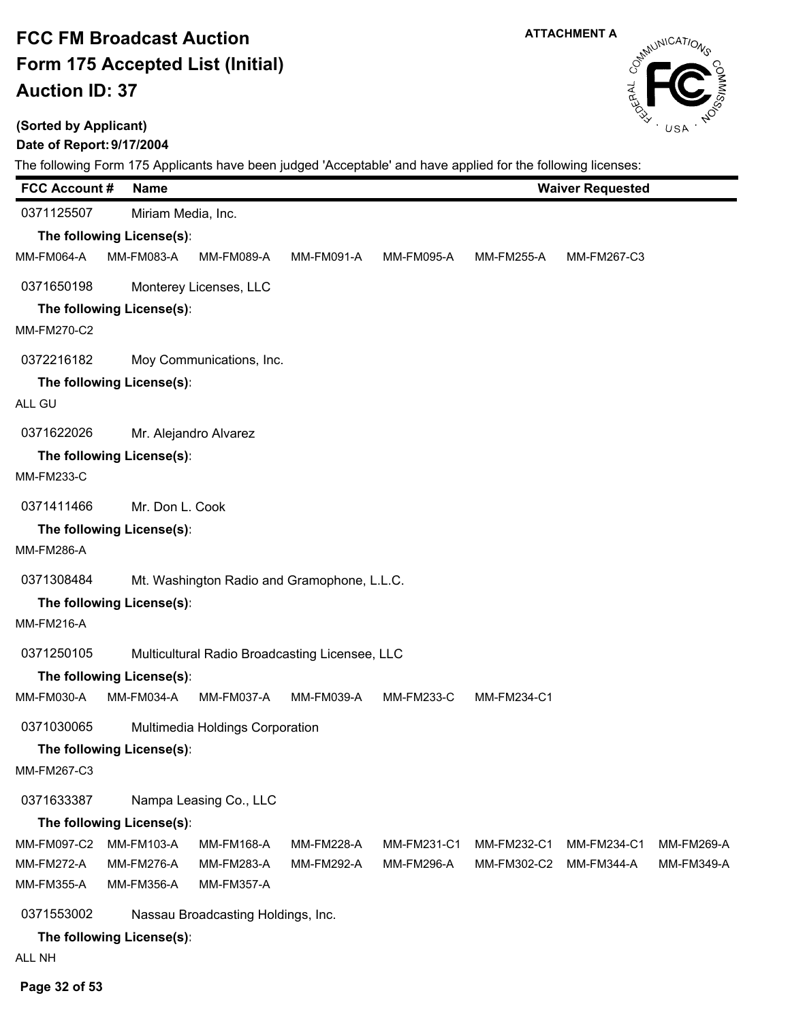

#### **(Sorted by Applicant)**

|  | Date of Report: 9/17/2004 |  |
|--|---------------------------|--|
|  |                           |  |

The following Form 175 Applicants have been judged 'Acceptable' and have applied for the following licenses:

| <b>FCC Account#</b>       | <b>Name</b>       |                          |                                    |                                                |                   | <b>Waiver Requested</b> |                   |            |  |
|---------------------------|-------------------|--------------------------|------------------------------------|------------------------------------------------|-------------------|-------------------------|-------------------|------------|--|
| 0371125507                |                   |                          | Miriam Media, Inc.                 |                                                |                   |                         |                   |            |  |
| The following License(s): |                   |                          |                                    |                                                |                   |                         |                   |            |  |
| <b>MM-FM064-A</b>         | <b>MM-FM083-A</b> |                          | <b>MM-FM089-A</b>                  | MM-FM091-A                                     | MM-FM095-A        | <b>MM-FM255-A</b>       | MM-FM267-C3       |            |  |
| 0371650198                |                   |                          | Monterey Licenses, LLC             |                                                |                   |                         |                   |            |  |
| The following License(s): |                   |                          |                                    |                                                |                   |                         |                   |            |  |
| MM-FM270-C2               |                   |                          |                                    |                                                |                   |                         |                   |            |  |
| 0372216182                |                   | Moy Communications, Inc. |                                    |                                                |                   |                         |                   |            |  |
| The following License(s): |                   |                          |                                    |                                                |                   |                         |                   |            |  |
| ALL GU                    |                   |                          |                                    |                                                |                   |                         |                   |            |  |
| 0371622026                |                   |                          | Mr. Alejandro Alvarez              |                                                |                   |                         |                   |            |  |
| The following License(s): |                   |                          |                                    |                                                |                   |                         |                   |            |  |
| <b>MM-FM233-C</b>         |                   |                          |                                    |                                                |                   |                         |                   |            |  |
| 0371411466                |                   | Mr. Don L. Cook          |                                    |                                                |                   |                         |                   |            |  |
| The following License(s): |                   |                          |                                    |                                                |                   |                         |                   |            |  |
| <b>MM-FM286-A</b>         |                   |                          |                                    |                                                |                   |                         |                   |            |  |
| 0371308484                |                   |                          |                                    | Mt. Washington Radio and Gramophone, L.L.C.    |                   |                         |                   |            |  |
| The following License(s): |                   |                          |                                    |                                                |                   |                         |                   |            |  |
| <b>MM-FM216-A</b>         |                   |                          |                                    |                                                |                   |                         |                   |            |  |
| 0371250105                |                   |                          |                                    | Multicultural Radio Broadcasting Licensee, LLC |                   |                         |                   |            |  |
| The following License(s): |                   |                          |                                    |                                                |                   |                         |                   |            |  |
| <b>MM-FM030-A</b>         | MM-FM034-A        |                          | <b>MM-FM037-A</b>                  | MM-FM039-A                                     | <b>MM-FM233-C</b> | MM-FM234-C1             |                   |            |  |
| 0371030065                |                   |                          | Multimedia Holdings Corporation    |                                                |                   |                         |                   |            |  |
| The following License(s): |                   |                          |                                    |                                                |                   |                         |                   |            |  |
| MM-FM267-C3               |                   |                          |                                    |                                                |                   |                         |                   |            |  |
| 0371633387                |                   |                          | Nampa Leasing Co., LLC             |                                                |                   |                         |                   |            |  |
| The following License(s): |                   |                          |                                    |                                                |                   |                         |                   |            |  |
| MM-FM097-C2               | <b>MM-FM103-A</b> |                          | <b>MM-FM168-A</b>                  | <b>MM-FM228-A</b>                              | MM-FM231-C1       | MM-FM232-C1             | MM-FM234-C1       | MM-FM269-A |  |
| <b>MM-FM272-A</b>         | <b>MM-FM276-A</b> |                          | MM-FM283-A                         | <b>MM-FM292-A</b>                              | MM-FM296-A        | MM-FM302-C2             | <b>MM-FM344-A</b> | MM-FM349-A |  |
| MM-FM355-A                | MM-FM356-A        |                          | <b>MM-FM357-A</b>                  |                                                |                   |                         |                   |            |  |
| 0371553002                |                   |                          | Nassau Broadcasting Holdings, Inc. |                                                |                   |                         |                   |            |  |
| The following License(s): |                   |                          |                                    |                                                |                   |                         |                   |            |  |

ALL NH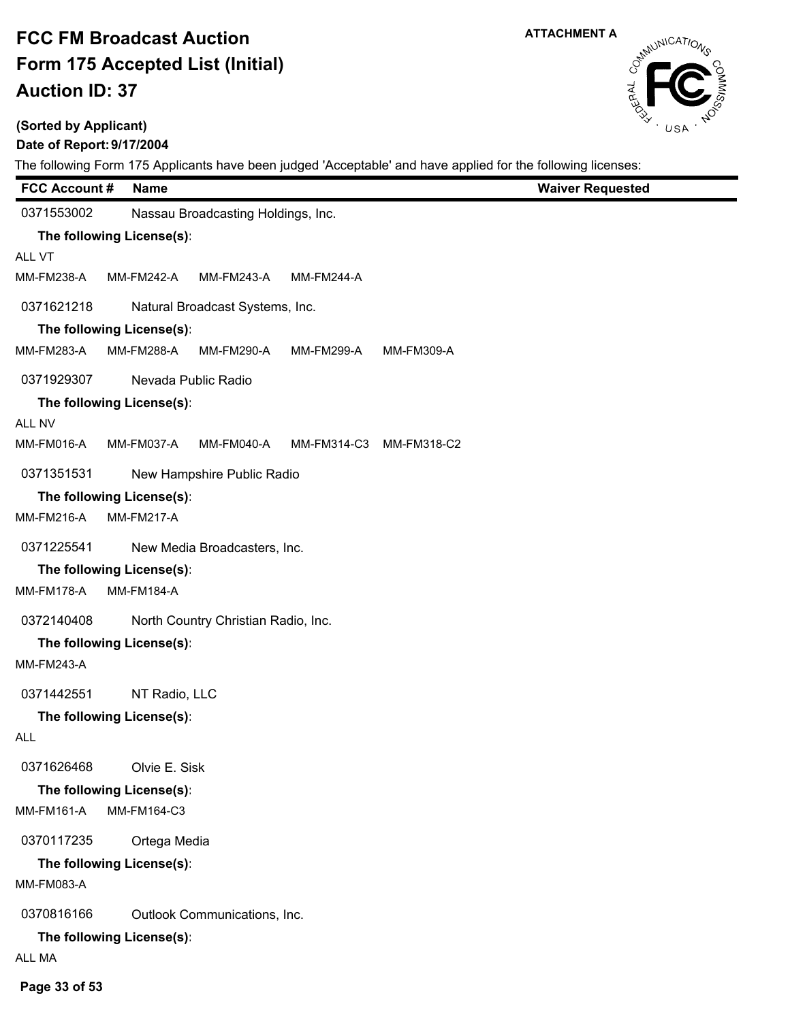**Date of Report:9/17/2004**

| <b>FCC Account#</b> | <b>Name</b>               |                                     |                   |                         | <b>Waiver Requested</b> |  |
|---------------------|---------------------------|-------------------------------------|-------------------|-------------------------|-------------------------|--|
| 0371553002          |                           | Nassau Broadcasting Holdings, Inc.  |                   |                         |                         |  |
|                     | The following License(s): |                                     |                   |                         |                         |  |
| ALL VT              |                           |                                     |                   |                         |                         |  |
| <b>MM-FM238-A</b>   | <b>MM-FM242-A</b>         | <b>MM-FM243-A</b>                   | <b>MM-FM244-A</b> |                         |                         |  |
| 0371621218          |                           | Natural Broadcast Systems, Inc.     |                   |                         |                         |  |
|                     | The following License(s): |                                     |                   |                         |                         |  |
| <b>MM-FM283-A</b>   | <b>MM-FM288-A</b>         | MM-FM290-A                          | MM-FM299-A        | <b>MM-FM309-A</b>       |                         |  |
| 0371929307          |                           | Nevada Public Radio                 |                   |                         |                         |  |
|                     | The following License(s): |                                     |                   |                         |                         |  |
| ALL NV              |                           |                                     |                   |                         |                         |  |
| <b>MM-FM016-A</b>   | MM-FM037-A                | MM-FM040-A                          |                   | MM-FM314-C3 MM-FM318-C2 |                         |  |
| 0371351531          |                           | New Hampshire Public Radio          |                   |                         |                         |  |
|                     | The following License(s): |                                     |                   |                         |                         |  |
| MM-FM216-A          | <b>MM-FM217-A</b>         |                                     |                   |                         |                         |  |
| 0371225541          |                           | New Media Broadcasters, Inc.        |                   |                         |                         |  |
|                     | The following License(s): |                                     |                   |                         |                         |  |
| <b>MM-FM178-A</b>   | <b>MM-FM184-A</b>         |                                     |                   |                         |                         |  |
| 0372140408          |                           | North Country Christian Radio, Inc. |                   |                         |                         |  |
|                     | The following License(s): |                                     |                   |                         |                         |  |
| <b>MM-FM243-A</b>   |                           |                                     |                   |                         |                         |  |
| 0371442551          | NT Radio, LLC             |                                     |                   |                         |                         |  |
|                     | The following License(s): |                                     |                   |                         |                         |  |
| <b>ALL</b>          |                           |                                     |                   |                         |                         |  |
| 0371626468          | Olvie E. Sisk             |                                     |                   |                         |                         |  |
|                     | The following License(s): |                                     |                   |                         |                         |  |
| MM-FM161-A          | MM-FM164-C3               |                                     |                   |                         |                         |  |
| 0370117235          | Ortega Media              |                                     |                   |                         |                         |  |
|                     | The following License(s): |                                     |                   |                         |                         |  |
| MM-FM083-A          |                           |                                     |                   |                         |                         |  |
| 0370816166          |                           | Outlook Communications, Inc.        |                   |                         |                         |  |
|                     | The following License(s): |                                     |                   |                         |                         |  |
| ALL MA              |                           |                                     |                   |                         |                         |  |

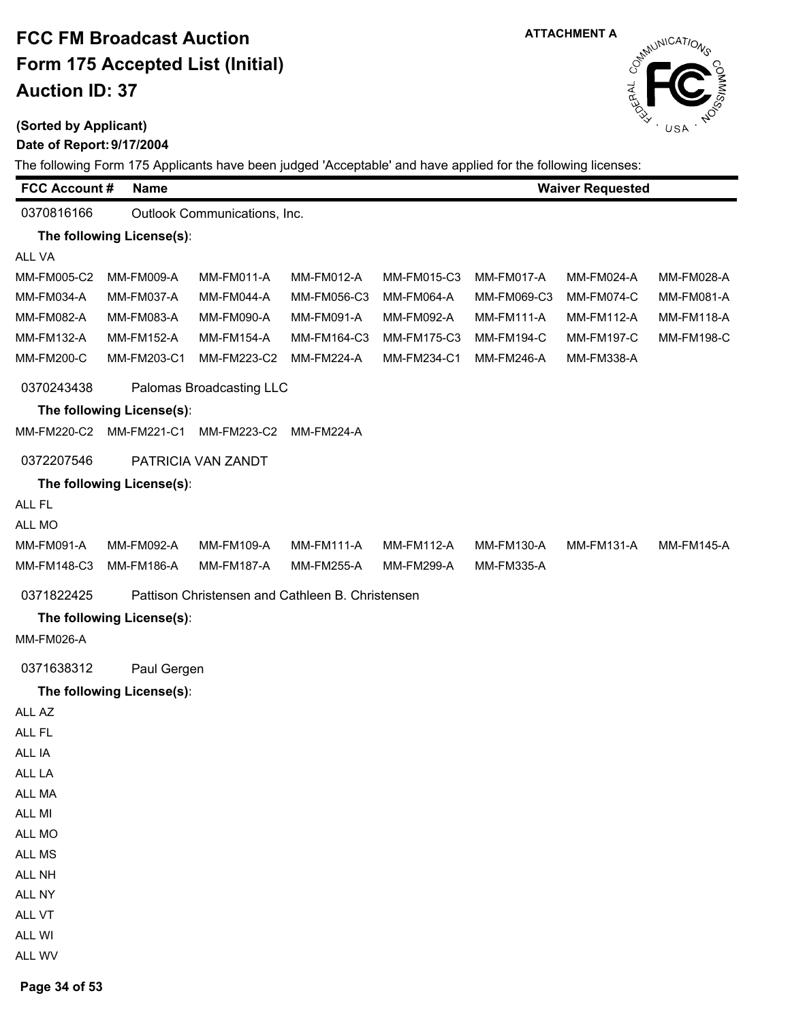

#### **(Sorted by Applicant) Date of Report:9/17/2004**

#### **FCC Account # Name Waiver Requested** The following Form 175 Applicants have been judged 'Acceptable' and have applied for the following licenses: Outlook Communications, Inc. **The following License(s):** 0370816166 ALL VA MM-FM005-C2 MM-FM009-A MM-FM011-A MM-FM012-A MM-FM015-C3 MM-FM017-A MM-FM024-A MM-FM028-A MM-FM034-A MM-FM037-A MM-FM044-A MM-FM056-C3 MM-FM064-A MM-FM069-C3 MM-FM074-C MM-FM081-A MM-FM082-A MM-FM083-A MM-FM090-A MM-FM091-A MM-FM092-A MM-FM111-A MM-FM112-A MM-FM118-A MM-FM132-A MM-FM152-A MM-FM154-A MM-FM164-C3 MM-FM175-C3 MM-FM194-C MM-FM197-C MM-FM198-C MM-FM200-C MM-FM203-C1 MM-FM223-C2 MM-FM224-A MM-FM234-C1 MM-FM246-A MM-FM338-A Palomas Broadcasting LLC **The following License(s):** 0370243438 MM-FM220-C2 MM-FM221-C1 MM-FM223-C2 MM-FM224-A PATRICIA VAN ZANDT **The following License(s):** 0372207546 ALL FL ALL MO MM-FM091-A MM-FM092-A MM-FM109-A MM-FM111-A MM-FM112-A MM-FM130-A MM-FM131-A MM-FM145-A MM-FM148-C3 MM-FM186-A MM-FM187-A MM-FM255-A MM-FM299-A MM-FM335-A Pattison Christensen and Cathleen B. Christensen **The following License(s):** 0371822425 MM-FM026-A Paul Gergen **The following License(s):** 0371638312 ALL AZ ALL FL ALL IA ALL LA ALL MA ALL MI ALL MO ALL MS ALL NH ALL NY ALL VT ALL WI ALL WV

**Page 34 of 53**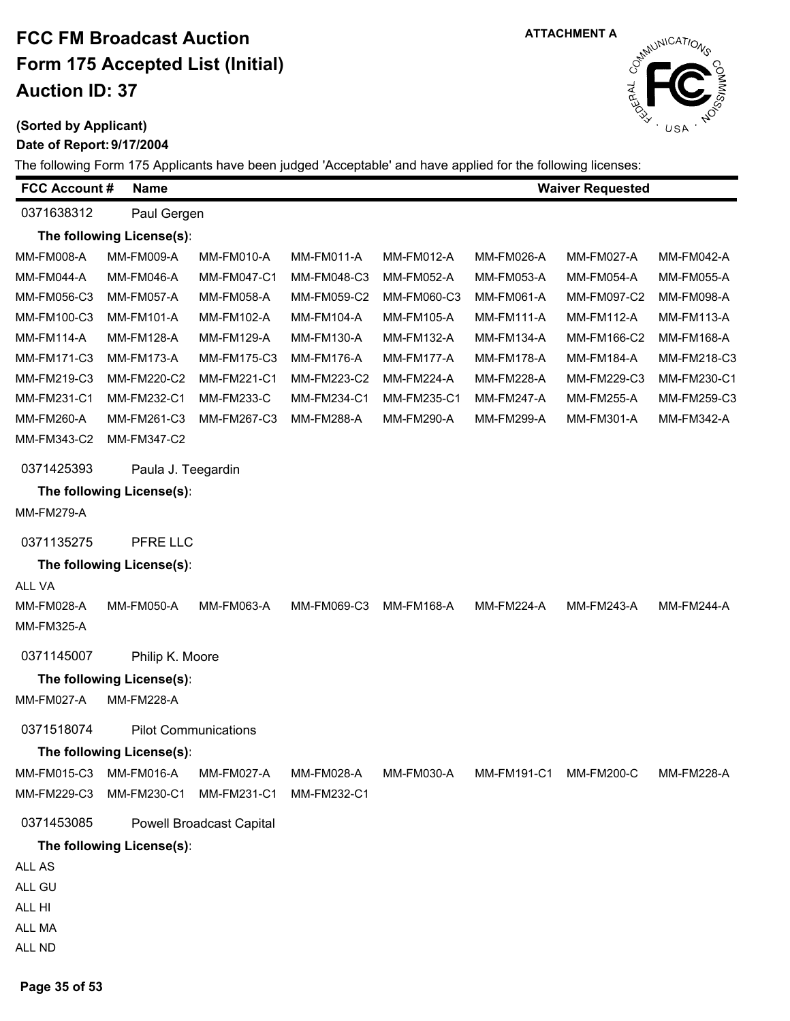

#### **(Sorted by Applicant)**

#### **Date of Report:9/17/2004**

| <b>FCC Account #</b> | <b>Name</b>               |                                 |                   |                   |                   | <b>Waiver Requested</b> |                   |
|----------------------|---------------------------|---------------------------------|-------------------|-------------------|-------------------|-------------------------|-------------------|
| 0371638312           | Paul Gergen               |                                 |                   |                   |                   |                         |                   |
|                      | The following License(s): |                                 |                   |                   |                   |                         |                   |
| <b>MM-FM008-A</b>    | MM-FM009-A                | MM-FM010-A                      | MM-FM011-A        | MM-FM012-A        | MM-FM026-A        | <b>MM-FM027-A</b>       | MM-FM042-A        |
| MM-FM044-A           | MM-FM046-A                | MM-FM047-C1                     | MM-FM048-C3       | <b>MM-FM052-A</b> | <b>MM-FM053-A</b> | <b>MM-FM054-A</b>       | <b>MM-FM055-A</b> |
| MM-FM056-C3          | <b>MM-FM057-A</b>         | <b>MM-FM058-A</b>               | MM-FM059-C2       | MM-FM060-C3       | <b>MM-FM061-A</b> | MM-FM097-C2             | MM-FM098-A        |
| MM-FM100-C3          | <b>MM-FM101-A</b>         | MM-FM102-A                      | <b>MM-FM104-A</b> | <b>MM-FM105-A</b> | MM-FM111-A        | <b>MM-FM112-A</b>       | MM-FM113-A        |
| <b>MM-FM114-A</b>    | <b>MM-FM128-A</b>         | <b>MM-FM129-A</b>               | MM-FM130-A        | <b>MM-FM132-A</b> | <b>MM-FM134-A</b> | MM-FM166-C2             | MM-FM168-A        |
| MM-FM171-C3          | <b>MM-FM173-A</b>         | MM-FM175-C3                     | <b>MM-FM176-A</b> | <b>MM-FM177-A</b> | <b>MM-FM178-A</b> | <b>MM-FM184-A</b>       | MM-FM218-C3       |
| MM-FM219-C3          | MM-FM220-C2               | <b>MM-FM221-C1</b>              | MM-FM223-C2       | <b>MM-FM224-A</b> | MM-FM228-A        | MM-FM229-C3             | MM-FM230-C1       |
| MM-FM231-C1          | MM-FM232-C1               | MM-FM233-C                      | MM-FM234-C1       | MM-FM235-C1       | <b>MM-FM247-A</b> | <b>MM-FM255-A</b>       | MM-FM259-C3       |
| <b>MM-FM260-A</b>    | MM-FM261-C3               | MM-FM267-C3                     | <b>MM-FM288-A</b> | MM-FM290-A        | MM-FM299-A        | MM-FM301-A              | MM-FM342-A        |
| MM-FM343-C2          | MM-FM347-C2               |                                 |                   |                   |                   |                         |                   |
| 0371425393           | Paula J. Teegardin        |                                 |                   |                   |                   |                         |                   |
|                      | The following License(s): |                                 |                   |                   |                   |                         |                   |
| <b>MM-FM279-A</b>    |                           |                                 |                   |                   |                   |                         |                   |
| 0371135275           | PFRE LLC                  |                                 |                   |                   |                   |                         |                   |
|                      | The following License(s): |                                 |                   |                   |                   |                         |                   |
| <b>ALL VA</b>        |                           |                                 |                   |                   |                   |                         |                   |
| MM-FM028-A           | <b>MM-FM050-A</b>         | MM-FM063-A                      | MM-FM069-C3       | <b>MM-FM168-A</b> | <b>MM-FM224-A</b> | <b>MM-FM243-A</b>       | <b>MM-FM244-A</b> |
| MM-FM325-A           |                           |                                 |                   |                   |                   |                         |                   |
| 0371145007           | Philip K. Moore           |                                 |                   |                   |                   |                         |                   |
|                      | The following License(s): |                                 |                   |                   |                   |                         |                   |
| MM-FM027-A           | <b>MM-FM228-A</b>         |                                 |                   |                   |                   |                         |                   |
| 0371518074           |                           | <b>Pilot Communications</b>     |                   |                   |                   |                         |                   |
|                      | The following License(s): |                                 |                   |                   |                   |                         |                   |
| MM-FM015-C3          | MM-FM016-A                | <b>MM-FM027-A</b>               | MM-FM028-A        | MM-FM030-A        | MM-FM191-C1       | <b>MM-FM200-C</b>       | <b>MM-FM228-A</b> |
| MM-FM229-C3          | MM-FM230-C1               | MM-FM231-C1                     | MM-FM232-C1       |                   |                   |                         |                   |
| 0371453085           |                           | <b>Powell Broadcast Capital</b> |                   |                   |                   |                         |                   |
|                      | The following License(s): |                                 |                   |                   |                   |                         |                   |
| ALL AS               |                           |                                 |                   |                   |                   |                         |                   |
| ALL GU               |                           |                                 |                   |                   |                   |                         |                   |
| ALL HI               |                           |                                 |                   |                   |                   |                         |                   |
| ALL MA               |                           |                                 |                   |                   |                   |                         |                   |
| ALL ND               |                           |                                 |                   |                   |                   |                         |                   |
|                      |                           |                                 |                   |                   |                   |                         |                   |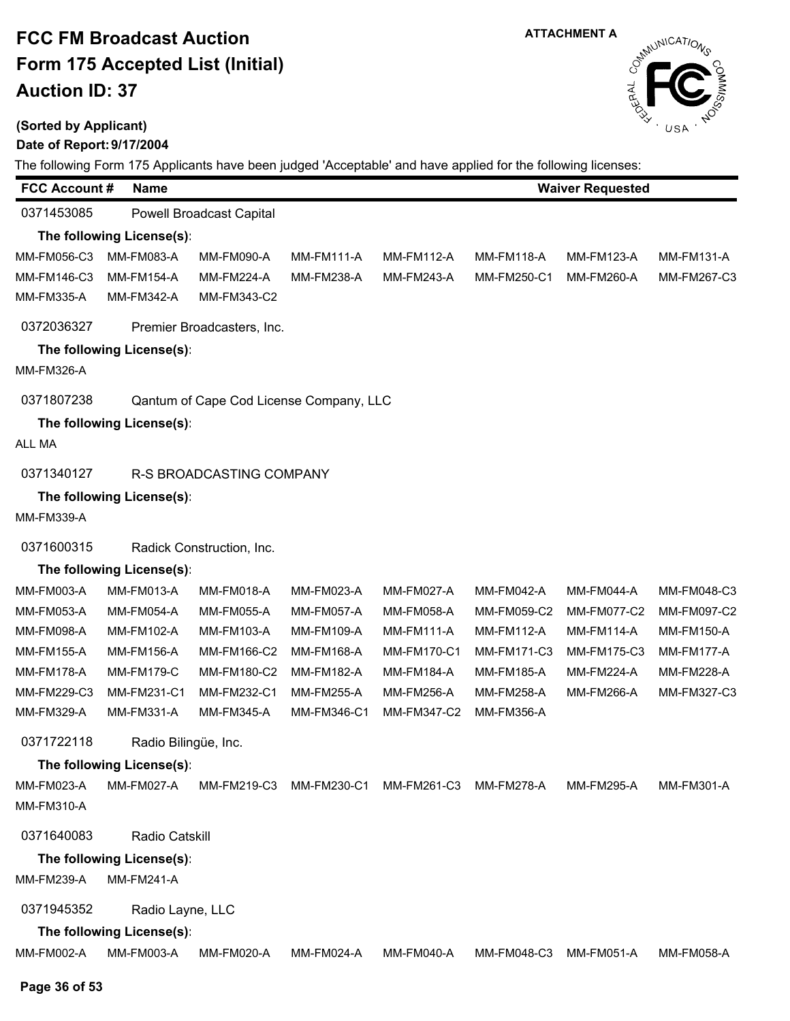#### **(Sorted by Applicant)**

**Date of Report:9/17/2004**

| <b>FCC Account#</b> | <b>Name</b>               |                                         |                   |                    |                   | <b>Waiver Requested</b> |                   |
|---------------------|---------------------------|-----------------------------------------|-------------------|--------------------|-------------------|-------------------------|-------------------|
| 0371453085          |                           | <b>Powell Broadcast Capital</b>         |                   |                    |                   |                         |                   |
|                     | The following License(s): |                                         |                   |                    |                   |                         |                   |
| MM-FM056-C3         | <b>MM-FM083-A</b>         | <b>MM-FM090-A</b>                       | <b>MM-FM111-A</b> | <b>MM-FM112-A</b>  | <b>MM-FM118-A</b> | <b>MM-FM123-A</b>       | <b>MM-FM131-A</b> |
| MM-FM146-C3         | <b>MM-FM154-A</b>         | <b>MM-FM224-A</b>                       | MM-FM238-A        | <b>MM-FM243-A</b>  | MM-FM250-C1       | MM-FM260-A              | MM-FM267-C3       |
| MM-FM335-A          | <b>MM-FM342-A</b>         | MM-FM343-C2                             |                   |                    |                   |                         |                   |
| 0372036327          |                           | Premier Broadcasters, Inc.              |                   |                    |                   |                         |                   |
|                     | The following License(s): |                                         |                   |                    |                   |                         |                   |
| MM-FM326-A          |                           |                                         |                   |                    |                   |                         |                   |
| 0371807238          |                           | Qantum of Cape Cod License Company, LLC |                   |                    |                   |                         |                   |
|                     | The following License(s): |                                         |                   |                    |                   |                         |                   |
| <b>ALL MA</b>       |                           |                                         |                   |                    |                   |                         |                   |
| 0371340127          |                           | R-S BROADCASTING COMPANY                |                   |                    |                   |                         |                   |
|                     | The following License(s): |                                         |                   |                    |                   |                         |                   |
| MM-FM339-A          |                           |                                         |                   |                    |                   |                         |                   |
| 0371600315          |                           | Radick Construction, Inc.               |                   |                    |                   |                         |                   |
|                     | The following License(s): |                                         |                   |                    |                   |                         |                   |
| MM-FM003-A          | MM-FM013-A                | MM-FM018-A                              | MM-FM023-A        | MM-FM027-A         | MM-FM042-A        | MM-FM044-A              | MM-FM048-C3       |
| MM-FM053-A          | <b>MM-FM054-A</b>         | <b>MM-FM055-A</b>                       | <b>MM-FM057-A</b> | <b>MM-FM058-A</b>  | MM-FM059-C2       | MM-FM077-C2             | MM-FM097-C2       |
| MM-FM098-A          | MM-FM102-A                | MM-FM103-A                              | MM-FM109-A        | <b>MM-FM111-A</b>  | <b>MM-FM112-A</b> | <b>MM-FM114-A</b>       | <b>MM-FM150-A</b> |
| <b>MM-FM155-A</b>   | <b>MM-FM156-A</b>         | MM-FM166-C2                             | MM-FM168-A        | <b>MM-FM170-C1</b> | MM-FM171-C3       | MM-FM175-C3             | MM-FM177-A        |
| <b>MM-FM178-A</b>   | <b>MM-FM179-C</b>         | MM-FM180-C2                             | MM-FM182-A        | <b>MM-FM184-A</b>  | <b>MM-FM185-A</b> | <b>MM-FM224-A</b>       | <b>MM-FM228-A</b> |
| MM-FM229-C3         | MM-FM231-C1               | MM-FM232-C1                             | <b>MM-FM255-A</b> | <b>MM-FM256-A</b>  | <b>MM-FM258-A</b> | <b>MM-FM266-A</b>       | MM-FM327-C3       |
| MM-FM329-A          | MM-FM331-A                | MM-FM345-A                              | MM-FM346-C1       | MM-FM347-C2        | MM-FM356-A        |                         |                   |
| 0371722118          | Radio Bilingüe, Inc.      |                                         |                   |                    |                   |                         |                   |
|                     | The following License(s): |                                         |                   |                    |                   |                         |                   |
| <b>MM-FM023-A</b>   | <b>MM-FM027-A</b>         | MM-FM219-C3                             | MM-FM230-C1       | MM-FM261-C3        | <b>MM-FM278-A</b> | <b>MM-FM295-A</b>       | <b>MM-FM301-A</b> |
| MM-FM310-A          |                           |                                         |                   |                    |                   |                         |                   |
| 0371640083          | Radio Catskill            |                                         |                   |                    |                   |                         |                   |
|                     | The following License(s): |                                         |                   |                    |                   |                         |                   |
| <b>MM-FM239-A</b>   | <b>MM-FM241-A</b>         |                                         |                   |                    |                   |                         |                   |
| 0371945352          | Radio Layne, LLC          |                                         |                   |                    |                   |                         |                   |
|                     | The following License(s): |                                         |                   |                    |                   |                         |                   |
| MM-FM002-A          | MM-FM003-A                | MM-FM020-A                              | MM-FM024-A        | MM-FM040-A         | MM-FM048-C3       | MM-FM051-A              | <b>MM-FM058-A</b> |

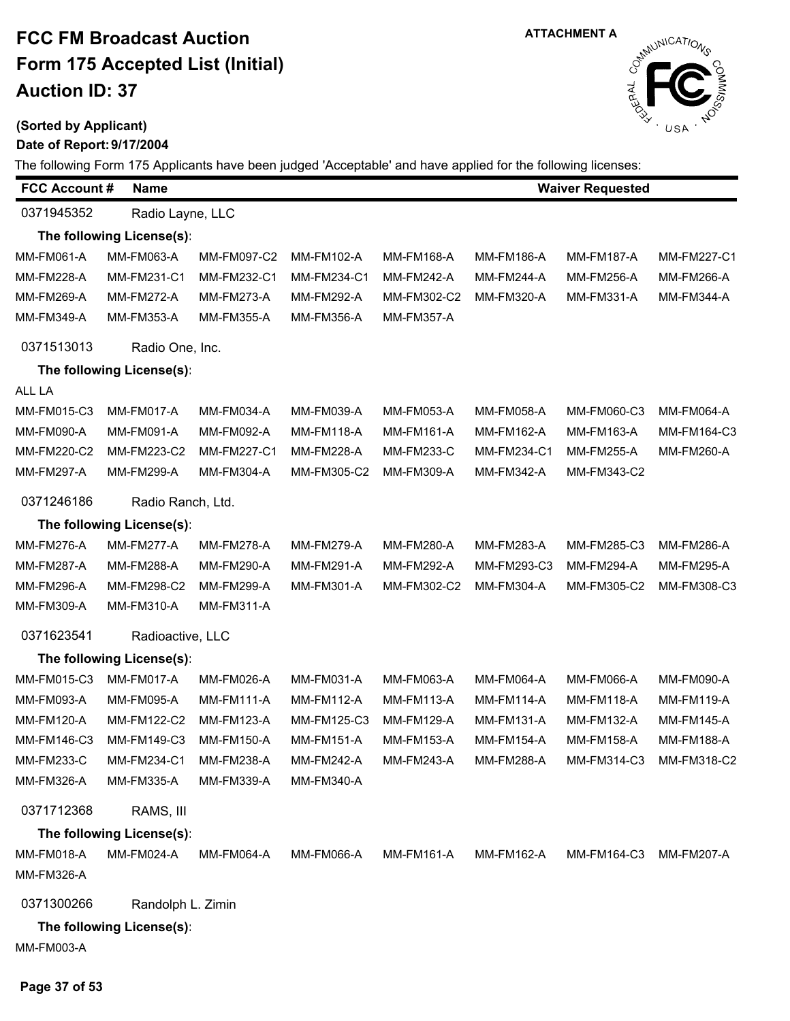

#### **(Sorted by Applicant)**

#### **Date of Report:9/17/2004**

| <b>FCC Account#</b> | <b>Name</b>               |                   |                   |                   | <b>Waiver Requested</b> |                   |                         |  |
|---------------------|---------------------------|-------------------|-------------------|-------------------|-------------------------|-------------------|-------------------------|--|
| 0371945352          | Radio Layne, LLC          |                   |                   |                   |                         |                   |                         |  |
|                     | The following License(s): |                   |                   |                   |                         |                   |                         |  |
| <b>MM-FM061-A</b>   | <b>MM-FM063-A</b>         | MM-FM097-C2       | MM-FM102-A        | <b>MM-FM168-A</b> | <b>MM-FM186-A</b>       | <b>MM-FM187-A</b> | MM-FM227-C1             |  |
| <b>MM-FM228-A</b>   | MM-FM231-C1               | MM-FM232-C1       | MM-FM234-C1       | <b>MM-FM242-A</b> | <b>MM-FM244-A</b>       | <b>MM-FM256-A</b> | MM-FM266-A              |  |
| <b>MM-FM269-A</b>   | <b>MM-FM272-A</b>         | <b>MM-FM273-A</b> | <b>MM-FM292-A</b> | MM-FM302-C2       | <b>MM-FM320-A</b>       | MM-FM331-A        | MM-FM344-A              |  |
| MM-FM349-A          | MM-FM353-A                | <b>MM-FM355-A</b> | MM-FM356-A        | <b>MM-FM357-A</b> |                         |                   |                         |  |
| 0371513013          | Radio One, Inc.           |                   |                   |                   |                         |                   |                         |  |
|                     | The following License(s): |                   |                   |                   |                         |                   |                         |  |
| ALL LA              |                           |                   |                   |                   |                         |                   |                         |  |
| MM-FM015-C3         | MM-FM017-A                | MM-FM034-A        | MM-FM039-A        | MM-FM053-A        | <b>MM-FM058-A</b>       | MM-FM060-C3       | MM-FM064-A              |  |
| <b>MM-FM090-A</b>   | MM-FM091-A                | MM-FM092-A        | <b>MM-FM118-A</b> | <b>MM-FM161-A</b> | <b>MM-FM162-A</b>       | MM-FM163-A        | MM-FM164-C3             |  |
| MM-FM220-C2         | MM-FM223-C2               | MM-FM227-C1       | MM-FM228-A        | <b>MM-FM233-C</b> | MM-FM234-C1             | <b>MM-FM255-A</b> | MM-FM260-A              |  |
| <b>MM-FM297-A</b>   | MM-FM299-A                | <b>MM-FM304-A</b> | MM-FM305-C2       | MM-FM309-A        | <b>MM-FM342-A</b>       | MM-FM343-C2       |                         |  |
| 0371246186          | Radio Ranch, Ltd.         |                   |                   |                   |                         |                   |                         |  |
|                     | The following License(s): |                   |                   |                   |                         |                   |                         |  |
| <b>MM-FM276-A</b>   | <b>MM-FM277-A</b>         | <b>MM-FM278-A</b> | MM-FM279-A        | <b>MM-FM280-A</b> | <b>MM-FM283-A</b>       | MM-FM285-C3       | MM-FM286-A              |  |
| <b>MM-FM287-A</b>   | MM-FM288-A                | MM-FM290-A        | MM-FM291-A        | <b>MM-FM292-A</b> | MM-FM293-C3             | <b>MM-FM294-A</b> | MM-FM295-A              |  |
| <b>MM-FM296-A</b>   | MM-FM298-C2               | <b>MM-FM299-A</b> | MM-FM301-A        | MM-FM302-C2       | MM-FM304-A              | MM-FM305-C2       | MM-FM308-C3             |  |
| MM-FM309-A          | <b>MM-FM310-A</b>         | <b>MM-FM311-A</b> |                   |                   |                         |                   |                         |  |
| 0371623541          | Radioactive, LLC          |                   |                   |                   |                         |                   |                         |  |
|                     | The following License(s): |                   |                   |                   |                         |                   |                         |  |
| MM-FM015-C3         | MM-FM017-A                | <b>MM-FM026-A</b> | MM-FM031-A        | MM-FM063-A        | <b>MM-FM064-A</b>       | <b>MM-FM066-A</b> | MM-FM090-A              |  |
| MM-FM093-A          | <b>MM-FM095-A</b>         | MM-FM111-A        | <b>MM-FM112-A</b> | <b>MM-FM113-A</b> | <b>MM-FM114-A</b>       | <b>MM-FM118-A</b> | <b>MM-FM119-A</b>       |  |
| <b>MM-FM120-A</b>   | MM-FM122-C2               | <b>MM-FM123-A</b> | MM-FM125-C3       | <b>MM-FM129-A</b> | <b>MM-FM131-A</b>       | MM-FM132-A        | <b>MM-FM145-A</b>       |  |
| MM-FM146-C3         | MM-FM149-C3               | <b>MM-FM150-A</b> | <b>MM-FM151-A</b> | <b>MM-FM153-A</b> | <b>MM-FM154-A</b>       | <b>MM-FM158-A</b> | MM-FM188-A              |  |
| <b>MM-FM233-C</b>   | MM-FM234-C1               | MM-FM238-A        | MM-FM242-A        | MM-FM243-A        | <b>MM-FM288-A</b>       |                   | MM-FM314-C3 MM-FM318-C2 |  |
| MM-FM326-A          | <b>MM-FM335-A</b>         | <b>MM-FM339-A</b> | <b>MM-FM340-A</b> |                   |                         |                   |                         |  |
| 0371712368          | RAMS, III                 |                   |                   |                   |                         |                   |                         |  |
|                     | The following License(s): |                   |                   |                   |                         |                   |                         |  |
| <b>MM-FM018-A</b>   | <b>MM-FM024-A</b>         | MM-FM064-A        | <b>MM-FM066-A</b> | <b>MM-FM161-A</b> | <b>MM-FM162-A</b>       | MM-FM164-C3       | <b>MM-FM207-A</b>       |  |
| MM-FM326-A          |                           |                   |                   |                   |                         |                   |                         |  |
| 0371300266          | Randolph L. Zimin         |                   |                   |                   |                         |                   |                         |  |
|                     | The following License(s): |                   |                   |                   |                         |                   |                         |  |
| MM-FM003-A          |                           |                   |                   |                   |                         |                   |                         |  |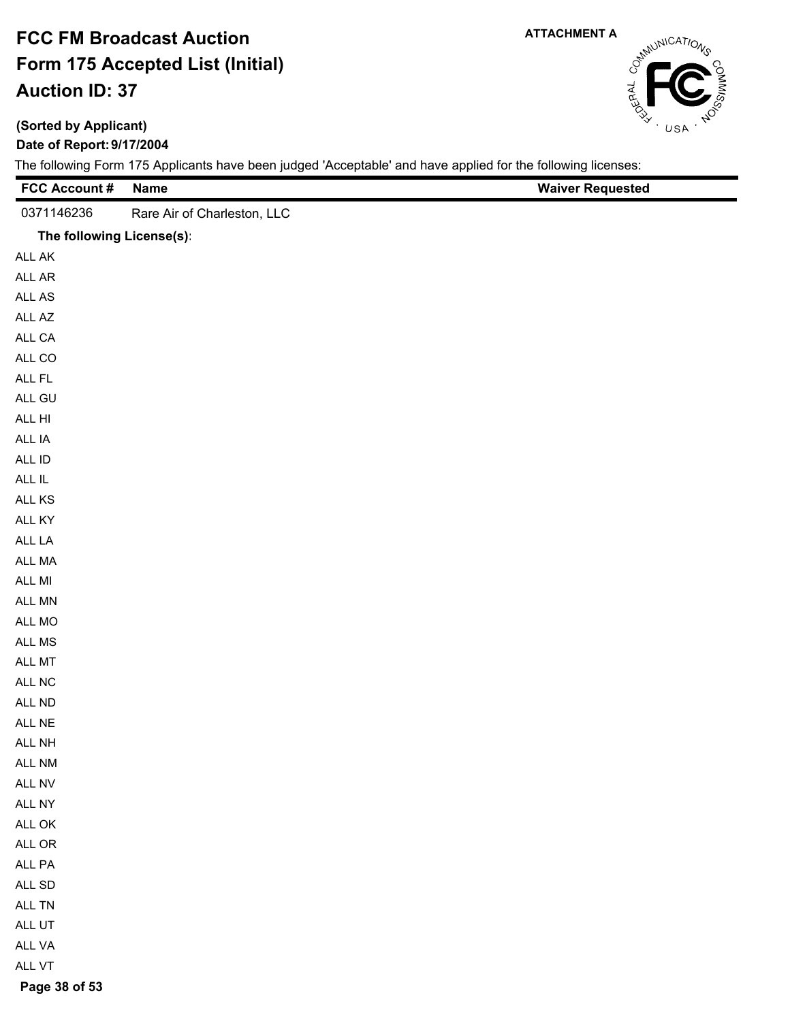**(Sorted by Applicant) Date of Report:9/17/2004**

| FCC Account #               | <b>Name</b>                 | <b>Waiver Requested</b> |
|-----------------------------|-----------------------------|-------------------------|
| 0371146236                  | Rare Air of Charleston, LLC |                         |
| The following License(s):   |                             |                         |
| ALL AK                      |                             |                         |
| ALL AR                      |                             |                         |
| ALL AS                      |                             |                         |
| ALL AZ                      |                             |                         |
| $\mathsf{ALL}\ \mathsf{CA}$ |                             |                         |
| $\mathsf{ALL}\ \mathsf{CO}$ |                             |                         |
| $\sf ALL\,FL$               |                             |                         |
| ALL GU                      |                             |                         |
| ALL HI                      |                             |                         |
| ALL IA                      |                             |                         |
| ALL ID                      |                             |                         |
| $\sf ALL\; IL$              |                             |                         |
| ALL KS                      |                             |                         |
| ALL KY                      |                             |                         |
| ALL LA                      |                             |                         |
| ALL MA                      |                             |                         |
| ALL MI                      |                             |                         |
| ALL MN                      |                             |                         |
| ALL MO                      |                             |                         |
| ALL MS                      |                             |                         |
| ALL MT                      |                             |                         |
| $\sf ALL \; NC$             |                             |                         |
| ALL ND                      |                             |                         |
| ALL NE                      |                             |                         |
| ALL NH                      |                             |                         |
| ALL NM                      |                             |                         |
| ALL NV                      |                             |                         |
| ALL NY                      |                             |                         |
| $\mathsf{ALL}\ \mathsf{OK}$ |                             |                         |
| $\mathsf{ALL}\ \mathsf{OR}$ |                             |                         |
| ALL PA                      |                             |                         |
| $\sf ALL$ SD                |                             |                         |
| ALL TN                      |                             |                         |
| ALL UT                      |                             |                         |
| ALL VA                      |                             |                         |
| ALL VT                      |                             |                         |

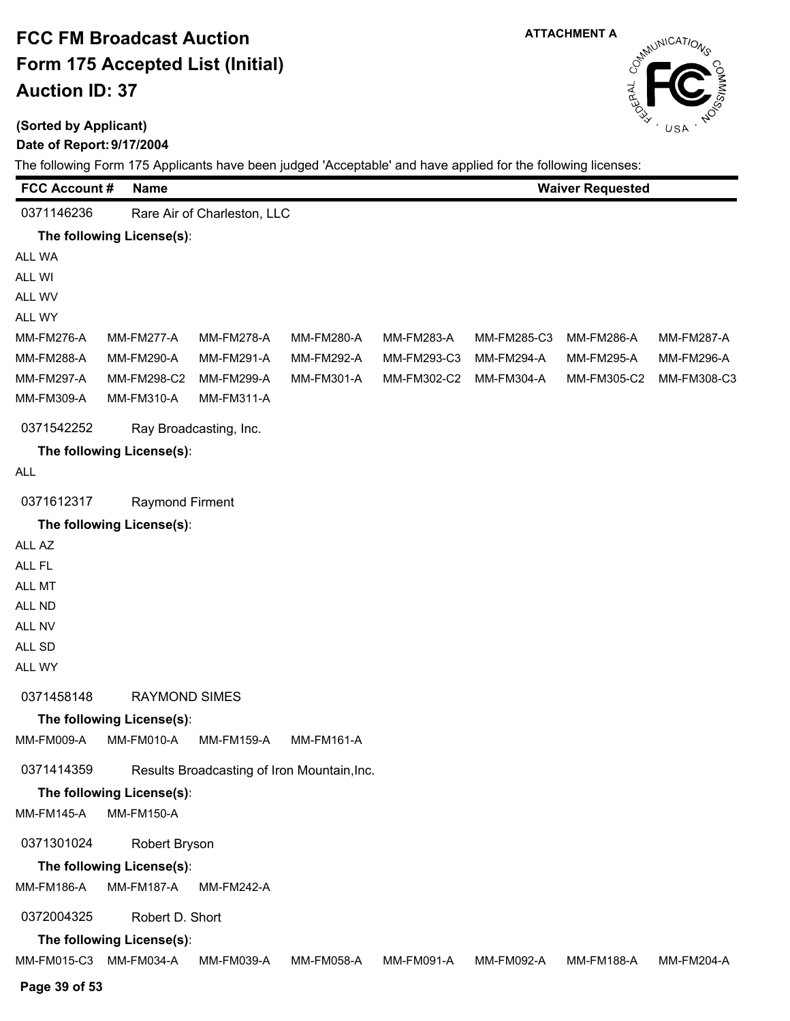

#### **(Sorted by Applicant) Date of Report:9/17/2004**

| <b>FCC Account#</b> | <b>Name</b>               |                             |                                             | <b>Waiver Requested</b> |                   |                   |                   |  |  |
|---------------------|---------------------------|-----------------------------|---------------------------------------------|-------------------------|-------------------|-------------------|-------------------|--|--|
| 0371146236          |                           | Rare Air of Charleston, LLC |                                             |                         |                   |                   |                   |  |  |
|                     | The following License(s): |                             |                                             |                         |                   |                   |                   |  |  |
| ALL WA              |                           |                             |                                             |                         |                   |                   |                   |  |  |
| ALL WI              |                           |                             |                                             |                         |                   |                   |                   |  |  |
| ALL WV              |                           |                             |                                             |                         |                   |                   |                   |  |  |
| ALL WY              |                           |                             |                                             |                         |                   |                   |                   |  |  |
| <b>MM-FM276-A</b>   | <b>MM-FM277-A</b>         | <b>MM-FM278-A</b>           | <b>MM-FM280-A</b>                           | <b>MM-FM283-A</b>       | MM-FM285-C3       | <b>MM-FM286-A</b> | <b>MM-FM287-A</b> |  |  |
| MM-FM288-A          | <b>MM-FM290-A</b>         | <b>MM-FM291-A</b>           | MM-FM292-A                                  | MM-FM293-C3             | <b>MM-FM294-A</b> | MM-FM295-A        | <b>MM-FM296-A</b> |  |  |
| <b>MM-FM297-A</b>   | MM-FM298-C2               | <b>MM-FM299-A</b>           | MM-FM301-A                                  | MM-FM302-C2             | MM-FM304-A        | MM-FM305-C2       | MM-FM308-C3       |  |  |
| MM-FM309-A          | MM-FM310-A                | MM-FM311-A                  |                                             |                         |                   |                   |                   |  |  |
| 0371542252          |                           | Ray Broadcasting, Inc.      |                                             |                         |                   |                   |                   |  |  |
|                     | The following License(s): |                             |                                             |                         |                   |                   |                   |  |  |
| <b>ALL</b>          |                           |                             |                                             |                         |                   |                   |                   |  |  |
| 0371612317          | Raymond Firment           |                             |                                             |                         |                   |                   |                   |  |  |
|                     | The following License(s): |                             |                                             |                         |                   |                   |                   |  |  |
| ALL AZ              |                           |                             |                                             |                         |                   |                   |                   |  |  |
| ALL FL              |                           |                             |                                             |                         |                   |                   |                   |  |  |
| ALL MT              |                           |                             |                                             |                         |                   |                   |                   |  |  |
| ALL ND              |                           |                             |                                             |                         |                   |                   |                   |  |  |
| ALL NV              |                           |                             |                                             |                         |                   |                   |                   |  |  |
| ALL SD              |                           |                             |                                             |                         |                   |                   |                   |  |  |
| ALL WY              |                           |                             |                                             |                         |                   |                   |                   |  |  |
| 0371458148          | <b>RAYMOND SIMES</b>      |                             |                                             |                         |                   |                   |                   |  |  |
|                     | The following License(s): |                             |                                             |                         |                   |                   |                   |  |  |
| <b>MM-FM009-A</b>   | MM-FM010-A                | <b>MM-FM159-A</b>           | <b>MM-FM161-A</b>                           |                         |                   |                   |                   |  |  |
| 0371414359          |                           |                             | Results Broadcasting of Iron Mountain, Inc. |                         |                   |                   |                   |  |  |
|                     | The following License(s): |                             |                                             |                         |                   |                   |                   |  |  |
| <b>MM-FM145-A</b>   | <b>MM-FM150-A</b>         |                             |                                             |                         |                   |                   |                   |  |  |
| 0371301024          | Robert Bryson             |                             |                                             |                         |                   |                   |                   |  |  |
|                     | The following License(s): |                             |                                             |                         |                   |                   |                   |  |  |
| <b>MM-FM186-A</b>   | <b>MM-FM187-A</b>         | <b>MM-FM242-A</b>           |                                             |                         |                   |                   |                   |  |  |
| 0372004325          | Robert D. Short           |                             |                                             |                         |                   |                   |                   |  |  |
|                     | The following License(s): |                             |                                             |                         |                   |                   |                   |  |  |
| MM-FM015-C3         | <b>MM-FM034-A</b>         | MM-FM039-A                  | <b>MM-FM058-A</b>                           | MM-FM091-A              | MM-FM092-A        | <b>MM-FM188-A</b> | <b>MM-FM204-A</b> |  |  |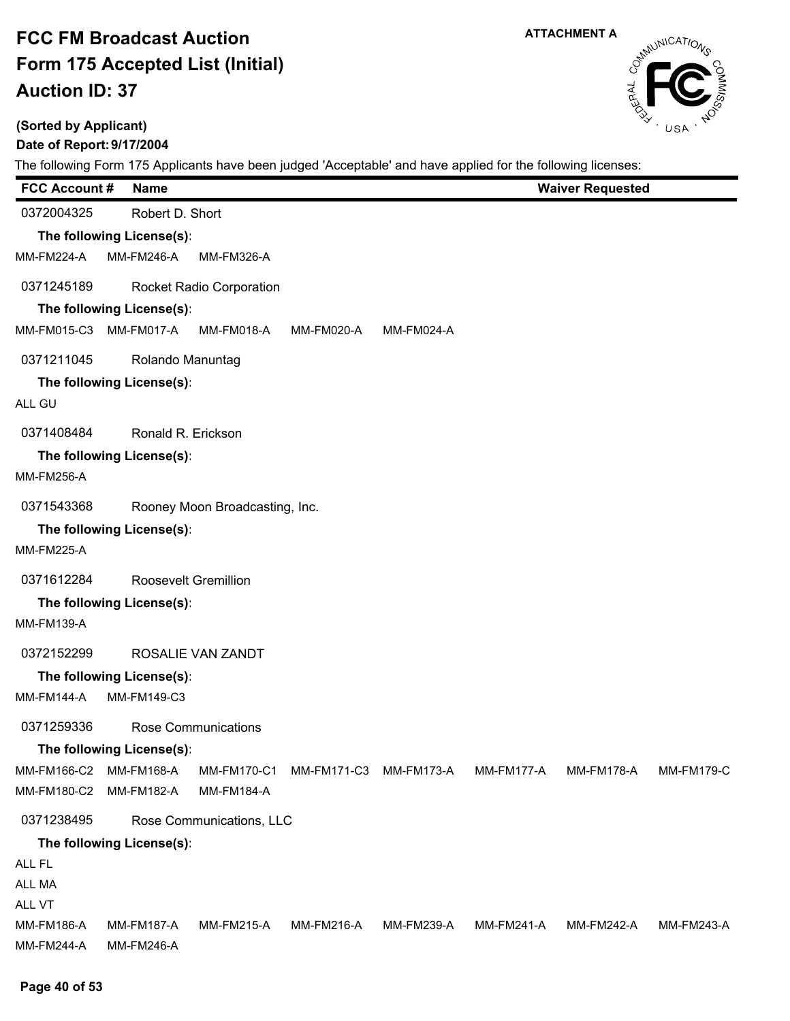**Date of Report:9/17/2004**

| <b>FCC Account#</b> | <b>Name</b>               |                                 |                        | <b>Waiver Requested</b> |                   |                   |                   |  |  |
|---------------------|---------------------------|---------------------------------|------------------------|-------------------------|-------------------|-------------------|-------------------|--|--|
| 0372004325          | Robert D. Short           |                                 |                        |                         |                   |                   |                   |  |  |
|                     | The following License(s): |                                 |                        |                         |                   |                   |                   |  |  |
| <b>MM-FM224-A</b>   | <b>MM-FM246-A</b>         | <b>MM-FM326-A</b>               |                        |                         |                   |                   |                   |  |  |
| 0371245189          |                           | <b>Rocket Radio Corporation</b> |                        |                         |                   |                   |                   |  |  |
|                     | The following License(s): |                                 |                        |                         |                   |                   |                   |  |  |
| MM-FM015-C3         | MM-FM017-A                | <b>MM-FM018-A</b>               | MM-FM020-A             | MM-FM024-A              |                   |                   |                   |  |  |
| 0371211045          | Rolando Manuntag          |                                 |                        |                         |                   |                   |                   |  |  |
|                     | The following License(s): |                                 |                        |                         |                   |                   |                   |  |  |
| ALL GU              |                           |                                 |                        |                         |                   |                   |                   |  |  |
| 0371408484          | Ronald R. Erickson        |                                 |                        |                         |                   |                   |                   |  |  |
|                     | The following License(s): |                                 |                        |                         |                   |                   |                   |  |  |
| <b>MM-FM256-A</b>   |                           |                                 |                        |                         |                   |                   |                   |  |  |
| 0371543368          |                           | Rooney Moon Broadcasting, Inc.  |                        |                         |                   |                   |                   |  |  |
|                     | The following License(s): |                                 |                        |                         |                   |                   |                   |  |  |
| <b>MM-FM225-A</b>   |                           |                                 |                        |                         |                   |                   |                   |  |  |
| 0371612284          |                           | <b>Roosevelt Gremillion</b>     |                        |                         |                   |                   |                   |  |  |
|                     | The following License(s): |                                 |                        |                         |                   |                   |                   |  |  |
| <b>MM-FM139-A</b>   |                           |                                 |                        |                         |                   |                   |                   |  |  |
| 0372152299          |                           | ROSALIE VAN ZANDT               |                        |                         |                   |                   |                   |  |  |
|                     | The following License(s): |                                 |                        |                         |                   |                   |                   |  |  |
| <b>MM-FM144-A</b>   | MM-FM149-C3               |                                 |                        |                         |                   |                   |                   |  |  |
| 0371259336          |                           | <b>Rose Communications</b>      |                        |                         |                   |                   |                   |  |  |
|                     | The following License(s): |                                 |                        |                         |                   |                   |                   |  |  |
| MM-FM166-C2         | <b>MM-FM168-A</b>         | MM-FM170-C1                     | MM-FM171-C3 MM-FM173-A |                         | MM-FM177-A        | <b>MM-FM178-A</b> | <b>MM-FM179-C</b> |  |  |
| MM-FM180-C2         | <b>MM-FM182-A</b>         | <b>MM-FM184-A</b>               |                        |                         |                   |                   |                   |  |  |
| 0371238495          |                           | Rose Communications, LLC        |                        |                         |                   |                   |                   |  |  |
|                     | The following License(s): |                                 |                        |                         |                   |                   |                   |  |  |
| ALL FL              |                           |                                 |                        |                         |                   |                   |                   |  |  |
| ALL MA              |                           |                                 |                        |                         |                   |                   |                   |  |  |
| ALL VT              |                           |                                 |                        |                         |                   |                   |                   |  |  |
| <b>MM-FM186-A</b>   | <b>MM-FM187-A</b>         | MM-FM215-A                      | MM-FM216-A             | MM-FM239-A              | <b>MM-FM241-A</b> | MM-FM242-A        | MM-FM243-A        |  |  |
| <b>MM-FM244-A</b>   | <b>MM-FM246-A</b>         |                                 |                        |                         |                   |                   |                   |  |  |

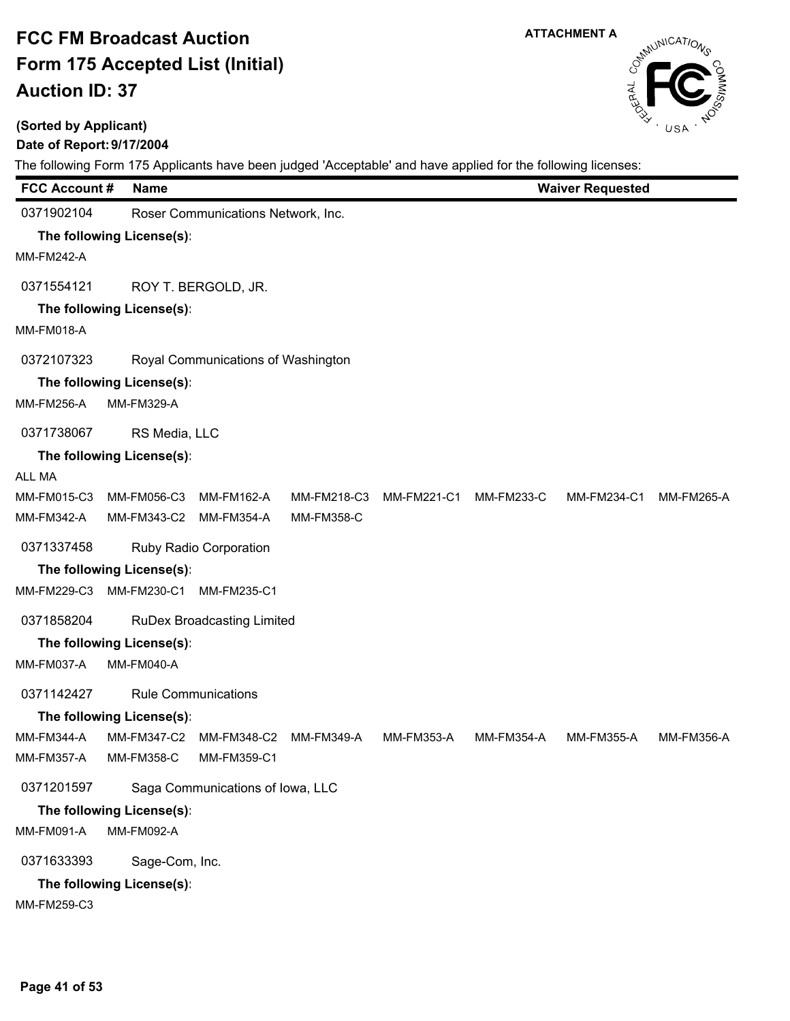#### **(Sorted by Applicant)**

**Date of Report:9/17/2004**

| <b>FCC Account #</b> | <b>Name</b>               | <b>Waiver Requested</b>            |                   |                   |                   |                   |                   |  |  |
|----------------------|---------------------------|------------------------------------|-------------------|-------------------|-------------------|-------------------|-------------------|--|--|
| 0371902104           |                           | Roser Communications Network, Inc. |                   |                   |                   |                   |                   |  |  |
|                      | The following License(s): |                                    |                   |                   |                   |                   |                   |  |  |
| <b>MM-FM242-A</b>    |                           |                                    |                   |                   |                   |                   |                   |  |  |
| 0371554121           |                           | ROY T. BERGOLD, JR.                |                   |                   |                   |                   |                   |  |  |
|                      | The following License(s): |                                    |                   |                   |                   |                   |                   |  |  |
| <b>MM-FM018-A</b>    |                           |                                    |                   |                   |                   |                   |                   |  |  |
| 0372107323           |                           | Royal Communications of Washington |                   |                   |                   |                   |                   |  |  |
|                      | The following License(s): |                                    |                   |                   |                   |                   |                   |  |  |
| <b>MM-FM256-A</b>    | MM-FM329-A                |                                    |                   |                   |                   |                   |                   |  |  |
| 0371738067           | RS Media, LLC             |                                    |                   |                   |                   |                   |                   |  |  |
|                      | The following License(s): |                                    |                   |                   |                   |                   |                   |  |  |
| ALL MA               |                           |                                    |                   |                   |                   |                   |                   |  |  |
| MM-FM015-C3          | MM-FM056-C3               | MM-FM162-A                         | MM-FM218-C3       | MM-FM221-C1       | <b>MM-FM233-C</b> | MM-FM234-C1       | <b>MM-FM265-A</b> |  |  |
| MM-FM342-A           | MM-FM343-C2 MM-FM354-A    |                                    | <b>MM-FM358-C</b> |                   |                   |                   |                   |  |  |
| 0371337458           |                           | Ruby Radio Corporation             |                   |                   |                   |                   |                   |  |  |
|                      | The following License(s): |                                    |                   |                   |                   |                   |                   |  |  |
| MM-FM229-C3          | MM-FM230-C1               | MM-FM235-C1                        |                   |                   |                   |                   |                   |  |  |
| 0371858204           |                           | <b>RuDex Broadcasting Limited</b>  |                   |                   |                   |                   |                   |  |  |
|                      | The following License(s): |                                    |                   |                   |                   |                   |                   |  |  |
| MM-FM037-A           | <b>MM-FM040-A</b>         |                                    |                   |                   |                   |                   |                   |  |  |
| 0371142427           |                           | <b>Rule Communications</b>         |                   |                   |                   |                   |                   |  |  |
|                      | The following License(s): |                                    |                   |                   |                   |                   |                   |  |  |
| <b>MM-FM344-A</b>    |                           | MM-FM347-C2 MM-FM348-C2 MM-FM349-A |                   | <b>MM-FM353-A</b> | <b>MM-FM354-A</b> | <b>MM-FM355-A</b> | <b>MM-FM356-A</b> |  |  |
| <b>MM-FM357-A</b>    | <b>MM-FM358-C</b>         | MM-FM359-C1                        |                   |                   |                   |                   |                   |  |  |
| 0371201597           |                           | Saga Communications of Iowa, LLC   |                   |                   |                   |                   |                   |  |  |
|                      | The following License(s): |                                    |                   |                   |                   |                   |                   |  |  |
| <b>MM-FM091-A</b>    | MM-FM092-A                |                                    |                   |                   |                   |                   |                   |  |  |
| 0371633393           | Sage-Com, Inc.            |                                    |                   |                   |                   |                   |                   |  |  |
|                      | The following License(s): |                                    |                   |                   |                   |                   |                   |  |  |
| MM-FM259-C3          |                           |                                    |                   |                   |                   |                   |                   |  |  |

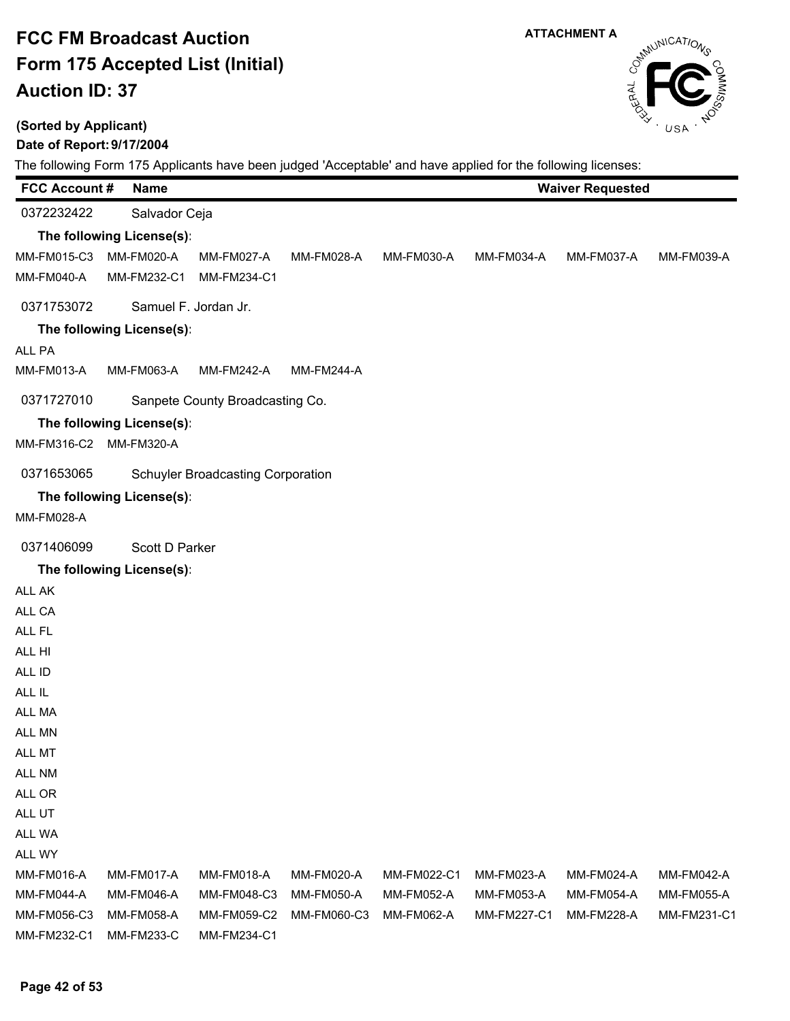| <b>FCC Account#</b>       | <b>Waiver Requested</b><br><b>Name</b> |                                          |                   |                   |             |                   |                   |
|---------------------------|----------------------------------------|------------------------------------------|-------------------|-------------------|-------------|-------------------|-------------------|
| 0372232422                | Salvador Ceja                          |                                          |                   |                   |             |                   |                   |
| The following License(s): |                                        |                                          |                   |                   |             |                   |                   |
| MM-FM015-C3               | <b>MM-FM020-A</b>                      | MM-FM027-A                               | <b>MM-FM028-A</b> | MM-FM030-A        | MM-FM034-A  | MM-FM037-A        | MM-FM039-A        |
| MM-FM040-A                | MM-FM232-C1                            | MM-FM234-C1                              |                   |                   |             |                   |                   |
| 0371753072                |                                        | Samuel F. Jordan Jr.                     |                   |                   |             |                   |                   |
| The following License(s): |                                        |                                          |                   |                   |             |                   |                   |
| ALL PA                    |                                        |                                          |                   |                   |             |                   |                   |
| MM-FM013-A                | MM-FM063-A                             | <b>MM-FM242-A</b>                        | <b>MM-FM244-A</b> |                   |             |                   |                   |
| 0371727010                |                                        | Sanpete County Broadcasting Co.          |                   |                   |             |                   |                   |
| The following License(s): |                                        |                                          |                   |                   |             |                   |                   |
| MM-FM316-C2               | MM-FM320-A                             |                                          |                   |                   |             |                   |                   |
| 0371653065                |                                        | <b>Schuyler Broadcasting Corporation</b> |                   |                   |             |                   |                   |
| The following License(s): |                                        |                                          |                   |                   |             |                   |                   |
| <b>MM-FM028-A</b>         |                                        |                                          |                   |                   |             |                   |                   |
| 0371406099                | Scott D Parker                         |                                          |                   |                   |             |                   |                   |
| The following License(s): |                                        |                                          |                   |                   |             |                   |                   |
| ALL AK                    |                                        |                                          |                   |                   |             |                   |                   |
| ALL CA                    |                                        |                                          |                   |                   |             |                   |                   |
| ALL FL                    |                                        |                                          |                   |                   |             |                   |                   |
| ALL HI                    |                                        |                                          |                   |                   |             |                   |                   |
| ALL ID                    |                                        |                                          |                   |                   |             |                   |                   |
| ALL IL                    |                                        |                                          |                   |                   |             |                   |                   |
| ALL MA                    |                                        |                                          |                   |                   |             |                   |                   |
| ALL MN                    |                                        |                                          |                   |                   |             |                   |                   |
| ALL MT                    |                                        |                                          |                   |                   |             |                   |                   |
| ALL NM                    |                                        |                                          |                   |                   |             |                   |                   |
| ALL OR                    |                                        |                                          |                   |                   |             |                   |                   |
| ALL UT                    |                                        |                                          |                   |                   |             |                   |                   |
| ALL WA                    |                                        |                                          |                   |                   |             |                   |                   |
| ALL WY                    |                                        |                                          |                   |                   |             |                   |                   |
| <b>MM-FM016-A</b>         | MM-FM017-A                             | <b>MM-FM018-A</b>                        | <b>MM-FM020-A</b> | MM-FM022-C1       | MM-FM023-A  | <b>MM-FM024-A</b> | <b>MM-FM042-A</b> |
| MM-FM044-A                | <b>MM-FM046-A</b>                      | MM-FM048-C3                              | <b>MM-FM050-A</b> | <b>MM-FM052-A</b> | MM-FM053-A  | <b>MM-FM054-A</b> | <b>MM-FM055-A</b> |
| MM-FM056-C3               | MM-FM058-A                             | MM-FM059-C2                              | MM-FM060-C3       | MM-FM062-A        | MM-FM227-C1 | <b>MM-FM228-A</b> | MM-FM231-C1       |
| MM-FM232-C1               | MM-FM233-C                             | MM-FM234-C1                              |                   |                   |             |                   |                   |

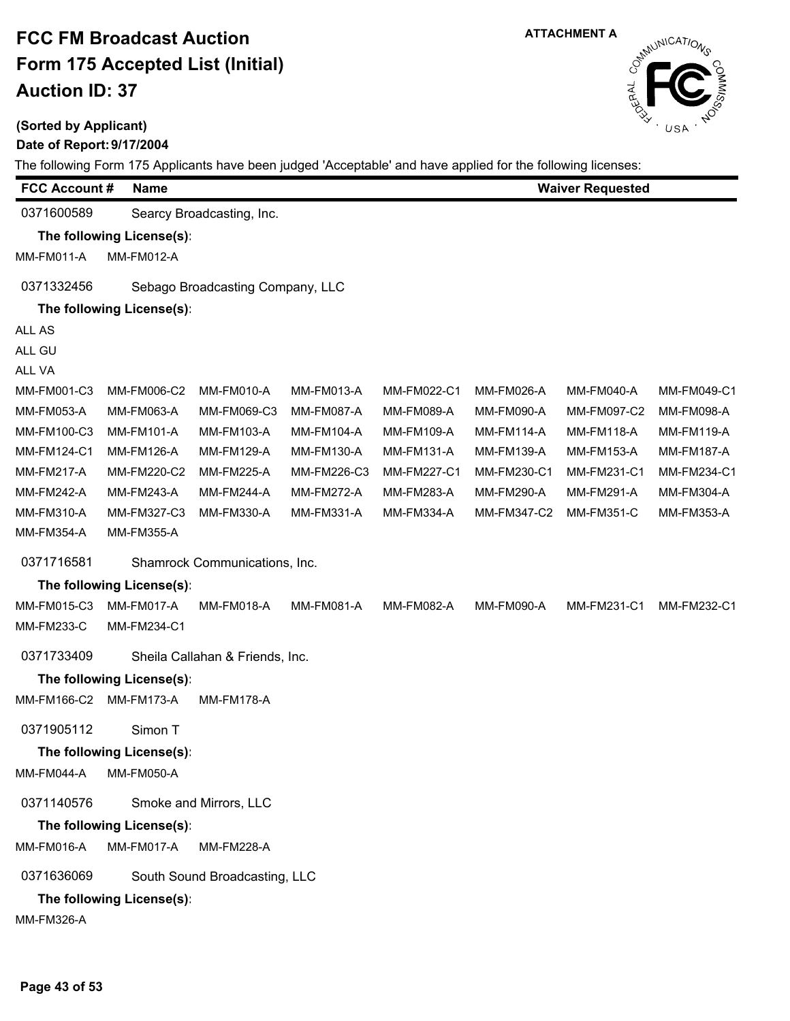

#### **(Sorted by Applicant)**

#### **Date of Report:9/17/2004**

| <b>FCC Account#</b> | <b>Name</b>               |                                  |                   |                   | <b>Waiver Requested</b> |                   |                   |  |
|---------------------|---------------------------|----------------------------------|-------------------|-------------------|-------------------------|-------------------|-------------------|--|
| 0371600589          |                           | Searcy Broadcasting, Inc.        |                   |                   |                         |                   |                   |  |
|                     | The following License(s): |                                  |                   |                   |                         |                   |                   |  |
| MM-FM011-A          | <b>MM-FM012-A</b>         |                                  |                   |                   |                         |                   |                   |  |
| 0371332456          |                           | Sebago Broadcasting Company, LLC |                   |                   |                         |                   |                   |  |
|                     | The following License(s): |                                  |                   |                   |                         |                   |                   |  |
| ALL AS              |                           |                                  |                   |                   |                         |                   |                   |  |
| ALL GU              |                           |                                  |                   |                   |                         |                   |                   |  |
| ALL VA              |                           |                                  |                   |                   |                         |                   |                   |  |
| MM-FM001-C3         | <b>MM-FM006-C2</b>        | MM-FM010-A                       | MM-FM013-A        | MM-FM022-C1       | <b>MM-FM026-A</b>       | <b>MM-FM040-A</b> | MM-FM049-C1       |  |
| MM-FM053-A          | MM-FM063-A                | MM-FM069-C3                      | <b>MM-FM087-A</b> | <b>MM-FM089-A</b> | MM-FM090-A              | MM-FM097-C2       | MM-FM098-A        |  |
| MM-FM100-C3         | <b>MM-FM101-A</b>         | <b>MM-FM103-A</b>                | <b>MM-FM104-A</b> | <b>MM-FM109-A</b> | <b>MM-FM114-A</b>       | <b>MM-FM118-A</b> | <b>MM-FM119-A</b> |  |
| MM-FM124-C1         | <b>MM-FM126-A</b>         | <b>MM-FM129-A</b>                | <b>MM-FM130-A</b> | <b>MM-FM131-A</b> | <b>MM-FM139-A</b>       | <b>MM-FM153-A</b> | <b>MM-FM187-A</b> |  |
| <b>MM-FM217-A</b>   | MM-FM220-C2               | <b>MM-FM225-A</b>                | MM-FM226-C3       | MM-FM227-C1       | MM-FM230-C1             | MM-FM231-C1       | MM-FM234-C1       |  |
| <b>MM-FM242-A</b>   | <b>MM-FM243-A</b>         | <b>MM-FM244-A</b>                | <b>MM-FM272-A</b> | MM-FM283-A        | <b>MM-FM290-A</b>       | <b>MM-FM291-A</b> | MM-FM304-A        |  |
| <b>MM-FM310-A</b>   | MM-FM327-C3               | MM-FM330-A                       | MM-FM331-A        | MM-FM334-A        | MM-FM347-C2             | <b>MM-FM351-C</b> | MM-FM353-A        |  |
| MM-FM354-A          | <b>MM-FM355-A</b>         |                                  |                   |                   |                         |                   |                   |  |
| 0371716581          |                           | Shamrock Communications, Inc.    |                   |                   |                         |                   |                   |  |
|                     | The following License(s): |                                  |                   |                   |                         |                   |                   |  |
| MM-FM015-C3         | MM-FM017-A                | MM-FM018-A                       | MM-FM081-A        | <b>MM-FM082-A</b> | MM-FM090-A              | MM-FM231-C1       | MM-FM232-C1       |  |
| MM-FM233-C          | MM-FM234-C1               |                                  |                   |                   |                         |                   |                   |  |
| 0371733409          |                           | Sheila Callahan & Friends, Inc.  |                   |                   |                         |                   |                   |  |
|                     | The following License(s): |                                  |                   |                   |                         |                   |                   |  |
| MM-FM166-C2         | MM-FM173-A                | <b>MM-FM178-A</b>                |                   |                   |                         |                   |                   |  |
| 0371905112          | Simon T                   |                                  |                   |                   |                         |                   |                   |  |
|                     | The following License(s): |                                  |                   |                   |                         |                   |                   |  |
| MM-FM044-A          | <b>MM-FM050-A</b>         |                                  |                   |                   |                         |                   |                   |  |
| 0371140576          |                           | Smoke and Mirrors, LLC           |                   |                   |                         |                   |                   |  |
|                     | The following License(s): |                                  |                   |                   |                         |                   |                   |  |
| <b>MM-FM016-A</b>   | MM-FM017-A                | <b>MM-FM228-A</b>                |                   |                   |                         |                   |                   |  |
| 0371636069          |                           | South Sound Broadcasting, LLC    |                   |                   |                         |                   |                   |  |
|                     | The following License(s): |                                  |                   |                   |                         |                   |                   |  |
| <b>MM-FM326-A</b>   |                           |                                  |                   |                   |                         |                   |                   |  |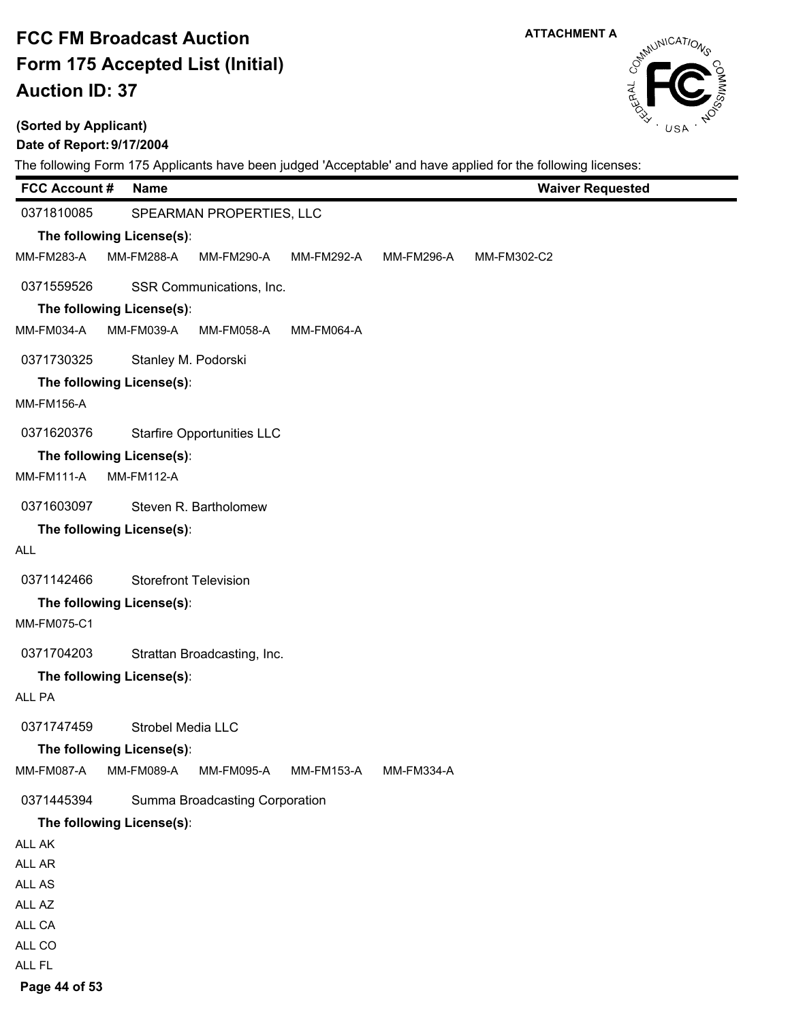

#### **(Sorted by Applicant)**

**Date of Report:9/17/2004** The following Form 175 Applicants have been judged 'Acceptable' and have applied for the following licenses:

| <b>FCC Account#</b>       | <b>Name</b>       |                                   |                   |            | <b>Waiver Requested</b> |
|---------------------------|-------------------|-----------------------------------|-------------------|------------|-------------------------|
| 0371810085                |                   | SPEARMAN PROPERTIES, LLC          |                   |            |                         |
| The following License(s): |                   |                                   |                   |            |                         |
| MM-FM283-A                | <b>MM-FM288-A</b> | MM-FM290-A                        | <b>MM-FM292-A</b> | MM-FM296-A | MM-FM302-C2             |
| 0371559526                |                   | SSR Communications, Inc.          |                   |            |                         |
| The following License(s): |                   |                                   |                   |            |                         |
| MM-FM034-A                | <b>MM-FM039-A</b> | <b>MM-FM058-A</b>                 | <b>MM-FM064-A</b> |            |                         |
| 0371730325                |                   | Stanley M. Podorski               |                   |            |                         |
| The following License(s): |                   |                                   |                   |            |                         |
| <b>MM-FM156-A</b>         |                   |                                   |                   |            |                         |
| 0371620376                |                   | <b>Starfire Opportunities LLC</b> |                   |            |                         |
| The following License(s): |                   |                                   |                   |            |                         |
| <b>MM-FM111-A</b>         | <b>MM-FM112-A</b> |                                   |                   |            |                         |
| 0371603097                |                   | Steven R. Bartholomew             |                   |            |                         |
| The following License(s): |                   |                                   |                   |            |                         |
| <b>ALL</b>                |                   |                                   |                   |            |                         |
| 0371142466                |                   | <b>Storefront Television</b>      |                   |            |                         |
| The following License(s): |                   |                                   |                   |            |                         |
| MM-FM075-C1               |                   |                                   |                   |            |                         |
| 0371704203                |                   | Strattan Broadcasting, Inc.       |                   |            |                         |
| The following License(s): |                   |                                   |                   |            |                         |
| ALL PA                    |                   |                                   |                   |            |                         |
| 0371747459                |                   | Strobel Media LLC                 |                   |            |                         |
| The following License(s): |                   |                                   |                   |            |                         |
| MM-FM087-A                | MM-FM089-A        | MM-FM095-A                        | <b>MM-FM153-A</b> | MM-FM334-A |                         |
| 0371445394                |                   | Summa Broadcasting Corporation    |                   |            |                         |
| The following License(s): |                   |                                   |                   |            |                         |
| ALL AK                    |                   |                                   |                   |            |                         |
| ALL AR                    |                   |                                   |                   |            |                         |
| ALL AS                    |                   |                                   |                   |            |                         |
| ALL AZ                    |                   |                                   |                   |            |                         |
| ALL CA                    |                   |                                   |                   |            |                         |
| ALL CO                    |                   |                                   |                   |            |                         |
| ALL FL                    |                   |                                   |                   |            |                         |
| Page 44 of 53             |                   |                                   |                   |            |                         |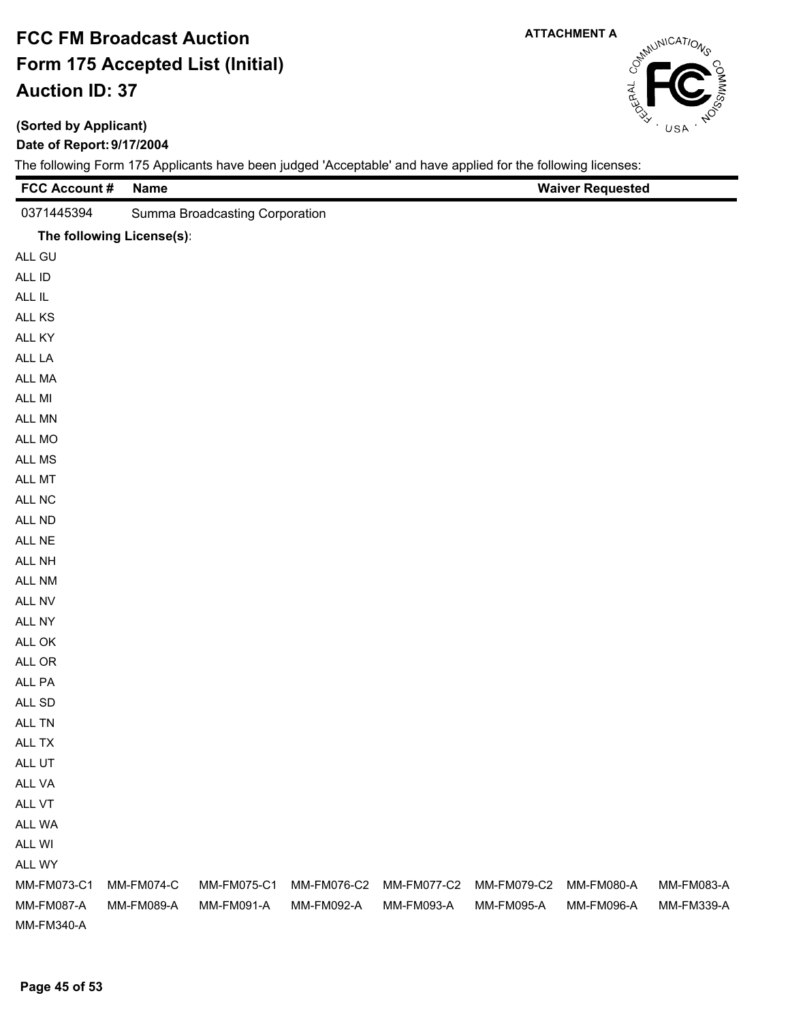#### **(Sorted by Applicant)**

**Date of Report:9/17/2004**

| FCC Account # | <b>Name</b>               |                                |             |             |             | <b>Waiver Requested</b> |            |
|---------------|---------------------------|--------------------------------|-------------|-------------|-------------|-------------------------|------------|
| 0371445394    |                           | Summa Broadcasting Corporation |             |             |             |                         |            |
|               | The following License(s): |                                |             |             |             |                         |            |
| ALL GU        |                           |                                |             |             |             |                         |            |
| ALL ID        |                           |                                |             |             |             |                         |            |
| ALL IL        |                           |                                |             |             |             |                         |            |
| ALL KS        |                           |                                |             |             |             |                         |            |
| ALL KY        |                           |                                |             |             |             |                         |            |
| ALL LA        |                           |                                |             |             |             |                         |            |
| ALL MA        |                           |                                |             |             |             |                         |            |
| ALL MI        |                           |                                |             |             |             |                         |            |
| ALL MN        |                           |                                |             |             |             |                         |            |
| ALL MO        |                           |                                |             |             |             |                         |            |
| ALL MS        |                           |                                |             |             |             |                         |            |
| ALL MT        |                           |                                |             |             |             |                         |            |
| ALL NC        |                           |                                |             |             |             |                         |            |
| ALL ND        |                           |                                |             |             |             |                         |            |
| ALL NE        |                           |                                |             |             |             |                         |            |
| ALL NH        |                           |                                |             |             |             |                         |            |
| ALL NM        |                           |                                |             |             |             |                         |            |
| ALL NV        |                           |                                |             |             |             |                         |            |
| ALL NY        |                           |                                |             |             |             |                         |            |
| ALL OK        |                           |                                |             |             |             |                         |            |
| ALL OR        |                           |                                |             |             |             |                         |            |
| ALL PA        |                           |                                |             |             |             |                         |            |
| ALL SD        |                           |                                |             |             |             |                         |            |
| ALL TN        |                           |                                |             |             |             |                         |            |
| ALL TX        |                           |                                |             |             |             |                         |            |
| ALL UT        |                           |                                |             |             |             |                         |            |
| ALL VA        |                           |                                |             |             |             |                         |            |
| ALL VT        |                           |                                |             |             |             |                         |            |
| ALL WA        |                           |                                |             |             |             |                         |            |
| ALL WI        |                           |                                |             |             |             |                         |            |
| ALL WY        |                           |                                |             |             |             |                         |            |
| MM-FM073-C1   | MM-FM074-C                | MM-FM075-C1                    | MM-FM076-C2 | MM-FM077-C2 | MM-FM079-C2 | <b>MM-FM080-A</b>       | MM-FM083-A |
| MM-FM087-A    | MM-FM089-A                | MM-FM091-A                     | MM-FM092-A  | MM-FM093-A  | MM-FM095-A  | <b>MM-FM096-A</b>       | MM-FM339-A |
| MM-FM340-A    |                           |                                |             |             |             |                         |            |



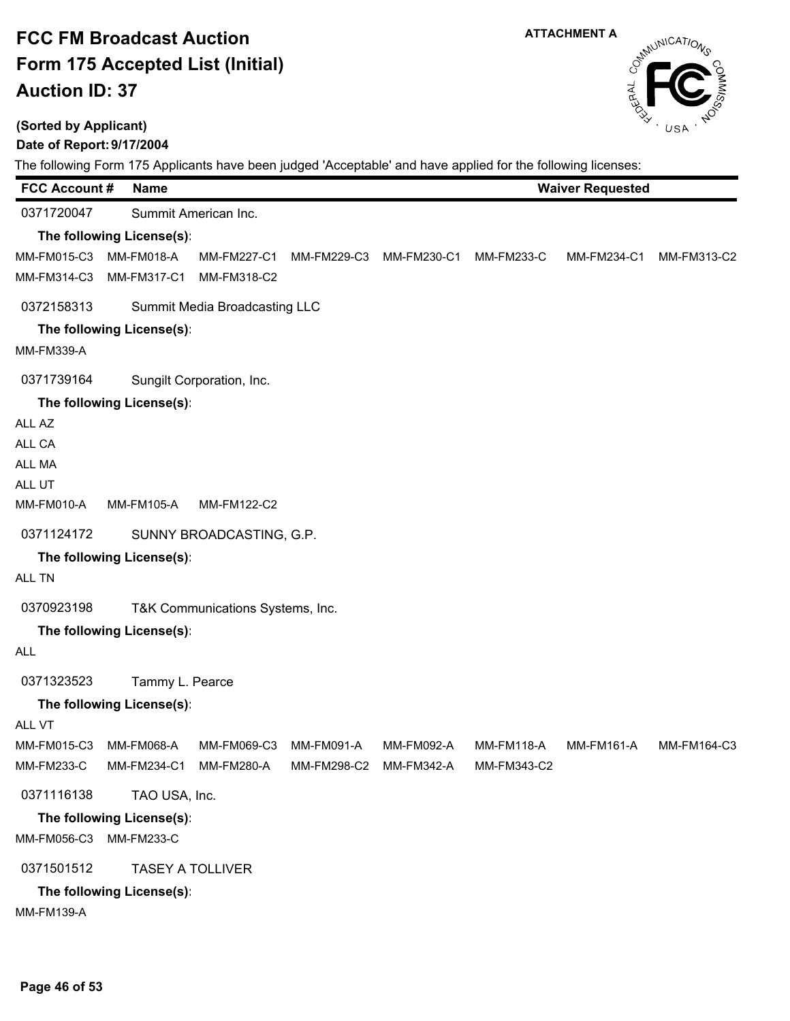

#### **(Sorted by Applicant)**

| Date of Report: 9/17/2004 |  |  |  |
|---------------------------|--|--|--|
|                           |  |  |  |

| <b>FCC Account#</b> | <b>Name</b>               |                                  |             |                   |                   | <b>Waiver Requested</b> |             |
|---------------------|---------------------------|----------------------------------|-------------|-------------------|-------------------|-------------------------|-------------|
| 0371720047          |                           | Summit American Inc.             |             |                   |                   |                         |             |
|                     | The following License(s): |                                  |             |                   |                   |                         |             |
| MM-FM015-C3         | MM-FM018-A                | MM-FM227-C1                      | MM-FM229-C3 | MM-FM230-C1       | <b>MM-FM233-C</b> | MM-FM234-C1             | MM-FM313-C2 |
| MM-FM314-C3         | MM-FM317-C1               | MM-FM318-C2                      |             |                   |                   |                         |             |
| 0372158313          |                           | Summit Media Broadcasting LLC    |             |                   |                   |                         |             |
|                     | The following License(s): |                                  |             |                   |                   |                         |             |
| MM-FM339-A          |                           |                                  |             |                   |                   |                         |             |
| 0371739164          |                           | Sungilt Corporation, Inc.        |             |                   |                   |                         |             |
|                     | The following License(s): |                                  |             |                   |                   |                         |             |
| ALL AZ              |                           |                                  |             |                   |                   |                         |             |
| ALL CA              |                           |                                  |             |                   |                   |                         |             |
| ALL MA              |                           |                                  |             |                   |                   |                         |             |
| ALL UT              |                           |                                  |             |                   |                   |                         |             |
| MM-FM010-A          | <b>MM-FM105-A</b>         | MM-FM122-C2                      |             |                   |                   |                         |             |
| 0371124172          |                           | SUNNY BROADCASTING, G.P.         |             |                   |                   |                         |             |
|                     | The following License(s): |                                  |             |                   |                   |                         |             |
| ALL TN              |                           |                                  |             |                   |                   |                         |             |
| 0370923198          |                           | T&K Communications Systems, Inc. |             |                   |                   |                         |             |
|                     | The following License(s): |                                  |             |                   |                   |                         |             |
| <b>ALL</b>          |                           |                                  |             |                   |                   |                         |             |
| 0371323523          | Tammy L. Pearce           |                                  |             |                   |                   |                         |             |
|                     | The following License(s): |                                  |             |                   |                   |                         |             |
| ALL VT              |                           |                                  |             |                   |                   |                         |             |
| MM-FM015-C3         | <b>MM-FM068-A</b>         | MM-FM069-C3                      | MM-FM091-A  | <b>MM-FM092-A</b> | <b>MM-FM118-A</b> | <b>MM-FM161-A</b>       | MM-FM164-C3 |
| MM-FM233-C          | MM-FM234-C1               | <b>MM-FM280-A</b>                | MM-FM298-C2 | MM-FM342-A        | MM-FM343-C2       |                         |             |
| 0371116138          | TAO USA, Inc.             |                                  |             |                   |                   |                         |             |
|                     | The following License(s): |                                  |             |                   |                   |                         |             |
| MM-FM056-C3         | <b>MM-FM233-C</b>         |                                  |             |                   |                   |                         |             |
| 0371501512          |                           | <b>TASEY A TOLLIVER</b>          |             |                   |                   |                         |             |
|                     | The following License(s): |                                  |             |                   |                   |                         |             |
| MM-FM139-A          |                           |                                  |             |                   |                   |                         |             |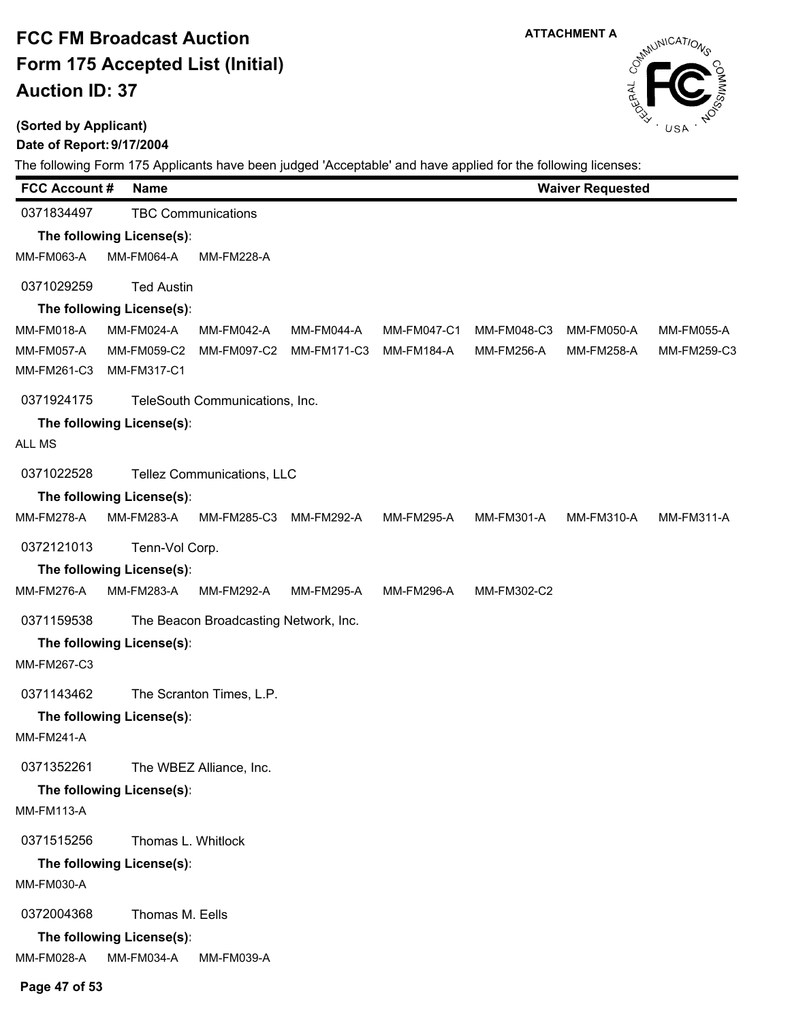

#### **(Sorted by Applicant)**

|  |  | Date of Report: 9/17/2004 |  |  |
|--|--|---------------------------|--|--|
|  |  |                           |  |  |

| <b>FCC Account#</b> | <b>Name</b>               |                                       |                    |                   |                   | <b>Waiver Requested</b> |                   |
|---------------------|---------------------------|---------------------------------------|--------------------|-------------------|-------------------|-------------------------|-------------------|
| 0371834497          |                           | <b>TBC Communications</b>             |                    |                   |                   |                         |                   |
|                     | The following License(s): |                                       |                    |                   |                   |                         |                   |
| MM-FM063-A          | <b>MM-FM064-A</b>         | <b>MM-FM228-A</b>                     |                    |                   |                   |                         |                   |
| 0371029259          | <b>Ted Austin</b>         |                                       |                    |                   |                   |                         |                   |
|                     | The following License(s): |                                       |                    |                   |                   |                         |                   |
| <b>MM-FM018-A</b>   | <b>MM-FM024-A</b>         | <b>MM-FM042-A</b>                     | MM-FM044-A         | MM-FM047-C1       | MM-FM048-C3       | <b>MM-FM050-A</b>       | <b>MM-FM055-A</b> |
| <b>MM-FM057-A</b>   | MM-FM059-C2               | MM-FM097-C2                           | <b>MM-FM171-C3</b> | <b>MM-FM184-A</b> | <b>MM-FM256-A</b> | <b>MM-FM258-A</b>       | MM-FM259-C3       |
| MM-FM261-C3         | MM-FM317-C1               |                                       |                    |                   |                   |                         |                   |
| 0371924175          |                           | TeleSouth Communications, Inc.        |                    |                   |                   |                         |                   |
|                     | The following License(s): |                                       |                    |                   |                   |                         |                   |
| <b>ALL MS</b>       |                           |                                       |                    |                   |                   |                         |                   |
| 0371022528          |                           | Tellez Communications, LLC            |                    |                   |                   |                         |                   |
|                     | The following License(s): |                                       |                    |                   |                   |                         |                   |
| <b>MM-FM278-A</b>   | MM-FM283-A                | MM-FM285-C3                           | <b>MM-FM292-A</b>  | <b>MM-FM295-A</b> | <b>MM-FM301-A</b> | <b>MM-FM310-A</b>       | <b>MM-FM311-A</b> |
| 0372121013          | Tenn-Vol Corp.            |                                       |                    |                   |                   |                         |                   |
|                     | The following License(s): |                                       |                    |                   |                   |                         |                   |
| MM-FM276-A          | <b>MM-FM283-A</b>         | <b>MM-FM292-A</b>                     | <b>MM-FM295-A</b>  | <b>MM-FM296-A</b> | MM-FM302-C2       |                         |                   |
| 0371159538          |                           | The Beacon Broadcasting Network, Inc. |                    |                   |                   |                         |                   |
|                     | The following License(s): |                                       |                    |                   |                   |                         |                   |
| MM-FM267-C3         |                           |                                       |                    |                   |                   |                         |                   |
| 0371143462          |                           | The Scranton Times, L.P.              |                    |                   |                   |                         |                   |
|                     | The following License(s): |                                       |                    |                   |                   |                         |                   |
| <b>MM-FM241-A</b>   |                           |                                       |                    |                   |                   |                         |                   |
| 0371352261          |                           | The WBEZ Alliance, Inc.               |                    |                   |                   |                         |                   |
|                     | The following License(s): |                                       |                    |                   |                   |                         |                   |
| <b>MM-FM113-A</b>   |                           |                                       |                    |                   |                   |                         |                   |
| 0371515256          | Thomas L. Whitlock        |                                       |                    |                   |                   |                         |                   |
|                     | The following License(s): |                                       |                    |                   |                   |                         |                   |
| <b>MM-FM030-A</b>   |                           |                                       |                    |                   |                   |                         |                   |
| 0372004368          | Thomas M. Eells           |                                       |                    |                   |                   |                         |                   |
|                     | The following License(s): |                                       |                    |                   |                   |                         |                   |
| MM-FM028-A          | MM-FM034-A                | MM-FM039-A                            |                    |                   |                   |                         |                   |
|                     |                           |                                       |                    |                   |                   |                         |                   |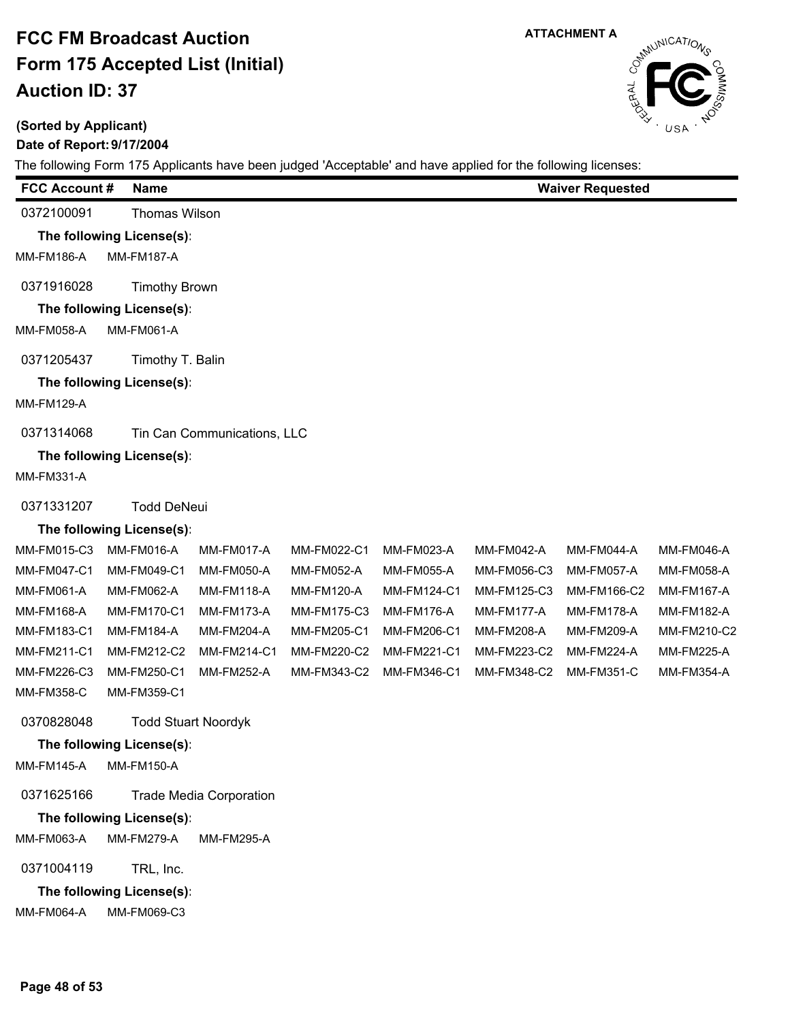**Date of Report:9/17/2004**

| <b>FCC Account#</b> | <b>Name</b>                |                                |                   |                    |                   | <b>Waiver Requested</b> |                   |
|---------------------|----------------------------|--------------------------------|-------------------|--------------------|-------------------|-------------------------|-------------------|
| 0372100091          | Thomas Wilson              |                                |                   |                    |                   |                         |                   |
|                     | The following License(s):  |                                |                   |                    |                   |                         |                   |
| <b>MM-FM186-A</b>   | <b>MM-FM187-A</b>          |                                |                   |                    |                   |                         |                   |
| 0371916028          | <b>Timothy Brown</b>       |                                |                   |                    |                   |                         |                   |
|                     | The following License(s):  |                                |                   |                    |                   |                         |                   |
| MM-FM058-A          | <b>MM-FM061-A</b>          |                                |                   |                    |                   |                         |                   |
| 0371205437          | Timothy T. Balin           |                                |                   |                    |                   |                         |                   |
|                     | The following License(s):  |                                |                   |                    |                   |                         |                   |
| <b>MM-FM129-A</b>   |                            |                                |                   |                    |                   |                         |                   |
| 0371314068          |                            | Tin Can Communications, LLC    |                   |                    |                   |                         |                   |
|                     | The following License(s):  |                                |                   |                    |                   |                         |                   |
| <b>MM-FM331-A</b>   |                            |                                |                   |                    |                   |                         |                   |
| 0371331207          | <b>Todd DeNeui</b>         |                                |                   |                    |                   |                         |                   |
|                     | The following License(s):  |                                |                   |                    |                   |                         |                   |
| MM-FM015-C3         | MM-FM016-A                 | MM-FM017-A                     | MM-FM022-C1       | MM-FM023-A         | <b>MM-FM042-A</b> | MM-FM044-A              | <b>MM-FM046-A</b> |
| MM-FM047-C1         | MM-FM049-C1                | MM-FM050-A                     | <b>MM-FM052-A</b> | <b>MM-FM055-A</b>  | MM-FM056-C3       | MM-FM057-A              | <b>MM-FM058-A</b> |
| MM-FM061-A          | MM-FM062-A                 | <b>MM-FM118-A</b>              | <b>MM-FM120-A</b> | <b>MM-FM124-C1</b> | MM-FM125-C3       | MM-FM166-C2             | <b>MM-FM167-A</b> |
| <b>MM-FM168-A</b>   | <b>MM-FM170-C1</b>         | <b>MM-FM173-A</b>              | MM-FM175-C3       | <b>MM-FM176-A</b>  | MM-FM177-A        | <b>MM-FM178-A</b>       | MM-FM182-A        |
| MM-FM183-C1         | <b>MM-FM184-A</b>          | MM-FM204-A                     | MM-FM205-C1       | MM-FM206-C1        | MM-FM208-A        | MM-FM209-A              | MM-FM210-C2       |
| MM-FM211-C1         | MM-FM212-C2                | MM-FM214-C1                    | MM-FM220-C2       | MM-FM221-C1        | MM-FM223-C2       | <b>MM-FM224-A</b>       | <b>MM-FM225-A</b> |
| MM-FM226-C3         | MM-FM250-C1                | <b>MM-FM252-A</b>              | MM-FM343-C2       | MM-FM346-C1        | MM-FM348-C2       | <b>MM-FM351-C</b>       | <b>MM-FM354-A</b> |
| <b>MM-FM358-C</b>   | MM-FM359-C1                |                                |                   |                    |                   |                         |                   |
| 0370828048          | <b>Todd Stuart Noordyk</b> |                                |                   |                    |                   |                         |                   |
|                     | The following License(s):  |                                |                   |                    |                   |                         |                   |
| <b>MM-FM145-A</b>   | <b>MM-FM150-A</b>          |                                |                   |                    |                   |                         |                   |
| 0371625166          |                            | <b>Trade Media Corporation</b> |                   |                    |                   |                         |                   |
|                     | The following License(s):  |                                |                   |                    |                   |                         |                   |
| MM-FM063-A          | <b>MM-FM279-A</b>          | <b>MM-FM295-A</b>              |                   |                    |                   |                         |                   |
| 0371004119          | TRL, Inc.                  |                                |                   |                    |                   |                         |                   |
|                     | The following License(s):  |                                |                   |                    |                   |                         |                   |
| <b>MM-FM064-A</b>   | MM-FM069-C3                |                                |                   |                    |                   |                         |                   |



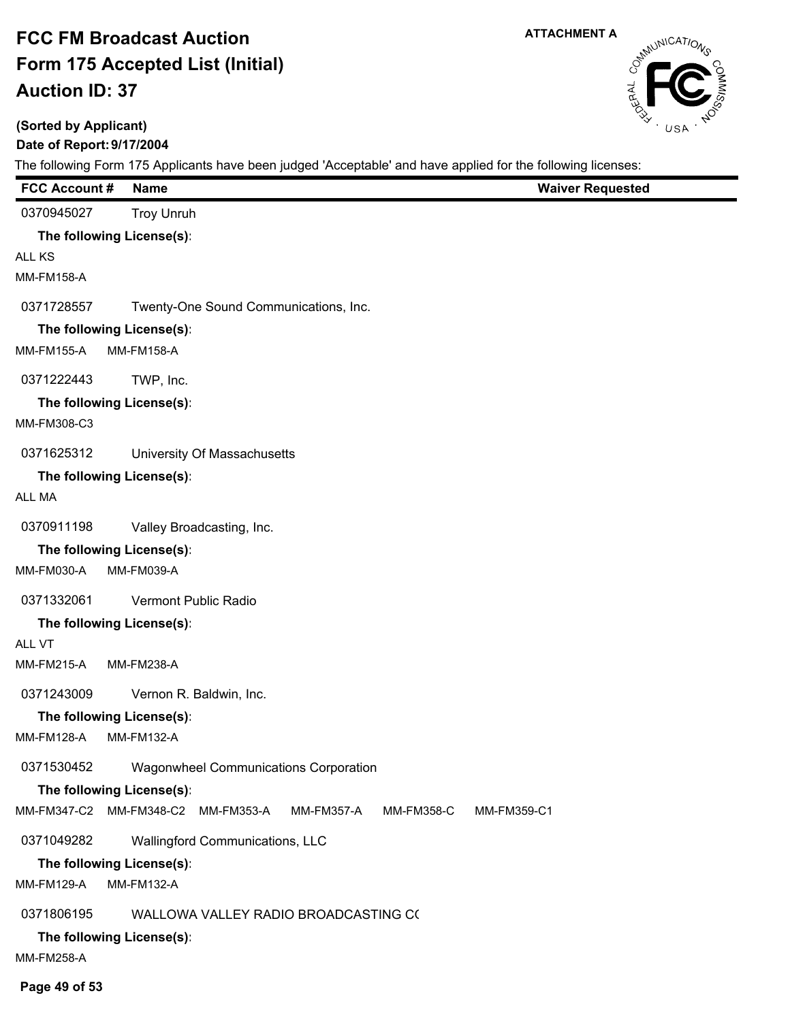#### **Date of Report:9/17/2004**

| <b>FCC Account#</b> | <b>Name</b>                                             | <b>Waiver Requested</b>          |
|---------------------|---------------------------------------------------------|----------------------------------|
| 0370945027          | <b>Troy Unruh</b>                                       |                                  |
|                     | The following License(s):                               |                                  |
| ALL KS              |                                                         |                                  |
| <b>MM-FM158-A</b>   |                                                         |                                  |
| 0371728557          | Twenty-One Sound Communications, Inc.                   |                                  |
|                     | The following License(s):                               |                                  |
| <b>MM-FM155-A</b>   | <b>MM-FM158-A</b>                                       |                                  |
| 0371222443          | TWP, Inc.                                               |                                  |
|                     | The following License(s):                               |                                  |
| MM-FM308-C3         |                                                         |                                  |
| 0371625312          | University Of Massachusetts                             |                                  |
|                     | The following License(s):                               |                                  |
| ALL MA              |                                                         |                                  |
| 0370911198          | Valley Broadcasting, Inc.                               |                                  |
|                     | The following License(s):                               |                                  |
| <b>MM-FM030-A</b>   | MM-FM039-A                                              |                                  |
| 0371332061          | Vermont Public Radio                                    |                                  |
|                     | The following License(s):                               |                                  |
| ALL VT              |                                                         |                                  |
| MM-FM215-A          | <b>MM-FM238-A</b>                                       |                                  |
| 0371243009          | Vernon R. Baldwin, Inc.                                 |                                  |
|                     | The following License(s):                               |                                  |
| <b>MM-FM128-A</b>   | <b>MM-FM132-A</b>                                       |                                  |
| 0371530452          | Wagonwheel Communications Corporation                   |                                  |
|                     | The following License(s):                               |                                  |
|                     | MM-FM347-C2 MM-FM348-C2 MM-FM353-A<br><b>MM-FM357-A</b> | <b>MM-FM358-C</b><br>MM-FM359-C1 |
| 0371049282          | Wallingford Communications, LLC                         |                                  |
|                     | The following License(s):                               |                                  |
| <b>MM-FM129-A</b>   | <b>MM-FM132-A</b>                                       |                                  |
| 0371806195          | WALLOWA VALLEY RADIO BROADCASTING CO                    |                                  |
|                     | The following License(s):                               |                                  |
| <b>MM-FM258-A</b>   |                                                         |                                  |

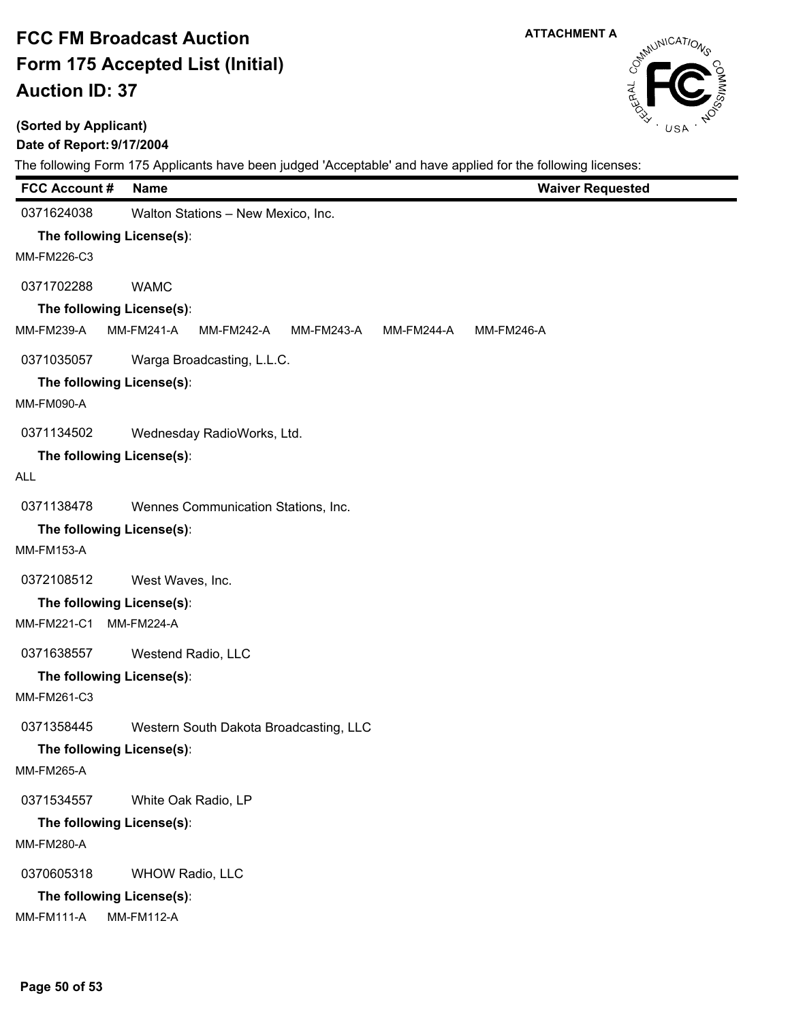**Date of Report:9/17/2004**

| <b>FCC Account#</b> | <b>Name</b>                                                 |                   | <b>Waiver Requested</b> |  |
|---------------------|-------------------------------------------------------------|-------------------|-------------------------|--|
| 0371624038          | Walton Stations - New Mexico, Inc.                          |                   |                         |  |
|                     | The following License(s):                                   |                   |                         |  |
| MM-FM226-C3         |                                                             |                   |                         |  |
| 0371702288          | <b>WAMC</b>                                                 |                   |                         |  |
|                     | The following License(s):                                   |                   |                         |  |
| <b>MM-FM239-A</b>   | <b>MM-FM241-A</b><br><b>MM-FM242-A</b><br><b>MM-FM243-A</b> | <b>MM-FM244-A</b> | <b>MM-FM246-A</b>       |  |
| 0371035057          | Warga Broadcasting, L.L.C.                                  |                   |                         |  |
|                     | The following License(s):                                   |                   |                         |  |
| <b>MM-FM090-A</b>   |                                                             |                   |                         |  |
| 0371134502          | Wednesday RadioWorks, Ltd.                                  |                   |                         |  |
|                     | The following License(s):                                   |                   |                         |  |
| ALL                 |                                                             |                   |                         |  |
| 0371138478          | Wennes Communication Stations, Inc.                         |                   |                         |  |
|                     | The following License(s):                                   |                   |                         |  |
| <b>MM-FM153-A</b>   |                                                             |                   |                         |  |
| 0372108512          | West Waves, Inc.                                            |                   |                         |  |
|                     | The following License(s):                                   |                   |                         |  |
| MM-FM221-C1         | <b>MM-FM224-A</b>                                           |                   |                         |  |
| 0371638557          | Westend Radio, LLC                                          |                   |                         |  |
|                     | The following License(s):                                   |                   |                         |  |
| MM-FM261-C3         |                                                             |                   |                         |  |
| 0371358445          | Western South Dakota Broadcasting, LLC                      |                   |                         |  |
|                     | The following License(s):                                   |                   |                         |  |
| MM-FM265-A          |                                                             |                   |                         |  |
| 0371534557          | White Oak Radio, LP                                         |                   |                         |  |
|                     | The following License(s):                                   |                   |                         |  |
| MM-FM280-A          |                                                             |                   |                         |  |
| 0370605318          | WHOW Radio, LLC                                             |                   |                         |  |
|                     | The following License(s):                                   |                   |                         |  |
| <b>MM-FM111-A</b>   | <b>MM-FM112-A</b>                                           |                   |                         |  |
|                     |                                                             |                   |                         |  |

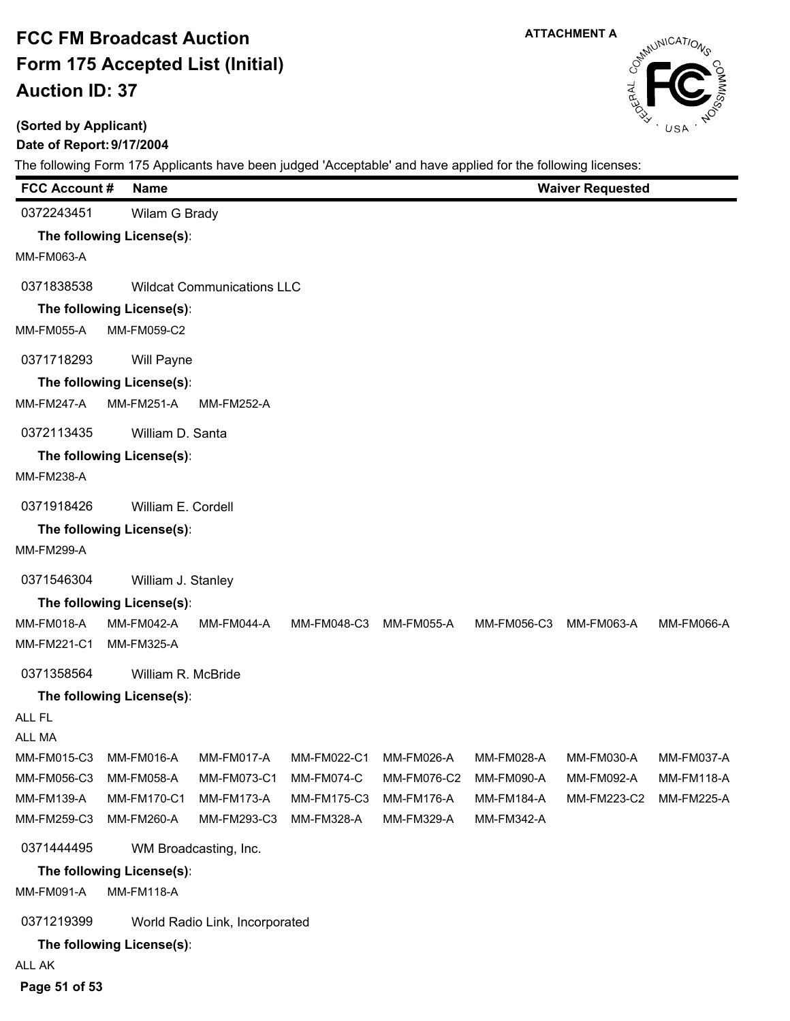**Date of Report:9/17/2004**

| <b>FCC Account#</b><br><b>Waiver Requested</b><br><b>Name</b> |                           |                                   |             |                   |                   |                   |                   |
|---------------------------------------------------------------|---------------------------|-----------------------------------|-------------|-------------------|-------------------|-------------------|-------------------|
| 0372243451                                                    | Wilam G Brady             |                                   |             |                   |                   |                   |                   |
|                                                               | The following License(s): |                                   |             |                   |                   |                   |                   |
| <b>MM-FM063-A</b>                                             |                           |                                   |             |                   |                   |                   |                   |
| 0371838538                                                    |                           | <b>Wildcat Communications LLC</b> |             |                   |                   |                   |                   |
|                                                               | The following License(s): |                                   |             |                   |                   |                   |                   |
| <b>MM-FM055-A</b>                                             | MM-FM059-C2               |                                   |             |                   |                   |                   |                   |
| 0371718293                                                    | Will Payne                |                                   |             |                   |                   |                   |                   |
|                                                               | The following License(s): |                                   |             |                   |                   |                   |                   |
| <b>MM-FM247-A</b>                                             | <b>MM-FM251-A</b>         | <b>MM-FM252-A</b>                 |             |                   |                   |                   |                   |
| 0372113435                                                    | William D. Santa          |                                   |             |                   |                   |                   |                   |
|                                                               | The following License(s): |                                   |             |                   |                   |                   |                   |
| <b>MM-FM238-A</b>                                             |                           |                                   |             |                   |                   |                   |                   |
| 0371918426                                                    | William E. Cordell        |                                   |             |                   |                   |                   |                   |
|                                                               | The following License(s): |                                   |             |                   |                   |                   |                   |
| <b>MM-FM299-A</b>                                             |                           |                                   |             |                   |                   |                   |                   |
| 0371546304                                                    | William J. Stanley        |                                   |             |                   |                   |                   |                   |
|                                                               | The following License(s): |                                   |             |                   |                   |                   |                   |
| <b>MM-FM018-A</b>                                             | <b>MM-FM042-A</b>         | MM-FM044-A                        | MM-FM048-C3 | MM-FM055-A        | MM-FM056-C3       | MM-FM063-A        | <b>MM-FM066-A</b> |
| MM-FM221-C1                                                   | <b>MM-FM325-A</b>         |                                   |             |                   |                   |                   |                   |
| 0371358564                                                    | William R. McBride        |                                   |             |                   |                   |                   |                   |
|                                                               | The following License(s): |                                   |             |                   |                   |                   |                   |
| ALL FL                                                        |                           |                                   |             |                   |                   |                   |                   |
| ALL MA                                                        |                           |                                   |             |                   |                   |                   |                   |
| MM-FM015-C3                                                   | MM-FM016-A                | MM-FM017-A                        | MM-FM022-C1 | <b>MM-FM026-A</b> | <b>MM-FM028-A</b> | <b>MM-FM030-A</b> | MM-FM037-A        |
| MM-FM056-C3                                                   | <b>MM-FM058-A</b>         | MM-FM073-C1                       | MM-FM074-C  | MM-FM076-C2       | MM-FM090-A        | MM-FM092-A        | <b>MM-FM118-A</b> |
| <b>MM-FM139-A</b>                                             | <b>MM-FM170-C1</b>        | MM-FM173-A                        | MM-FM175-C3 | MM-FM176-A        | <b>MM-FM184-A</b> | MM-FM223-C2       | <b>MM-FM225-A</b> |
| MM-FM259-C3                                                   | MM-FM260-A                | MM-FM293-C3                       | MM-FM328-A  | MM-FM329-A        | MM-FM342-A        |                   |                   |
| 0371444495                                                    |                           | WM Broadcasting, Inc.             |             |                   |                   |                   |                   |
|                                                               | The following License(s): |                                   |             |                   |                   |                   |                   |
| MM-FM091-A                                                    | <b>MM-FM118-A</b>         |                                   |             |                   |                   |                   |                   |
| 0371219399                                                    |                           | World Radio Link, Incorporated    |             |                   |                   |                   |                   |
|                                                               | The following License(s): |                                   |             |                   |                   |                   |                   |
| ALL AK                                                        |                           |                                   |             |                   |                   |                   |                   |



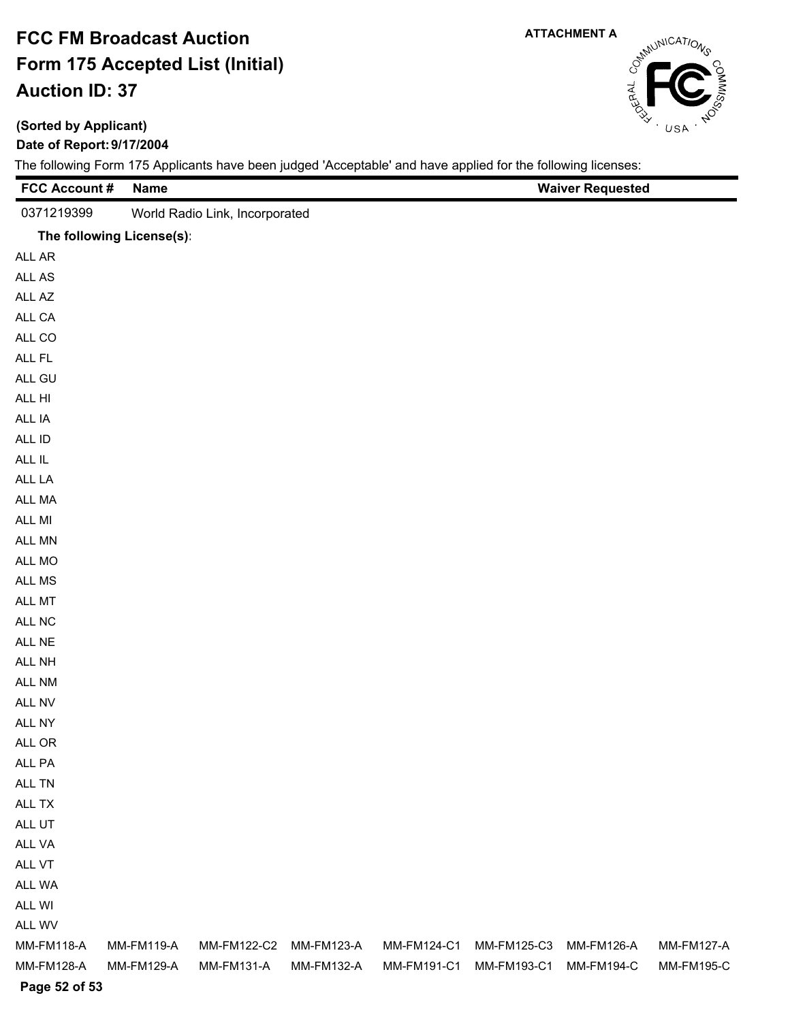**(Sorted by Applicant) Date of Report:9/17/2004**

The following Form 175 Applicants have been judged 'Acceptable' and have applied for the following licenses:

| FCC Account #     | <b>Name</b>               |                                |            |             |             | <b>Waiver Requested</b> |                   |
|-------------------|---------------------------|--------------------------------|------------|-------------|-------------|-------------------------|-------------------|
| 0371219399        |                           | World Radio Link, Incorporated |            |             |             |                         |                   |
|                   | The following License(s): |                                |            |             |             |                         |                   |
| ALL AR            |                           |                                |            |             |             |                         |                   |
| ALL AS            |                           |                                |            |             |             |                         |                   |
| ALL AZ            |                           |                                |            |             |             |                         |                   |
| ALL CA            |                           |                                |            |             |             |                         |                   |
| ALL CO            |                           |                                |            |             |             |                         |                   |
| ALL FL            |                           |                                |            |             |             |                         |                   |
| ALL GU            |                           |                                |            |             |             |                         |                   |
| ALL HI            |                           |                                |            |             |             |                         |                   |
| ALL IA            |                           |                                |            |             |             |                         |                   |
| ALL ID            |                           |                                |            |             |             |                         |                   |
| ALL IL            |                           |                                |            |             |             |                         |                   |
| ALL LA            |                           |                                |            |             |             |                         |                   |
| ALL MA            |                           |                                |            |             |             |                         |                   |
| ALL MI            |                           |                                |            |             |             |                         |                   |
| ALL MN            |                           |                                |            |             |             |                         |                   |
| ALL MO            |                           |                                |            |             |             |                         |                   |
| ALL MS            |                           |                                |            |             |             |                         |                   |
| ALL MT            |                           |                                |            |             |             |                         |                   |
| ALL NC            |                           |                                |            |             |             |                         |                   |
| ALL NE            |                           |                                |            |             |             |                         |                   |
| ALL NH            |                           |                                |            |             |             |                         |                   |
| ALL NM            |                           |                                |            |             |             |                         |                   |
| ALL NV            |                           |                                |            |             |             |                         |                   |
| ALL NY            |                           |                                |            |             |             |                         |                   |
| ALL OR            |                           |                                |            |             |             |                         |                   |
| ALL PA            |                           |                                |            |             |             |                         |                   |
| ALL TN            |                           |                                |            |             |             |                         |                   |
| ALL TX            |                           |                                |            |             |             |                         |                   |
| ALL UT            |                           |                                |            |             |             |                         |                   |
| ALL VA            |                           |                                |            |             |             |                         |                   |
| ALL VT            |                           |                                |            |             |             |                         |                   |
| ALL WA            |                           |                                |            |             |             |                         |                   |
| ALL WI            |                           |                                |            |             |             |                         |                   |
| ALL WV            |                           |                                |            |             |             |                         |                   |
| <b>MM-FM118-A</b> | <b>MM-FM119-A</b>         | MM-FM122-C2                    | MM-FM123-A | MM-FM124-C1 | MM-FM125-C3 | <b>MM-FM126-A</b>       | <b>MM-FM127-A</b> |
| <b>MM-FM128-A</b> | <b>MM-FM129-A</b>         | <b>MM-FM131-A</b>              | MM-FM132-A | MM-FM191-C1 | MM-FM193-C1 | <b>MM-FM194-C</b>       | <b>MM-FM195-C</b> |

**ATTACHMENT A**